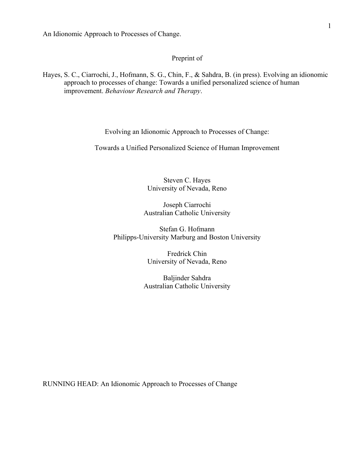# Preprint of

Hayes, S. C., Ciarrochi, J., Hofmann, S. G., Chin, F., & Sahdra, B. (in press). Evolving an idionomic approach to processes of change: Towards a unified personalized science of human improvement. *Behaviour Research and Therapy*.

Evolving an Idionomic Approach to Processes of Change:

Towards a Unified Personalized Science of Human Improvement

Steven C. Hayes University of Nevada, Reno

Joseph Ciarrochi Australian Catholic University

Stefan G. Hofmann Philipps-University Marburg and Boston University

> Fredrick Chin University of Nevada, Reno

Baljinder Sahdra Australian Catholic University

RUNNING HEAD: An Idionomic Approach to Processes of Change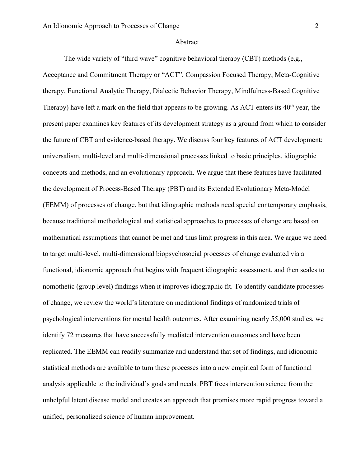#### Abstract

The wide variety of "third wave" cognitive behavioral therapy (CBT) methods (e.g.,

Acceptance and Commitment Therapy or "ACT", Compassion Focused Therapy, Meta-Cognitive therapy, Functional Analytic Therapy, Dialectic Behavior Therapy, Mindfulness-Based Cognitive Therapy) have left a mark on the field that appears to be growing. As ACT enters its  $40<sup>th</sup>$  year, the present paper examines key features of its development strategy as a ground from which to consider the future of CBT and evidence-based therapy. We discuss four key features of ACT development: universalism, multi-level and multi-dimensional processes linked to basic principles, idiographic concepts and methods, and an evolutionary approach. We argue that these features have facilitated the development of Process-Based Therapy (PBT) and its Extended Evolutionary Meta-Model (EEMM) of processes of change, but that idiographic methods need special contemporary emphasis, because traditional methodological and statistical approaches to processes of change are based on mathematical assumptions that cannot be met and thus limit progress in this area. We argue we need to target multi-level, multi-dimensional biopsychosocial processes of change evaluated via a functional, idionomic approach that begins with frequent idiographic assessment, and then scales to nomothetic (group level) findings when it improves idiographic fit. To identify candidate processes of change, we review the world's literature on mediational findings of randomized trials of psychological interventions for mental health outcomes. After examining nearly 55,000 studies, we identify 72 measures that have successfully mediated intervention outcomes and have been replicated. The EEMM can readily summarize and understand that set of findings, and idionomic statistical methods are available to turn these processes into a new empirical form of functional analysis applicable to the individual's goals and needs. PBT frees intervention science from the unhelpful latent disease model and creates an approach that promises more rapid progress toward a unified, personalized science of human improvement.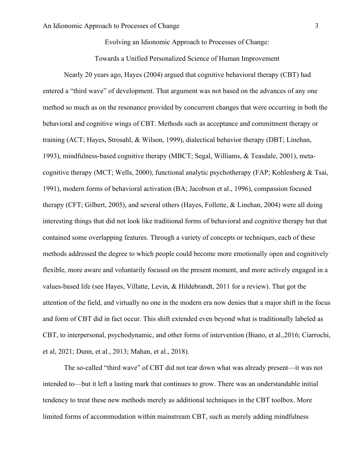Evolving an Idionomic Approach to Processes of Change:

Towards a Unified Personalized Science of Human Improvement

Nearly 20 years ago, Hayes (2004) argued that cognitive behavioral therapy (CBT) had entered a "third wave" of development. That argument was not based on the advances of any one method so much as on the resonance provided by concurrent changes that were occurring in both the behavioral and cognitive wings of CBT. Methods such as acceptance and commitment therapy or training (ACT; Hayes, Strosahl, & Wilson, 1999), dialectical behavior therapy (DBT; Linehan, 1993), mindfulness-based cognitive therapy (MBCT; Segal, Williams, & Teasdale, 2001), metacognitive therapy (MCT; Wells, 2000), functional analytic psychotherapy (FAP; Kohlenberg & Tsai, 1991), modern forms of behavioral activation (BA; Jacobson et al., 1996), compassion focused therapy (CFT; Gilbert, 2005), and several others (Hayes, Follette, & Linehan, 2004) were all doing interesting things that did not look like traditional forms of behavioral and cognitive therapy but that contained some overlapping features. Through a variety of concepts or techniques, each of these methods addressed the degree to which people could become more emotionally open and cognitively flexible, more aware and voluntarily focused on the present moment, and more actively engaged in a values-based life (see Hayes, Villatte, Levin, & Hildebrandt, 2011 for a review). That got the attention of the field, and virtually no one in the modern era now denies that a major shift in the focus and form of CBT did in fact occur. This shift extended even beyond what is traditionally labeled as CBT, to interpersonal, psychodynamic, and other forms of intervention (Biano, et al.,2016; Ciarrochi, et al, 2021; Dunn, et al., 2013; Mahan, et al., 2018).

The so-called "third wave" of CBT did not tear down what was already present—it was not intended to—but it left a lasting mark that continues to grow. There was an understandable initial tendency to treat these new methods merely as additional techniques in the CBT toolbox. More limited forms of accommodation within mainstream CBT, such as merely adding mindfulness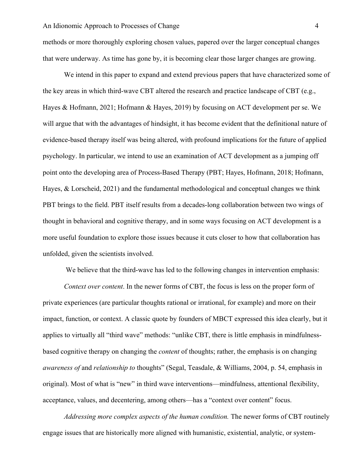methods or more thoroughly exploring chosen values, papered over the larger conceptual changes that were underway. As time has gone by, it is becoming clear those larger changes are growing.

We intend in this paper to expand and extend previous papers that have characterized some of the key areas in which third-wave CBT altered the research and practice landscape of CBT (e.g., Hayes & Hofmann, 2021; Hofmann & Hayes, 2019) by focusing on ACT development per se. We will argue that with the advantages of hindsight, it has become evident that the definitional nature of evidence-based therapy itself was being altered, with profound implications for the future of applied psychology. In particular, we intend to use an examination of ACT development as a jumping off point onto the developing area of Process-Based Therapy (PBT; Hayes, Hofmann, 2018; Hofmann, Hayes, & Lorscheid, 2021) and the fundamental methodological and conceptual changes we think PBT brings to the field. PBT itself results from a decades-long collaboration between two wings of thought in behavioral and cognitive therapy, and in some ways focusing on ACT development is a more useful foundation to explore those issues because it cuts closer to how that collaboration has unfolded, given the scientists involved.

We believe that the third-wave has led to the following changes in intervention emphasis:

*Context over content*. In the newer forms of CBT, the focus is less on the proper form of private experiences (are particular thoughts rational or irrational, for example) and more on their impact, function, or context. A classic quote by founders of MBCT expressed this idea clearly, but it applies to virtually all "third wave" methods: "unlike CBT, there is little emphasis in mindfulnessbased cognitive therapy on changing the *content* of thoughts; rather, the emphasis is on changing *awareness of* and *relationship to* thoughts" (Segal, Teasdale, & Williams, 2004, p. 54, emphasis in original). Most of what is "new" in third wave interventions—mindfulness, attentional flexibility, acceptance, values, and decentering, among others—has a "context over content" focus.

*Addressing more complex aspects of the human condition.* The newer forms of CBT routinely engage issues that are historically more aligned with humanistic, existential, analytic, or system-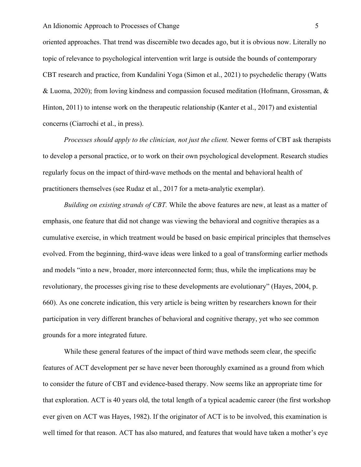oriented approaches. That trend was discernible two decades ago, but it is obvious now. Literally no topic of relevance to psychological intervention writ large is outside the bounds of contemporary CBT research and practice, from Kundalini Yoga (Simon et al., 2021) to psychedelic therapy (Watts & Luoma, 2020); from loving kindness and compassion focused meditation (Hofmann, Grossman, & Hinton, 2011) to intense work on the therapeutic relationship (Kanter et al., 2017) and existential concerns (Ciarrochi et al., in press).

*Processes should apply to the clinician, not just the client.* Newer forms of CBT ask therapists to develop a personal practice, or to work on their own psychological development. Research studies regularly focus on the impact of third-wave methods on the mental and behavioral health of practitioners themselves (see Rudaz et al., 2017 for a meta-analytic exemplar).

*Building on existing strands of CBT.* While the above features are new, at least as a matter of emphasis, one feature that did not change was viewing the behavioral and cognitive therapies as a cumulative exercise, in which treatment would be based on basic empirical principles that themselves evolved. From the beginning, third-wave ideas were linked to a goal of transforming earlier methods and models "into a new, broader, more interconnected form; thus, while the implications may be revolutionary, the processes giving rise to these developments are evolutionary" (Hayes, 2004, p. 660). As one concrete indication, this very article is being written by researchers known for their participation in very different branches of behavioral and cognitive therapy, yet who see common grounds for a more integrated future.

While these general features of the impact of third wave methods seem clear, the specific features of ACT development per se have never been thoroughly examined as a ground from which to consider the future of CBT and evidence-based therapy. Now seems like an appropriate time for that exploration. ACT is 40 years old, the total length of a typical academic career (the first workshop ever given on ACT was Hayes, 1982). If the originator of ACT is to be involved, this examination is well timed for that reason. ACT has also matured, and features that would have taken a mother's eye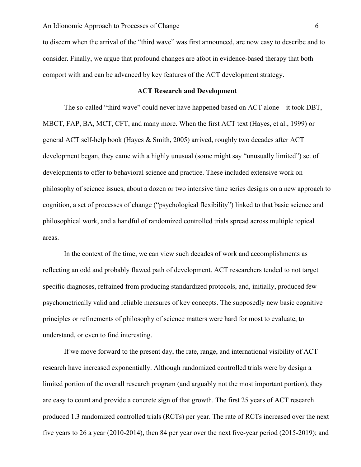to discern when the arrival of the "third wave" was first announced, are now easy to describe and to consider. Finally, we argue that profound changes are afoot in evidence-based therapy that both comport with and can be advanced by key features of the ACT development strategy.

# **ACT Research and Development**

The so-called "third wave" could never have happened based on ACT alone – it took DBT, MBCT, FAP, BA, MCT, CFT, and many more. When the first ACT text (Hayes, et al., 1999) or general ACT self-help book (Hayes & Smith, 2005) arrived, roughly two decades after ACT development began, they came with a highly unusual (some might say "unusually limited") set of developments to offer to behavioral science and practice. These included extensive work on philosophy of science issues, about a dozen or two intensive time series designs on a new approach to cognition, a set of processes of change ("psychological flexibility") linked to that basic science and philosophical work, and a handful of randomized controlled trials spread across multiple topical areas.

In the context of the time, we can view such decades of work and accomplishments as reflecting an odd and probably flawed path of development. ACT researchers tended to not target specific diagnoses, refrained from producing standardized protocols, and, initially, produced few psychometrically valid and reliable measures of key concepts. The supposedly new basic cognitive principles or refinements of philosophy of science matters were hard for most to evaluate, to understand, or even to find interesting.

If we move forward to the present day, the rate, range, and international visibility of ACT research have increased exponentially. Although randomized controlled trials were by design a limited portion of the overall research program (and arguably not the most important portion), they are easy to count and provide a concrete sign of that growth. The first 25 years of ACT research produced 1.3 randomized controlled trials (RCTs) per year. The rate of RCTs increased over the next five years to 26 a year (2010-2014), then 84 per year over the next five-year period (2015-2019); and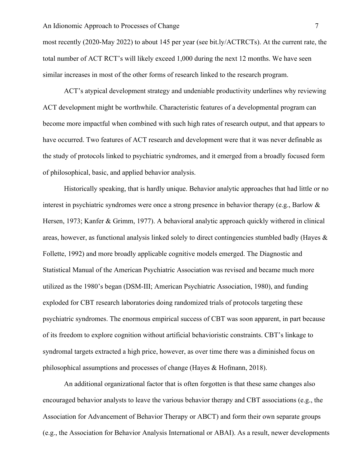most recently (2020-May 2022) to about 145 per year (see bit.ly/ACTRCTs). At the current rate, the total number of ACT RCT's will likely exceed 1,000 during the next 12 months. We have seen similar increases in most of the other forms of research linked to the research program.

ACT's atypical development strategy and undeniable productivity underlines why reviewing ACT development might be worthwhile. Characteristic features of a developmental program can become more impactful when combined with such high rates of research output, and that appears to have occurred. Two features of ACT research and development were that it was never definable as the study of protocols linked to psychiatric syndromes, and it emerged from a broadly focused form of philosophical, basic, and applied behavior analysis.

Historically speaking, that is hardly unique. Behavior analytic approaches that had little or no interest in psychiatric syndromes were once a strong presence in behavior therapy (e.g., Barlow & Hersen, 1973; Kanfer & Grimm, 1977). A behavioral analytic approach quickly withered in clinical areas, however, as functional analysis linked solely to direct contingencies stumbled badly (Hayes & Follette, 1992) and more broadly applicable cognitive models emerged. The Diagnostic and Statistical Manual of the American Psychiatric Association was revised and became much more utilized as the 1980's began (DSM-III; American Psychiatric Association, 1980), and funding exploded for CBT research laboratories doing randomized trials of protocols targeting these psychiatric syndromes. The enormous empirical success of CBT was soon apparent, in part because of its freedom to explore cognition without artificial behavioristic constraints. CBT's linkage to syndromal targets extracted a high price, however, as over time there was a diminished focus on philosophical assumptions and processes of change (Hayes & Hofmann, 2018).

An additional organizational factor that is often forgotten is that these same changes also encouraged behavior analysts to leave the various behavior therapy and CBT associations (e.g., the Association for Advancement of Behavior Therapy or ABCT) and form their own separate groups (e.g., the Association for Behavior Analysis International or ABAI). As a result, newer developments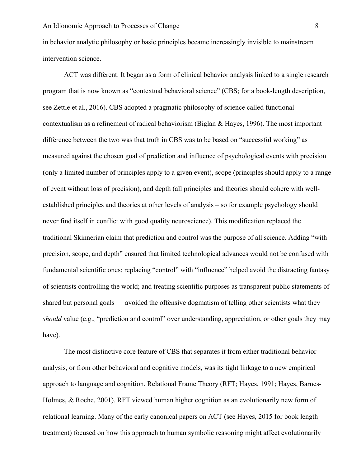in behavior analytic philosophy or basic principles became increasingly invisible to mainstream intervention science.

ACT was different. It began as a form of clinical behavior analysis linked to a single research program that is now known as "contextual behavioral science" (CBS; for a book-length description, see Zettle et al., 2016). CBS adopted a pragmatic philosophy of science called functional contextualism as a refinement of radical behaviorism (Biglan & Hayes, 1996). The most important difference between the two was that truth in CBS was to be based on "successful working" as measured against the chosen goal of prediction and influence of psychological events with precision (only a limited number of principles apply to a given event), scope (principles should apply to a range of event without loss of precision), and depth (all principles and theories should cohere with wellestablished principles and theories at other levels of analysis – so for example psychology should never find itself in conflict with good quality neuroscience). This modification replaced the traditional Skinnerian claim that prediction and control was the purpose of all science. Adding "with precision, scope, and depth" ensured that limited technological advances would not be confused with fundamental scientific ones; replacing "control" with "influence" helped avoid the distracting fantasy of scientists controlling the world; and treating scientific purposes as transparent public statements of shared but personal goals avoided the offensive dogmatism of telling other scientists what they *should* value (e.g., "prediction and control" over understanding, appreciation, or other goals they may have).

The most distinctive core feature of CBS that separates it from either traditional behavior analysis, or from other behavioral and cognitive models, was its tight linkage to a new empirical approach to language and cognition, Relational Frame Theory (RFT; Hayes, 1991; Hayes, Barnes-Holmes, & Roche, 2001). RFT viewed human higher cognition as an evolutionarily new form of relational learning. Many of the early canonical papers on ACT (see Hayes, 2015 for book length treatment) focused on how this approach to human symbolic reasoning might affect evolutionarily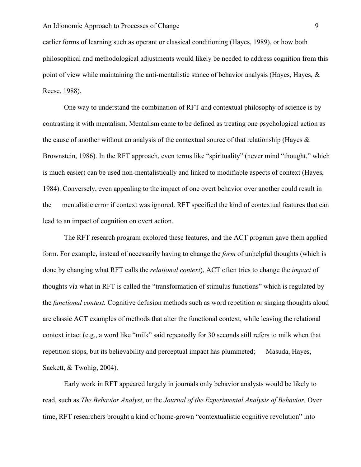earlier forms of learning such as operant or classical conditioning (Hayes, 1989), or how both philosophical and methodological adjustments would likely be needed to address cognition from this point of view while maintaining the anti-mentalistic stance of behavior analysis (Hayes, Hayes, & Reese, 1988).

One way to understand the combination of RFT and contextual philosophy of science is by contrasting it with mentalism. Mentalism came to be defined as treating one psychological action as the cause of another without an analysis of the contextual source of that relationship (Hayes  $\&$ Brownstein, 1986). In the RFT approach, even terms like "spirituality" (never mind "thought," which is much easier) can be used non-mentalistically and linked to modifiable aspects of context (Hayes, 1984). Conversely, even appealing to the impact of one overt behavior over another could result in the mentalistic error if context was ignored. RFT specified the kind of contextual features that can lead to an impact of cognition on overt action.

The RFT research program explored these features, and the ACT program gave them applied form. For example, instead of necessarily having to change the *form* of unhelpful thoughts (which is done by changing what RFT calls the *relational context*), ACT often tries to change the *impact* of thoughts via what in RFT is called the "transformation of stimulus functions" which is regulated by the *functional context.* Cognitive defusion methods such as word repetition or singing thoughts aloud are classic ACT examples of methods that alter the functional context, while leaving the relational context intact (e.g., a word like "milk" said repeatedly for 30 seconds still refers to milk when that repetition stops, but its believability and perceptual impact has plummeted; Masuda, Hayes, Sackett, & Twohig, 2004).

Early work in RFT appeared largely in journals only behavior analysts would be likely to read, such as *The Behavior Analyst*, or the *Journal of the Experimental Analysis of Behavior.* Over time, RFT researchers brought a kind of home-grown "contextualistic cognitive revolution" into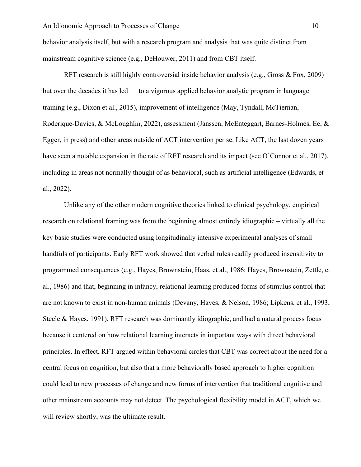behavior analysis itself, but with a research program and analysis that was quite distinct from mainstream cognitive science (e.g., DeHouwer, 2011) and from CBT itself.

RFT research is still highly controversial inside behavior analysis (e.g., Gross & Fox, 2009) but over the decades it has led to a vigorous applied behavior analytic program in language training (e.g., Dixon et al., 2015), improvement of intelligence (May, Tyndall, McTiernan, Roderique-Davies, & McLoughlin, 2022), assessment (Janssen, McEnteggart, Barnes-Holmes, Ee, & Egger, in press) and other areas outside of ACT intervention per se. Like ACT, the last dozen years have seen a notable expansion in the rate of RFT research and its impact (see O'Connor et al., 2017), including in areas not normally thought of as behavioral, such as artificial intelligence (Edwards, et al., 2022).

Unlike any of the other modern cognitive theories linked to clinical psychology, empirical research on relational framing was from the beginning almost entirely idiographic – virtually all the key basic studies were conducted using longitudinally intensive experimental analyses of small handfuls of participants. Early RFT work showed that verbal rules readily produced insensitivity to programmed consequences (e.g., Hayes, Brownstein, Haas, et al., 1986; Hayes, Brownstein, Zettle, et al., 1986) and that, beginning in infancy, relational learning produced forms of stimulus control that are not known to exist in non-human animals (Devany, Hayes, & Nelson, 1986; Lipkens, et al., 1993; Steele & Hayes, 1991). RFT research was dominantly idiographic, and had a natural process focus because it centered on how relational learning interacts in important ways with direct behavioral principles. In effect, RFT argued within behavioral circles that CBT was correct about the need for a central focus on cognition, but also that a more behaviorally based approach to higher cognition could lead to new processes of change and new forms of intervention that traditional cognitive and other mainstream accounts may not detect. The psychological flexibility model in ACT, which we will review shortly, was the ultimate result.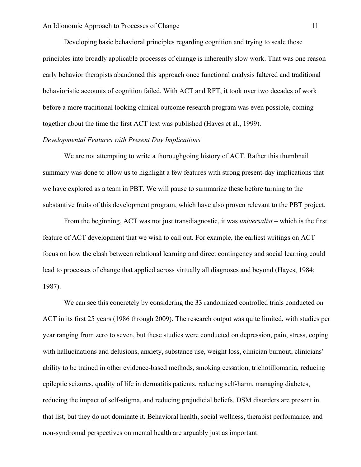Developing basic behavioral principles regarding cognition and trying to scale those principles into broadly applicable processes of change is inherently slow work. That was one reason early behavior therapists abandoned this approach once functional analysis faltered and traditional behavioristic accounts of cognition failed. With ACT and RFT, it took over two decades of work before a more traditional looking clinical outcome research program was even possible, coming together about the time the first ACT text was published (Hayes et al., 1999).

## *Developmental Features with Present Day Implications*

We are not attempting to write a thoroughgoing history of ACT. Rather this thumbnail summary was done to allow us to highlight a few features with strong present-day implications that we have explored as a team in PBT. We will pause to summarize these before turning to the substantive fruits of this development program, which have also proven relevant to the PBT project.

From the beginning, ACT was not just transdiagnostic, it was *universalist* – which is the first feature of ACT development that we wish to call out. For example, the earliest writings on ACT focus on how the clash between relational learning and direct contingency and social learning could lead to processes of change that applied across virtually all diagnoses and beyond (Hayes, 1984; 1987).

We can see this concretely by considering the 33 randomized controlled trials conducted on ACT in its first 25 years (1986 through 2009). The research output was quite limited, with studies per year ranging from zero to seven, but these studies were conducted on depression, pain, stress, coping with hallucinations and delusions, anxiety, substance use, weight loss, clinician burnout, clinicians' ability to be trained in other evidence-based methods, smoking cessation, trichotillomania, reducing epileptic seizures, quality of life in dermatitis patients, reducing self-harm, managing diabetes, reducing the impact of self-stigma, and reducing prejudicial beliefs. DSM disorders are present in that list, but they do not dominate it. Behavioral health, social wellness, therapist performance, and non-syndromal perspectives on mental health are arguably just as important.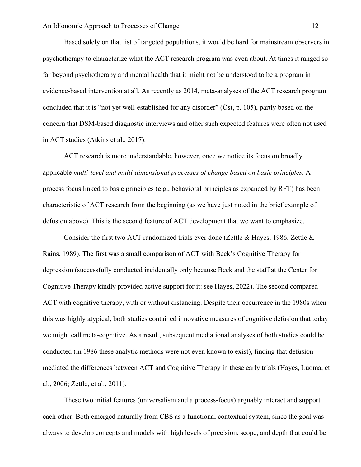Based solely on that list of targeted populations, it would be hard for mainstream observers in psychotherapy to characterize what the ACT research program was even about. At times it ranged so far beyond psychotherapy and mental health that it might not be understood to be a program in evidence-based intervention at all. As recently as 2014, meta-analyses of the ACT research program concluded that it is "not yet well-established for any disorder" (Öst, p. 105), partly based on the concern that DSM-based diagnostic interviews and other such expected features were often not used in ACT studies (Atkins et al., 2017).

ACT research is more understandable, however, once we notice its focus on broadly applicable *multi-level and multi-dimensional processes of change based on basic principles*. A process focus linked to basic principles (e.g., behavioral principles as expanded by RFT) has been characteristic of ACT research from the beginning (as we have just noted in the brief example of defusion above). This is the second feature of ACT development that we want to emphasize.

Consider the first two ACT randomized trials ever done (Zettle & Hayes, 1986; Zettle & Rains, 1989). The first was a small comparison of ACT with Beck's Cognitive Therapy for depression (successfully conducted incidentally only because Beck and the staff at the Center for Cognitive Therapy kindly provided active support for it: see Hayes, 2022). The second compared ACT with cognitive therapy, with or without distancing. Despite their occurrence in the 1980s when this was highly atypical, both studies contained innovative measures of cognitive defusion that today we might call meta-cognitive. As a result, subsequent mediational analyses of both studies could be conducted (in 1986 these analytic methods were not even known to exist), finding that defusion mediated the differences between ACT and Cognitive Therapy in these early trials (Hayes, Luoma, et al., 2006; Zettle, et al., 2011).

These two initial features (universalism and a process-focus) arguably interact and support each other. Both emerged naturally from CBS as a functional contextual system, since the goal was always to develop concepts and models with high levels of precision, scope, and depth that could be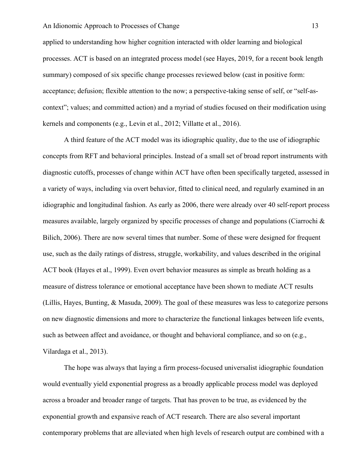applied to understanding how higher cognition interacted with older learning and biological processes. ACT is based on an integrated process model (see Hayes, 2019, for a recent book length summary) composed of six specific change processes reviewed below (cast in positive form: acceptance; defusion; flexible attention to the now; a perspective-taking sense of self, or "self-ascontext"; values; and committed action) and a myriad of studies focused on their modification using kernels and components (e.g., Levin et al., 2012; Villatte et al., 2016).

A third feature of the ACT model was its idiographic quality, due to the use of idiographic concepts from RFT and behavioral principles. Instead of a small set of broad report instruments with diagnostic cutoffs, processes of change within ACT have often been specifically targeted, assessed in a variety of ways, including via overt behavior, fitted to clinical need, and regularly examined in an idiographic and longitudinal fashion. As early as 2006, there were already over 40 self-report process measures available, largely organized by specific processes of change and populations (Ciarrochi  $\&$ Bilich, 2006). There are now several times that number. Some of these were designed for frequent use, such as the daily ratings of distress, struggle, workability, and values described in the original ACT book (Hayes et al., 1999). Even overt behavior measures as simple as breath holding as a measure of distress tolerance or emotional acceptance have been shown to mediate ACT results (Lillis, Hayes, Bunting, & Masuda, 2009). The goal of these measures was less to categorize persons on new diagnostic dimensions and more to characterize the functional linkages between life events, such as between affect and avoidance, or thought and behavioral compliance, and so on (e.g., Vilardaga et al., 2013).

The hope was always that laying a firm process-focused universalist idiographic foundation would eventually yield exponential progress as a broadly applicable process model was deployed across a broader and broader range of targets. That has proven to be true, as evidenced by the exponential growth and expansive reach of ACT research. There are also several important contemporary problems that are alleviated when high levels of research output are combined with a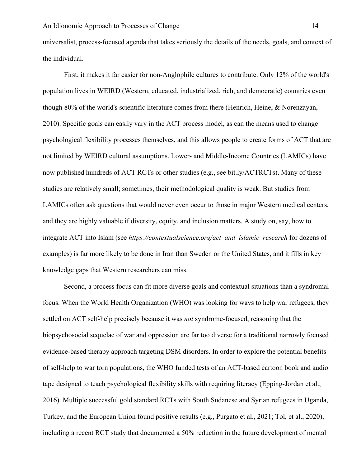universalist, process-focused agenda that takes seriously the details of the needs, goals, and context of the individual.

First, it makes it far easier for non-Anglophile cultures to contribute. Only 12% of the world's population lives in WEIRD (Western, educated, industrialized, rich, and democratic) countries even though 80% of the world's scientific literature comes from there (Henrich, Heine, & Norenzayan, 2010). Specific goals can easily vary in the ACT process model, as can the means used to change psychological flexibility processes themselves, and this allows people to create forms of ACT that are not limited by WEIRD cultural assumptions. Lower- and Middle-Income Countries (LAMICs) have now published hundreds of ACT RCTs or other studies (e.g., see bit.ly/ACTRCTs). Many of these studies are relatively small; sometimes, their methodological quality is weak. But studies from LAMICs often ask questions that would never even occur to those in major Western medical centers, and they are highly valuable if diversity, equity, and inclusion matters. A study on, say, how to integrate ACT into Islam (see *https://contextualscience.org/act\_and\_islamic\_research* for dozens of examples) is far more likely to be done in Iran than Sweden or the United States, and it fills in key knowledge gaps that Western researchers can miss.

Second, a process focus can fit more diverse goals and contextual situations than a syndromal focus. When the World Health Organization (WHO) was looking for ways to help war refugees, they settled on ACT self-help precisely because it was *not* syndrome-focused, reasoning that the biopsychosocial sequelae of war and oppression are far too diverse for a traditional narrowly focused evidence-based therapy approach targeting DSM disorders. In order to explore the potential benefits of self-help to war torn populations, the WHO funded tests of an ACT-based cartoon book and audio tape designed to teach psychological flexibility skills with requiring literacy (Epping-Jordan et al., 2016). Multiple successful gold standard RCTs with South Sudanese and Syrian refugees in Uganda, Turkey, and the European Union found positive results (e.g., Purgato et al., 2021; Tol, et al., 2020), including a recent RCT study that documented a 50% reduction in the future development of mental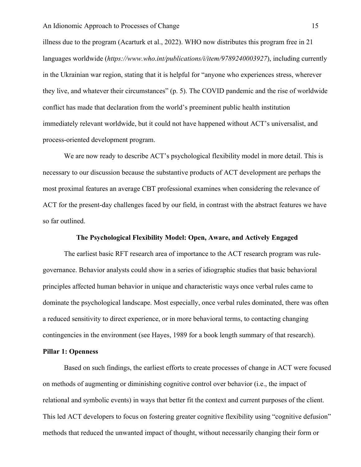illness due to the program (Acarturk et al., 2022). WHO now distributes this program free in 21 languages worldwide (*https://www.who.int/publications/i/item/9789240003927*), including currently in the Ukrainian war region, stating that it is helpful for "anyone who experiences stress, wherever they live, and whatever their circumstances" (p. 5). The COVID pandemic and the rise of worldwide conflict has made that declaration from the world's preeminent public health institution immediately relevant worldwide, but it could not have happened without ACT's universalist, and process-oriented development program.

We are now ready to describe ACT's psychological flexibility model in more detail. This is necessary to our discussion because the substantive products of ACT development are perhaps the most proximal features an average CBT professional examines when considering the relevance of ACT for the present-day challenges faced by our field, in contrast with the abstract features we have so far outlined.

# **The Psychological Flexibility Model: Open, Aware, and Actively Engaged**

The earliest basic RFT research area of importance to the ACT research program was rulegovernance. Behavior analysts could show in a series of idiographic studies that basic behavioral principles affected human behavior in unique and characteristic ways once verbal rules came to dominate the psychological landscape. Most especially, once verbal rules dominated, there was often a reduced sensitivity to direct experience, or in more behavioral terms, to contacting changing contingencies in the environment (see Hayes, 1989 for a book length summary of that research).

# **Pillar 1: Openness**

Based on such findings, the earliest efforts to create processes of change in ACT were focused on methods of augmenting or diminishing cognitive control over behavior (i.e., the impact of relational and symbolic events) in ways that better fit the context and current purposes of the client. This led ACT developers to focus on fostering greater cognitive flexibility using "cognitive defusion" methods that reduced the unwanted impact of thought, without necessarily changing their form or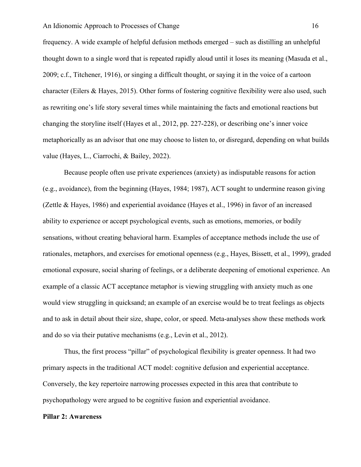frequency. A wide example of helpful defusion methods emerged – such as distilling an unhelpful thought down to a single word that is repeated rapidly aloud until it loses its meaning (Masuda et al., 2009; c.f., Titchener, 1916), or singing a difficult thought, or saying it in the voice of a cartoon character (Eilers & Hayes, 2015). Other forms of fostering cognitive flexibility were also used, such as rewriting one's life story several times while maintaining the facts and emotional reactions but changing the storyline itself (Hayes et al., 2012, pp. 227-228), or describing one's inner voice metaphorically as an advisor that one may choose to listen to, or disregard, depending on what builds value (Hayes, L., Ciarrochi, & Bailey, 2022).

Because people often use private experiences (anxiety) as indisputable reasons for action (e.g., avoidance), from the beginning (Hayes, 1984; 1987), ACT sought to undermine reason giving (Zettle & Hayes, 1986) and experiential avoidance (Hayes et al., 1996) in favor of an increased ability to experience or accept psychological events, such as emotions, memories, or bodily sensations, without creating behavioral harm. Examples of acceptance methods include the use of rationales, metaphors, and exercises for emotional openness (e.g., Hayes, Bissett, et al., 1999), graded emotional exposure, social sharing of feelings, or a deliberate deepening of emotional experience. An example of a classic ACT acceptance metaphor is viewing struggling with anxiety much as one would view struggling in quicksand; an example of an exercise would be to treat feelings as objects and to ask in detail about their size, shape, color, or speed. Meta-analyses show these methods work and do so via their putative mechanisms (e.g., Levin et al., 2012).

Thus, the first process "pillar" of psychological flexibility is greater openness. It had two primary aspects in the traditional ACT model: cognitive defusion and experiential acceptance. Conversely, the key repertoire narrowing processes expected in this area that contribute to psychopathology were argued to be cognitive fusion and experiential avoidance.

## **Pillar 2: Awareness**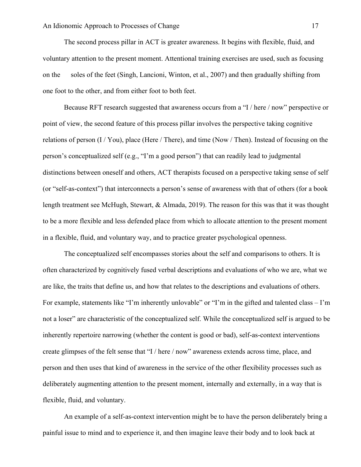The second process pillar in ACT is greater awareness. It begins with flexible, fluid, and voluntary attention to the present moment. Attentional training exercises are used, such as focusing on the soles of the feet (Singh, Lancioni, Winton, et al., 2007) and then gradually shifting from one foot to the other, and from either foot to both feet.

Because RFT research suggested that awareness occurs from a "I / here / now" perspective or point of view, the second feature of this process pillar involves the perspective taking cognitive relations of person  $(I/You)$ , place (Here / There), and time (Now / Then). Instead of focusing on the person's conceptualized self (e.g., "I'm a good person") that can readily lead to judgmental distinctions between oneself and others, ACT therapists focused on a perspective taking sense of self (or "self-as-context") that interconnects a person's sense of awareness with that of others (for a book length treatment see McHugh, Stewart, & Almada, 2019). The reason for this was that it was thought to be a more flexible and less defended place from which to allocate attention to the present moment in a flexible, fluid, and voluntary way, and to practice greater psychological openness.

The conceptualized self encompasses stories about the self and comparisons to others. It is often characterized by cognitively fused verbal descriptions and evaluations of who we are, what we are like, the traits that define us, and how that relates to the descriptions and evaluations of others. For example, statements like "I'm inherently unlovable" or "I'm in the gifted and talented class – I'm not a loser" are characteristic of the conceptualized self. While the conceptualized self is argued to be inherently repertoire narrowing (whether the content is good or bad), self-as-context interventions create glimpses of the felt sense that "I / here / now" awareness extends across time, place, and person and then uses that kind of awareness in the service of the other flexibility processes such as deliberately augmenting attention to the present moment, internally and externally, in a way that is flexible, fluid, and voluntary.

An example of a self-as-context intervention might be to have the person deliberately bring a painful issue to mind and to experience it, and then imagine leave their body and to look back at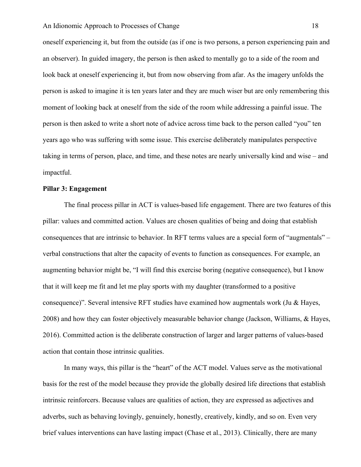oneself experiencing it, but from the outside (as if one is two persons, a person experiencing pain and an observer). In guided imagery, the person is then asked to mentally go to a side of the room and look back at oneself experiencing it, but from now observing from afar. As the imagery unfolds the person is asked to imagine it is ten years later and they are much wiser but are only remembering this moment of looking back at oneself from the side of the room while addressing a painful issue. The person is then asked to write a short note of advice across time back to the person called "you" ten years ago who was suffering with some issue. This exercise deliberately manipulates perspective taking in terms of person, place, and time, and these notes are nearly universally kind and wise – and impactful.

## **Pillar 3: Engagement**

The final process pillar in ACT is values-based life engagement. There are two features of this pillar: values and committed action. Values are chosen qualities of being and doing that establish consequences that are intrinsic to behavior. In RFT terms values are a special form of "augmentals" – verbal constructions that alter the capacity of events to function as consequences. For example, an augmenting behavior might be, "I will find this exercise boring (negative consequence), but I know that it will keep me fit and let me play sports with my daughter (transformed to a positive consequence)". Several intensive RFT studies have examined how augmentals work (Ju & Hayes, 2008) and how they can foster objectively measurable behavior change (Jackson, Williams, & Hayes, 2016). Committed action is the deliberate construction of larger and larger patterns of values-based action that contain those intrinsic qualities.

In many ways, this pillar is the "heart" of the ACT model. Values serve as the motivational basis for the rest of the model because they provide the globally desired life directions that establish intrinsic reinforcers. Because values are qualities of action, they are expressed as adjectives and adverbs, such as behaving lovingly, genuinely, honestly, creatively, kindly, and so on. Even very brief values interventions can have lasting impact (Chase et al., 2013). Clinically, there are many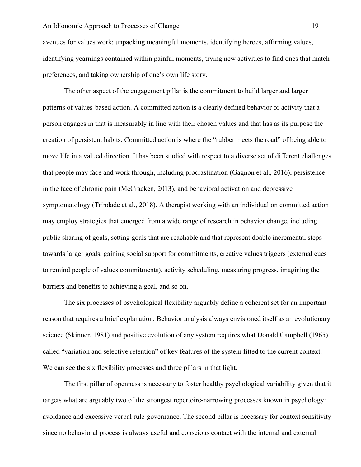avenues for values work: unpacking meaningful moments, identifying heroes, affirming values, identifying yearnings contained within painful moments, trying new activities to find ones that match preferences, and taking ownership of one's own life story.

The other aspect of the engagement pillar is the commitment to build larger and larger patterns of values-based action. A committed action is a clearly defined behavior or activity that a person engages in that is measurably in line with their chosen values and that has as its purpose the creation of persistent habits. Committed action is where the "rubber meets the road" of being able to move life in a valued direction. It has been studied with respect to a diverse set of different challenges that people may face and work through, including procrastination (Gagnon et al., 2016), persistence in the face of chronic pain (McCracken, 2013), and behavioral activation and depressive symptomatology (Trindade et al., 2018). A therapist working with an individual on committed action may employ strategies that emerged from a wide range of research in behavior change, including public sharing of goals, setting goals that are reachable and that represent doable incremental steps towards larger goals, gaining social support for commitments, creative values triggers (external cues to remind people of values commitments), activity scheduling, measuring progress, imagining the barriers and benefits to achieving a goal, and so on.

The six processes of psychological flexibility arguably define a coherent set for an important reason that requires a brief explanation. Behavior analysis always envisioned itself as an evolutionary science (Skinner, 1981) and positive evolution of any system requires what Donald Campbell (1965) called "variation and selective retention" of key features of the system fitted to the current context. We can see the six flexibility processes and three pillars in that light.

The first pillar of openness is necessary to foster healthy psychological variability given that it targets what are arguably two of the strongest repertoire-narrowing processes known in psychology: avoidance and excessive verbal rule-governance. The second pillar is necessary for context sensitivity since no behavioral process is always useful and conscious contact with the internal and external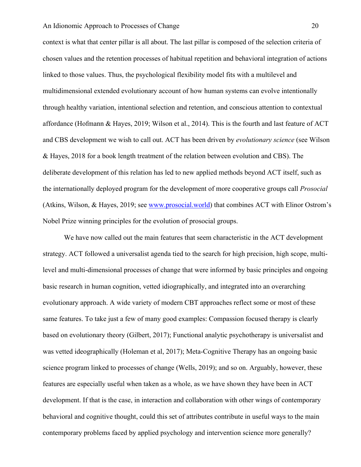context is what that center pillar is all about. The last pillar is composed of the selection criteria of chosen values and the retention processes of habitual repetition and behavioral integration of actions linked to those values. Thus, the psychological flexibility model fits with a multilevel and multidimensional extended evolutionary account of how human systems can evolve intentionally through healthy variation, intentional selection and retention, and conscious attention to contextual affordance (Hofmann & Hayes, 2019; Wilson et al., 2014). This is the fourth and last feature of ACT and CBS development we wish to call out. ACT has been driven by *evolutionary science* (see Wilson & Hayes, 2018 for a book length treatment of the relation between evolution and CBS). The deliberate development of this relation has led to new applied methods beyond ACT itself, such as the internationally deployed program for the development of more cooperative groups call *Prosocial* (Atkins, Wilson, & Hayes, 2019; see www.prosocial.world) that combines ACT with Elinor Ostrom's Nobel Prize winning principles for the evolution of prosocial groups.

We have now called out the main features that seem characteristic in the ACT development strategy. ACT followed a universalist agenda tied to the search for high precision, high scope, multilevel and multi-dimensional processes of change that were informed by basic principles and ongoing basic research in human cognition, vetted idiographically, and integrated into an overarching evolutionary approach. A wide variety of modern CBT approaches reflect some or most of these same features. To take just a few of many good examples: Compassion focused therapy is clearly based on evolutionary theory (Gilbert, 2017); Functional analytic psychotherapy is universalist and was vetted ideographically (Holeman et al, 2017); Meta-Cognitive Therapy has an ongoing basic science program linked to processes of change (Wells, 2019); and so on. Arguably, however, these features are especially useful when taken as a whole, as we have shown they have been in ACT development. If that is the case, in interaction and collaboration with other wings of contemporary behavioral and cognitive thought, could this set of attributes contribute in useful ways to the main contemporary problems faced by applied psychology and intervention science more generally?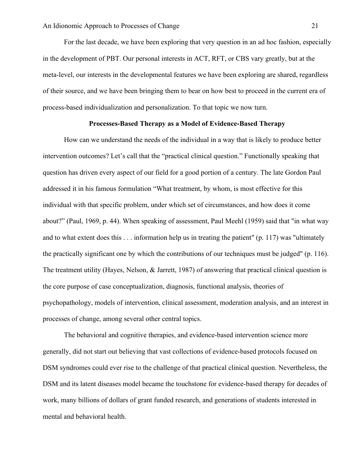For the last decade, we have been exploring that very question in an ad hoc fashion, especially in the development of PBT. Our personal interests in ACT, RFT, or CBS vary greatly, but at the meta-level, our interests in the developmental features we have been exploring are shared, regardless of their source, and we have been bringing them to bear on how best to proceed in the current era of process-based individualization and personalization. To that topic we now turn.

## **Processes-Based Therapy as a Model of Evidence-Based Therapy**

How can we understand the needs of the individual in a way that is likely to produce better intervention outcomes? Let's call that the "practical clinical question." Functionally speaking that question has driven every aspect of our field for a good portion of a century. The late Gordon Paul addressed it in his famous formulation "What treatment, by whom, is most effective for this individual with that specific problem, under which set of circumstances, and how does it come about?" (Paul, 1969, p. 44). When speaking of assessment, Paul Meehl (1959) said that "in what way and to what extent does this . . . information help us in treating the patient" (p. 117) was "ultimately the practically significant one by which the contributions of our techniques must be judged" (p. 116). The treatment utility (Hayes, Nelson, & Jarrett, 1987) of answering that practical clinical question is the core purpose of case conceptualization, diagnosis, functional analysis, theories of psychopathology, models of intervention, clinical assessment, moderation analysis, and an interest in processes of change, among several other central topics.

The behavioral and cognitive therapies, and evidence-based intervention science more generally, did not start out believing that vast collections of evidence-based protocols focused on DSM syndromes could ever rise to the challenge of that practical clinical question. Nevertheless, the DSM and its latent diseases model became the touchstone for evidence-based therapy for decades of work, many billions of dollars of grant funded research, and generations of students interested in mental and behavioral health.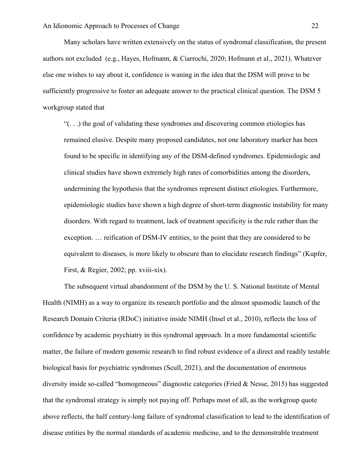Many scholars have written extensively on the status of syndromal classification, the present authors not excluded (e.g., Hayes, Hofmann, & Ciarrochi, 2020; Hofmann et al., 2021). Whatever else one wishes to say about it, confidence is waning in the idea that the DSM will prove to be sufficiently progressive to foster an adequate answer to the practical clinical question. The DSM 5 workgroup stated that

" $($ ...) the goal of validating these syndromes and discovering common etiologies has remained elusive. Despite many proposed candidates, not one laboratory marker has been found to be specific in identifying any of the DSM-defined syndromes. Epidemiologic and clinical studies have shown extremely high rates of comorbidities among the disorders, undermining the hypothesis that the syndromes represent distinct etiologies. Furthermore, epidemiologic studies have shown a high degree of short-term diagnostic instability for many disorders. With regard to treatment, lack of treatment specificity is the rule rather than the exception. … reification of DSM-IV entities, to the point that they are considered to be equivalent to diseases, is more likely to obscure than to elucidate research findings" (Kupfer, First, & Regier, 2002; pp. xviii-xix).

The subsequent virtual abandonment of the DSM by the U. S. National Institute of Mental Health (NIMH) as a way to organize its research portfolio and the almost spasmodic launch of the Research Domain Criteria (RDoC) initiative inside NIMH (Insel et al., 2010), reflects the loss of confidence by academic psychiatry in this syndromal approach. In a more fundamental scientific matter, the failure of modern genomic research to find robust evidence of a direct and readily testable biological basis for psychiatric syndromes (Scull, 2021), and the documentation of enormous diversity inside so-called "homogeneous" diagnostic categories (Fried & Nesse, 2015) has suggested that the syndromal strategy is simply not paying off. Perhaps most of all, as the workgroup quote above reflects, the half century-long failure of syndromal classification to lead to the identification of disease entities by the normal standards of academic medicine, and to the demonstrable treatment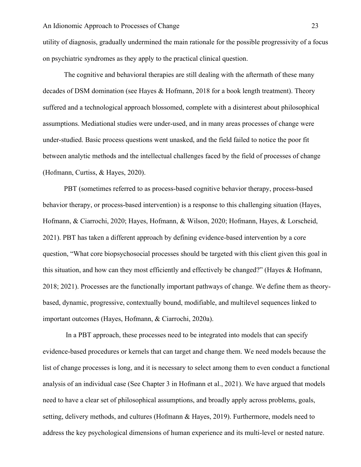utility of diagnosis, gradually undermined the main rationale for the possible progressivity of a focus on psychiatric syndromes as they apply to the practical clinical question.

The cognitive and behavioral therapies are still dealing with the aftermath of these many decades of DSM domination (see Hayes & Hofmann, 2018 for a book length treatment). Theory suffered and a technological approach blossomed, complete with a disinterest about philosophical assumptions. Mediational studies were under-used, and in many areas processes of change were under-studied. Basic process questions went unasked, and the field failed to notice the poor fit between analytic methods and the intellectual challenges faced by the field of processes of change (Hofmann, Curtiss, & Hayes, 2020).

PBT (sometimes referred to as process-based cognitive behavior therapy, process-based behavior therapy, or process-based intervention) is a response to this challenging situation (Hayes, Hofmann, & Ciarrochi, 2020; Hayes, Hofmann, & Wilson, 2020; Hofmann, Hayes, & Lorscheid, 2021). PBT has taken a different approach by defining evidence-based intervention by a core question, "What core biopsychosocial processes should be targeted with this client given this goal in this situation, and how can they most efficiently and effectively be changed?" (Hayes & Hofmann, 2018; 2021). Processes are the functionally important pathways of change. We define them as theorybased, dynamic, progressive, contextually bound, modifiable, and multilevel sequences linked to important outcomes (Hayes, Hofmann, & Ciarrochi, 2020a).

In a PBT approach, these processes need to be integrated into models that can specify evidence-based procedures or kernels that can target and change them. We need models because the list of change processes is long, and it is necessary to select among them to even conduct a functional analysis of an individual case (See Chapter 3 in Hofmann et al., 2021). We have argued that models need to have a clear set of philosophical assumptions, and broadly apply across problems, goals, setting, delivery methods, and cultures (Hofmann & Hayes, 2019). Furthermore, models need to address the key psychological dimensions of human experience and its multi-level or nested nature.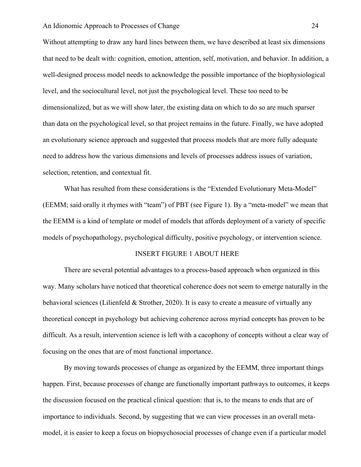Without attempting to draw any hard lines between them, we have described at least six dimensions that need to be dealt with: cognition, emotion, attention, self, motivation, and behavior. In addition, a well-designed process model needs to acknowledge the possible importance of the biophysiological level, and the sociocultural level, not just the psychological level. These too need to be dimensionalized, but as we will show later, the existing data on which to do so are much sparser than data on the psychological level, so that project remains in the future. Finally, we have adopted an evolutionary science approach and suggested that process models that are more fully adequate need to address how the various dimensions and levels of processes address issues of variation, selection, retention, and contextual fit.

What has resulted from these considerations is the "Extended Evolutionary Meta-Model" (EEMM; said orally it rhymes with "team") of PBT (see Figure 1). By a "meta-model" we mean that the EEMM is a kind of template or model of models that affords deployment of a variety of specific models of psychopathology, psychological difficulty, positive psychology, or intervention science.

# INSERT FIGURE 1 ABOUT HERE

There are several potential advantages to a process-based approach when organized in this way. Many scholars have noticed that theoretical coherence does not seem to emerge naturally in the behavioral sciences (Lilienfeld & Strother, 2020). It is easy to create a measure of virtually any theoretical concept in psychology but achieving coherence across myriad concepts has proven to be difficult. As a result, intervention science is left with a cacophony of concepts without a clear way of focusing on the ones that are of most functional importance.

By moving towards processes of change as organized by the EEMM, three important things happen. First, because processes of change are functionally important pathways to outcomes, it keeps the discussion focused on the practical clinical question: that is, to the means to ends that are of importance to individuals. Second, by suggesting that we can view processes in an overall metamodel, it is easier to keep a focus on biopsychosocial processes of change even if a particular model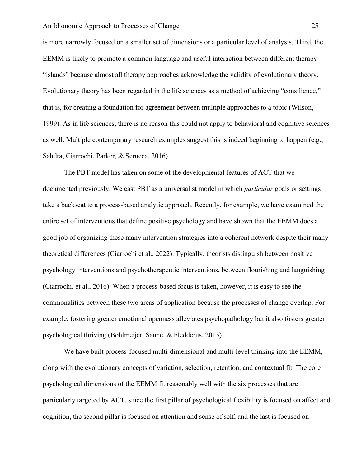is more narrowly focused on a smaller set of dimensions or a particular level of analysis. Third, the EEMM is likely to promote a common language and useful interaction between different therapy "islands" because almost all therapy approaches acknowledge the validity of evolutionary theory. Evolutionary theory has been regarded in the life sciences as a method of achieving "consilience," that is, for creating a foundation for agreement between multiple approaches to a topic (Wilson, 1999). As in life sciences, there is no reason this could not apply to behavioral and cognitive sciences as well. Multiple contemporary research examples suggest this is indeed beginning to happen (e.g., Sahdra, Ciarrochi, Parker, & Scrucca, 2016).

The PBT model has taken on some of the developmental features of ACT that we documented previously. We cast PBT as a universalist model in which *particular* goals or settings take a backseat to a process-based analytic approach. Recently, for example, we have examined the entire set of interventions that define positive psychology and have shown that the EEMM does a good job of organizing these many intervention strategies into a coherent network despite their many theoretical differences (Ciarrochi et al., 2022). Typically, theorists distinguish between positive psychology interventions and psychotherapeutic interventions, between flourishing and languishing (Ciarrochi, et al., 2016). When a process-based focus is taken, however, it is easy to see the commonalities between these two areas of application because the processes of change overlap. For example, fostering greater emotional openness alleviates psychopathology but it also fosters greater psychological thriving (Bohlmeijer, Sanne, & Fledderus, 2015).

We have built process-focused multi-dimensional and multi-level thinking into the EEMM, along with the evolutionary concepts of variation, selection, retention, and contextual fit. The core psychological dimensions of the EEMM fit reasonably well with the six processes that are particularly targeted by ACT, since the first pillar of psychological flexibility is focused on affect and cognition, the second pillar is focused on attention and sense of self, and the last is focused on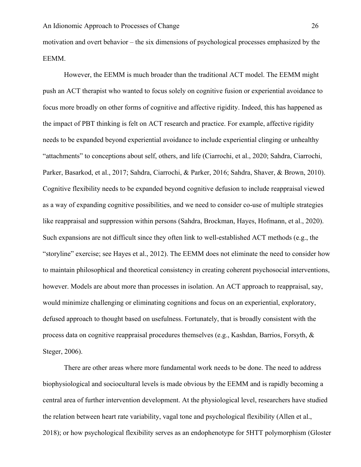motivation and overt behavior – the six dimensions of psychological processes emphasized by the EEMM.

However, the EEMM is much broader than the traditional ACT model. The EEMM might push an ACT therapist who wanted to focus solely on cognitive fusion or experiential avoidance to focus more broadly on other forms of cognitive and affective rigidity. Indeed, this has happened as the impact of PBT thinking is felt on ACT research and practice. For example, affective rigidity needs to be expanded beyond experiential avoidance to include experiential clinging or unhealthy "attachments" to conceptions about self, others, and life (Ciarrochi, et al., 2020; Sahdra, Ciarrochi, Parker, Basarkod, et al., 2017; Sahdra, Ciarrochi, & Parker, 2016; Sahdra, Shaver, & Brown, 2010). Cognitive flexibility needs to be expanded beyond cognitive defusion to include reappraisal viewed as a way of expanding cognitive possibilities, and we need to consider co-use of multiple strategies like reappraisal and suppression within persons (Sahdra, Brockman, Hayes, Hofmann, et al., 2020). Such expansions are not difficult since they often link to well-established ACT methods (e.g., the "storyline" exercise; see Hayes et al., 2012). The EEMM does not eliminate the need to consider how to maintain philosophical and theoretical consistency in creating coherent psychosocial interventions, however. Models are about more than processes in isolation. An ACT approach to reappraisal, say, would minimize challenging or eliminating cognitions and focus on an experiential, exploratory, defused approach to thought based on usefulness. Fortunately, that is broadly consistent with the process data on cognitive reappraisal procedures themselves (e.g., Kashdan, Barrios, Forsyth, & Steger, 2006).

There are other areas where more fundamental work needs to be done. The need to address biophysiological and sociocultural levels is made obvious by the EEMM and is rapidly becoming a central area of further intervention development. At the physiological level, researchers have studied the relation between heart rate variability, vagal tone and psychological flexibility (Allen et al., 2018); or how psychological flexibility serves as an endophenotype for 5HTT polymorphism (Gloster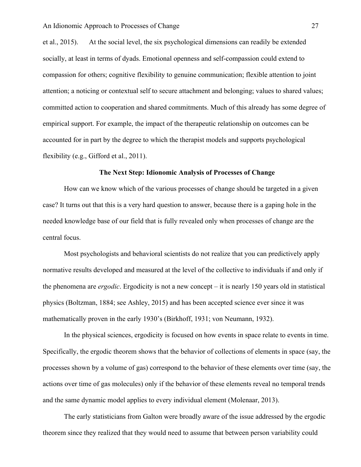et al., 2015). At the social level, the six psychological dimensions can readily be extended socially, at least in terms of dyads. Emotional openness and self-compassion could extend to compassion for others; cognitive flexibility to genuine communication; flexible attention to joint attention; a noticing or contextual self to secure attachment and belonging; values to shared values; committed action to cooperation and shared commitments. Much of this already has some degree of empirical support. For example, the impact of the therapeutic relationship on outcomes can be accounted for in part by the degree to which the therapist models and supports psychological flexibility (e.g., Gifford et al., 2011).

## **The Next Step: Idionomic Analysis of Processes of Change**

How can we know which of the various processes of change should be targeted in a given case? It turns out that this is a very hard question to answer, because there is a gaping hole in the needed knowledge base of our field that is fully revealed only when processes of change are the central focus.

Most psychologists and behavioral scientists do not realize that you can predictively apply normative results developed and measured at the level of the collective to individuals if and only if the phenomena are *ergodic*. Ergodicity is not a new concept – it is nearly 150 years old in statistical physics (Boltzman, 1884; see Ashley, 2015) and has been accepted science ever since it was mathematically proven in the early 1930's (Birkhoff, 1931; von Neumann, 1932).

In the physical sciences, ergodicity is focused on how events in space relate to events in time. Specifically, the ergodic theorem shows that the behavior of collections of elements in space (say, the processes shown by a volume of gas) correspond to the behavior of these elements over time (say, the actions over time of gas molecules) only if the behavior of these elements reveal no temporal trends and the same dynamic model applies to every individual element (Molenaar, 2013).

The early statisticians from Galton were broadly aware of the issue addressed by the ergodic theorem since they realized that they would need to assume that between person variability could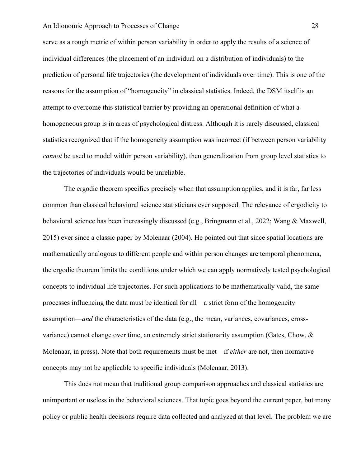serve as a rough metric of within person variability in order to apply the results of a science of individual differences (the placement of an individual on a distribution of individuals) to the prediction of personal life trajectories (the development of individuals over time). This is one of the reasons for the assumption of "homogeneity" in classical statistics. Indeed, the DSM itself is an attempt to overcome this statistical barrier by providing an operational definition of what a homogeneous group is in areas of psychological distress. Although it is rarely discussed, classical statistics recognized that if the homogeneity assumption was incorrect (if between person variability *cannot* be used to model within person variability), then generalization from group level statistics to the trajectories of individuals would be unreliable.

The ergodic theorem specifies precisely when that assumption applies, and it is far, far less common than classical behavioral science statisticians ever supposed. The relevance of ergodicity to behavioral science has been increasingly discussed (e.g., Bringmann et al., 2022; Wang & Maxwell, 2015) ever since a classic paper by Molenaar (2004). He pointed out that since spatial locations are mathematically analogous to different people and within person changes are temporal phenomena, the ergodic theorem limits the conditions under which we can apply normatively tested psychological concepts to individual life trajectories. For such applications to be mathematically valid, the same processes influencing the data must be identical for all—a strict form of the homogeneity assumption—*and* the characteristics of the data (e.g., the mean, variances, covariances, crossvariance) cannot change over time, an extremely strict stationarity assumption (Gates, Chow, & Molenaar, in press). Note that both requirements must be met—if *either* are not, then normative concepts may not be applicable to specific individuals (Molenaar, 2013).

This does not mean that traditional group comparison approaches and classical statistics are unimportant or useless in the behavioral sciences. That topic goes beyond the current paper, but many policy or public health decisions require data collected and analyzed at that level. The problem we are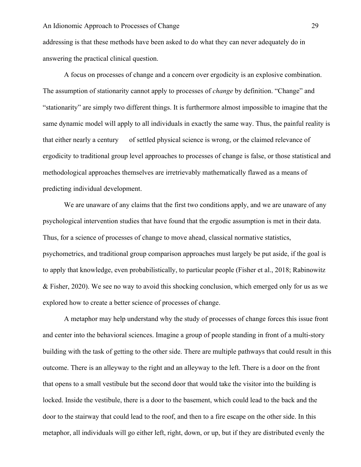addressing is that these methods have been asked to do what they can never adequately do in answering the practical clinical question.

A focus on processes of change and a concern over ergodicity is an explosive combination. The assumption of stationarity cannot apply to processes of *change* by definition. "Change" and "stationarity" are simply two different things. It is furthermore almost impossible to imagine that the same dynamic model will apply to all individuals in exactly the same way. Thus, the painful reality is that either nearly a century of settled physical science is wrong, or the claimed relevance of ergodicity to traditional group level approaches to processes of change is false, or those statistical and methodological approaches themselves are irretrievably mathematically flawed as a means of predicting individual development.

We are unaware of any claims that the first two conditions apply, and we are unaware of any psychological intervention studies that have found that the ergodic assumption is met in their data. Thus, for a science of processes of change to move ahead, classical normative statistics, psychometrics, and traditional group comparison approaches must largely be put aside, if the goal is to apply that knowledge, even probabilistically, to particular people (Fisher et al., 2018; Rabinowitz & Fisher, 2020). We see no way to avoid this shocking conclusion, which emerged only for us as we explored how to create a better science of processes of change.

A metaphor may help understand why the study of processes of change forces this issue front and center into the behavioral sciences. Imagine a group of people standing in front of a multi-story building with the task of getting to the other side. There are multiple pathways that could result in this outcome. There is an alleyway to the right and an alleyway to the left. There is a door on the front that opens to a small vestibule but the second door that would take the visitor into the building is locked. Inside the vestibule, there is a door to the basement, which could lead to the back and the door to the stairway that could lead to the roof, and then to a fire escape on the other side. In this metaphor, all individuals will go either left, right, down, or up, but if they are distributed evenly the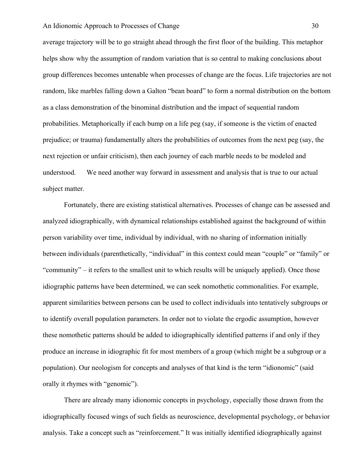average trajectory will be to go straight ahead through the first floor of the building. This metaphor helps show why the assumption of random variation that is so central to making conclusions about group differences becomes untenable when processes of change are the focus. Life trajectories are not random, like marbles falling down a Galton "bean board" to form a normal distribution on the bottom as a class demonstration of the binominal distribution and the impact of sequential random probabilities. Metaphorically if each bump on a life peg (say, if someone is the victim of enacted prejudice; or trauma) fundamentally alters the probabilities of outcomes from the next peg (say, the next rejection or unfair criticism), then each journey of each marble needs to be modeled and understood. We need another way forward in assessment and analysis that is true to our actual subject matter.

Fortunately, there are existing statistical alternatives. Processes of change can be assessed and analyzed idiographically, with dynamical relationships established against the background of within person variability over time, individual by individual, with no sharing of information initially between individuals (parenthetically, "individual" in this context could mean "couple" or "family" or "community" – it refers to the smallest unit to which results will be uniquely applied). Once those idiographic patterns have been determined, we can seek nomothetic commonalities. For example, apparent similarities between persons can be used to collect individuals into tentatively subgroups or to identify overall population parameters. In order not to violate the ergodic assumption, however these nomothetic patterns should be added to idiographically identified patterns if and only if they produce an increase in idiographic fit for most members of a group (which might be a subgroup or a population). Our neologism for concepts and analyses of that kind is the term "idionomic" (said orally it rhymes with "genomic").

There are already many idionomic concepts in psychology, especially those drawn from the idiographically focused wings of such fields as neuroscience, developmental psychology, or behavior analysis. Take a concept such as "reinforcement." It was initially identified idiographically against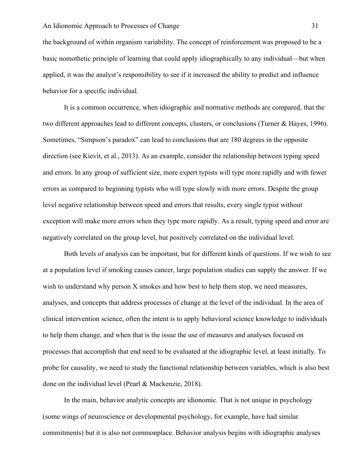the background of within organism variability. The concept of reinforcement was proposed to be a basic nomothetic principle of learning that could apply idiographically to any individual—but when applied, it was the analyst's responsibility to see if it increased the ability to predict and influence behavior for a specific individual.

It is a common occurrence, when idiographic and normative methods are compared, that the two different approaches lead to different concepts, clusters, or conclusions (Turner & Hayes, 1996). Sometimes, "Simpson's paradox" can lead to conclusions that are 180 degrees in the opposite direction (see Kievit, et al., 2013). As an example, consider the relationship between typing speed and errors. In any group of sufficient size, more expert typists will type more rapidly and with fewer errors as compared to beginning typists who will type slowly with more errors. Despite the group level negative relationship between speed and errors that results, every single typist without exception will make more errors when they type more rapidly. As a result, typing speed and error are negatively correlated on the group level, but positively correlated on the individual level.

Both levels of analysis can be important, but for different kinds of questions. If we wish to see at a population level if smoking causes cancer, large population studies can supply the answer. If we wish to understand why person X smokes and how best to help them stop, we need measures, analyses, and concepts that address processes of change at the level of the individual. In the area of clinical intervention science, often the intent is to apply behavioral science knowledge to individuals to help them change, and when that is the issue the use of measures and analyses focused on processes that accomplish that end need to be evaluated at the idiographic level, at least initially. To probe for causality, we need to study the functional relationship between variables, which is also best done on the individual level (Pearl & Mackenzie, 2018).

In the main, behavior analytic concepts are idionomic. That is not unique in psychology (some wings of neuroscience or developmental psychology, for example, have had similar commitments) but it is also not commonplace. Behavior analysis begins with idiographic analyses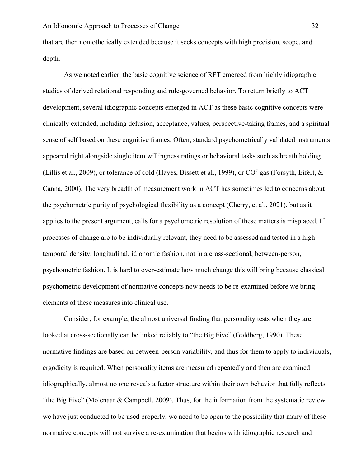that are then nomothetically extended because it seeks concepts with high precision, scope, and depth.

As we noted earlier, the basic cognitive science of RFT emerged from highly idiographic studies of derived relational responding and rule-governed behavior. To return briefly to ACT development, several idiographic concepts emerged in ACT as these basic cognitive concepts were clinically extended, including defusion, acceptance, values, perspective-taking frames, and a spiritual sense of self based on these cognitive frames. Often, standard psychometrically validated instruments appeared right alongside single item willingness ratings or behavioral tasks such as breath holding (Lillis et al., 2009), or tolerance of cold (Hayes, Bissett et al., 1999), or  $CO^2$  gas (Forsyth, Eifert,  $\&$ Canna, 2000). The very breadth of measurement work in ACT has sometimes led to concerns about the psychometric purity of psychological flexibility as a concept (Cherry, et al., 2021), but as it applies to the present argument, calls for a psychometric resolution of these matters is misplaced. If processes of change are to be individually relevant, they need to be assessed and tested in a high temporal density, longitudinal, idionomic fashion, not in a cross-sectional, between-person, psychometric fashion. It is hard to over-estimate how much change this will bring because classical psychometric development of normative concepts now needs to be re-examined before we bring elements of these measures into clinical use.

Consider, for example, the almost universal finding that personality tests when they are looked at cross-sectionally can be linked reliably to "the Big Five" (Goldberg, 1990). These normative findings are based on between-person variability, and thus for them to apply to individuals, ergodicity is required. When personality items are measured repeatedly and then are examined idiographically, almost no one reveals a factor structure within their own behavior that fully reflects "the Big Five" (Molenaar & Campbell, 2009). Thus, for the information from the systematic review we have just conducted to be used properly, we need to be open to the possibility that many of these normative concepts will not survive a re-examination that begins with idiographic research and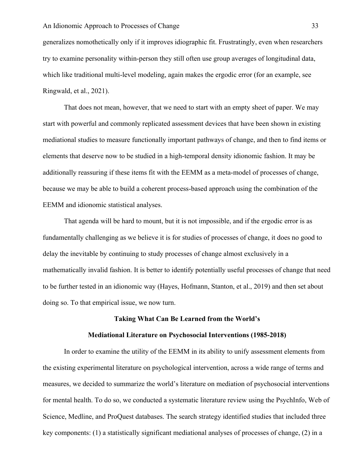generalizes nomothetically only if it improves idiographic fit. Frustratingly, even when researchers try to examine personality within-person they still often use group averages of longitudinal data, which like traditional multi-level modeling, again makes the ergodic error (for an example, see Ringwald, et al., 2021).

That does not mean, however, that we need to start with an empty sheet of paper. We may start with powerful and commonly replicated assessment devices that have been shown in existing mediational studies to measure functionally important pathways of change, and then to find items or elements that deserve now to be studied in a high-temporal density idionomic fashion. It may be additionally reassuring if these items fit with the EEMM as a meta-model of processes of change, because we may be able to build a coherent process-based approach using the combination of the EEMM and idionomic statistical analyses.

That agenda will be hard to mount, but it is not impossible, and if the ergodic error is as fundamentally challenging as we believe it is for studies of processes of change, it does no good to delay the inevitable by continuing to study processes of change almost exclusively in a mathematically invalid fashion. It is better to identify potentially useful processes of change that need to be further tested in an idionomic way (Hayes, Hofmann, Stanton, et al., 2019) and then set about doing so. To that empirical issue, we now turn.

#### **Taking What Can Be Learned from the World's**

#### **Mediational Literature on Psychosocial Interventions (1985-2018)**

In order to examine the utility of the EEMM in its ability to unify assessment elements from the existing experimental literature on psychological intervention, across a wide range of terms and measures, we decided to summarize the world's literature on mediation of psychosocial interventions for mental health. To do so, we conducted a systematic literature review using the PsychInfo, Web of Science, Medline, and ProQuest databases. The search strategy identified studies that included three key components: (1) a statistically significant mediational analyses of processes of change, (2) in a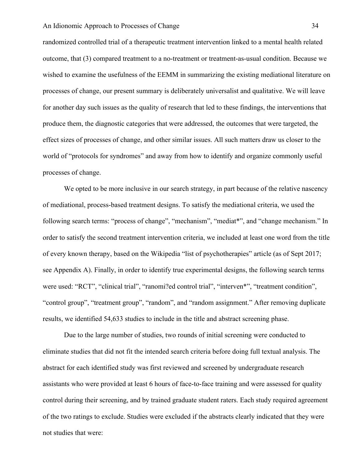randomized controlled trial of a therapeutic treatment intervention linked to a mental health related outcome, that (3) compared treatment to a no-treatment or treatment-as-usual condition. Because we wished to examine the usefulness of the EEMM in summarizing the existing mediational literature on processes of change, our present summary is deliberately universalist and qualitative. We will leave for another day such issues as the quality of research that led to these findings, the interventions that produce them, the diagnostic categories that were addressed, the outcomes that were targeted, the effect sizes of processes of change, and other similar issues. All such matters draw us closer to the world of "protocols for syndromes" and away from how to identify and organize commonly useful processes of change.

We opted to be more inclusive in our search strategy, in part because of the relative nascency of mediational, process-based treatment designs. To satisfy the mediational criteria, we used the following search terms: "process of change", "mechanism", "mediat\*", and "change mechanism." In order to satisfy the second treatment intervention criteria, we included at least one word from the title of every known therapy, based on the Wikipedia "list of psychotherapies" article (as of Sept 2017; see Appendix A). Finally, in order to identify true experimental designs, the following search terms were used: "RCT", "clinical trial", "ranomi?ed control trial", "interven\*", "treatment condition", "control group", "treatment group", "random", and "random assignment." After removing duplicate results, we identified 54,633 studies to include in the title and abstract screening phase.

Due to the large number of studies, two rounds of initial screening were conducted to eliminate studies that did not fit the intended search criteria before doing full textual analysis. The abstract for each identified study was first reviewed and screened by undergraduate research assistants who were provided at least 6 hours of face-to-face training and were assessed for quality control during their screening, and by trained graduate student raters. Each study required agreement of the two ratings to exclude. Studies were excluded if the abstracts clearly indicated that they were not studies that were: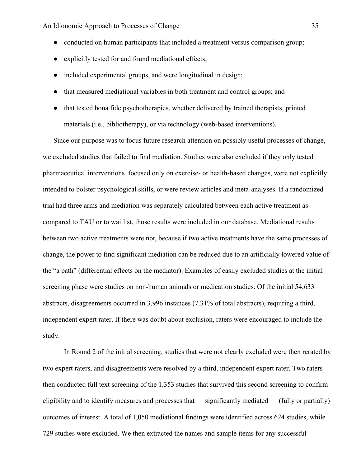- conducted on human participants that included a treatment versus comparison group;
- explicitly tested for and found mediational effects;
- included experimental groups, and were longitudinal in design;
- that measured mediational variables in both treatment and control groups; and
- that tested bona fide psychotherapies, whether delivered by trained therapists, printed materials (i.e., bibliotherapy), or via technology (web-based interventions).

Since our purpose was to focus future research attention on possibly useful processes of change, we excluded studies that failed to find mediation. Studies were also excluded if they only tested pharmaceutical interventions, focused only on exercise- or health-based changes, were not explicitly intended to bolster psychological skills, or were review articles and meta-analyses. If a randomized trial had three arms and mediation was separately calculated between each active treatment as compared to TAU or to waitlist, those results were included in our database. Mediational results between two active treatments were not, because if two active treatments have the same processes of change, the power to find significant mediation can be reduced due to an artificially lowered value of the "a path" (differential effects on the mediator). Examples of easily excluded studies at the initial screening phase were studies on non-human animals or medication studies. Of the initial 54,633 abstracts, disagreements occurred in 3,996 instances (7.31% of total abstracts), requiring a third, independent expert rater. If there was doubt about exclusion, raters were encouraged to include the study.

In Round 2 of the initial screening, studies that were not clearly excluded were then rerated by two expert raters, and disagreements were resolved by a third, independent expert rater. Two raters then conducted full text screening of the 1,353 studies that survived this second screening to confirm eligibility and to identify measures and processes that significantly mediated (fully or partially) outcomes of interest. A total of 1,050 mediational findings were identified across 624 studies, while 729 studies were excluded. We then extracted the names and sample items for any successful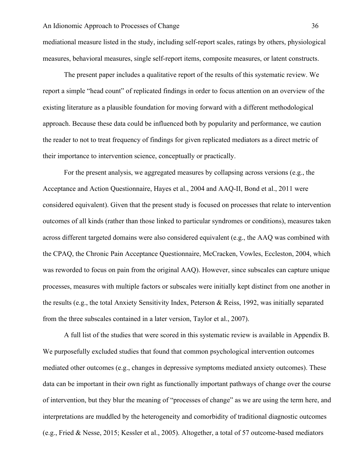mediational measure listed in the study, including self-report scales, ratings by others, physiological measures, behavioral measures, single self-report items, composite measures, or latent constructs.

The present paper includes a qualitative report of the results of this systematic review. We report a simple "head count" of replicated findings in order to focus attention on an overview of the existing literature as a plausible foundation for moving forward with a different methodological approach. Because these data could be influenced both by popularity and performance, we caution the reader to not to treat frequency of findings for given replicated mediators as a direct metric of their importance to intervention science, conceptually or practically.

For the present analysis, we aggregated measures by collapsing across versions (e.g., the Acceptance and Action Questionnaire, Hayes et al., 2004 and AAQ-II, Bond et al., 2011 were considered equivalent). Given that the present study is focused on processes that relate to intervention outcomes of all kinds (rather than those linked to particular syndromes or conditions), measures taken across different targeted domains were also considered equivalent (e.g., the AAQ was combined with the CPAQ, the Chronic Pain Acceptance Questionnaire, McCracken, Vowles, Eccleston, 2004, which was reworded to focus on pain from the original AAQ). However, since subscales can capture unique processes, measures with multiple factors or subscales were initially kept distinct from one another in the results (e.g., the total Anxiety Sensitivity Index, Peterson & Reiss, 1992, was initially separated from the three subscales contained in a later version, Taylor et al., 2007).

A full list of the studies that were scored in this systematic review is available in Appendix B. We purposefully excluded studies that found that common psychological intervention outcomes mediated other outcomes (e.g., changes in depressive symptoms mediated anxiety outcomes). These data can be important in their own right as functionally important pathways of change over the course of intervention, but they blur the meaning of "processes of change" as we are using the term here, and interpretations are muddled by the heterogeneity and comorbidity of traditional diagnostic outcomes (e.g., Fried & Nesse, 2015; Kessler et al., 2005). Altogether, a total of 57 outcome-based mediators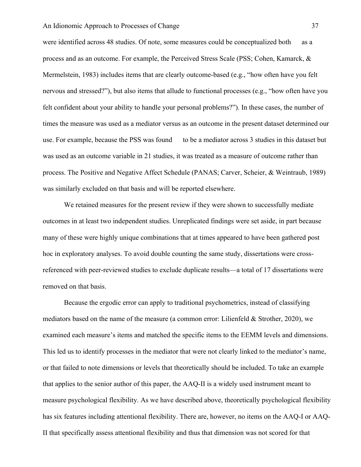were identified across 48 studies. Of note, some measures could be conceptualized both as a process and as an outcome. For example, the Perceived Stress Scale (PSS; Cohen, Kamarck, & Mermelstein, 1983) includes items that are clearly outcome-based (e.g., "how often have you felt nervous and stressed?"), but also items that allude to functional processes (e.g., "how often have you felt confident about your ability to handle your personal problems?"). In these cases, the number of times the measure was used as a mediator versus as an outcome in the present dataset determined our use. For example, because the PSS was found to be a mediator across 3 studies in this dataset but was used as an outcome variable in 21 studies, it was treated as a measure of outcome rather than process. The Positive and Negative Affect Schedule (PANAS; Carver, Scheier, & Weintraub, 1989) was similarly excluded on that basis and will be reported elsewhere.

We retained measures for the present review if they were shown to successfully mediate outcomes in at least two independent studies. Unreplicated findings were set aside, in part because many of these were highly unique combinations that at times appeared to have been gathered post hoc in exploratory analyses. To avoid double counting the same study, dissertations were crossreferenced with peer-reviewed studies to exclude duplicate results—a total of 17 dissertations were removed on that basis.

Because the ergodic error can apply to traditional psychometrics, instead of classifying mediators based on the name of the measure (a common error: Lilienfeld & Strother, 2020), we examined each measure's items and matched the specific items to the EEMM levels and dimensions. This led us to identify processes in the mediator that were not clearly linked to the mediator's name, or that failed to note dimensions or levels that theoretically should be included. To take an example that applies to the senior author of this paper, the AAQ-II is a widely used instrument meant to measure psychological flexibility. As we have described above, theoretically psychological flexibility has six features including attentional flexibility. There are, however, no items on the AAQ-I or AAQ-II that specifically assess attentional flexibility and thus that dimension was not scored for that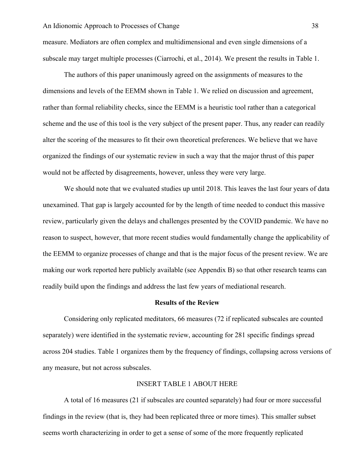measure. Mediators are often complex and multidimensional and even single dimensions of a subscale may target multiple processes (Ciarrochi, et al., 2014). We present the results in Table 1.

The authors of this paper unanimously agreed on the assignments of measures to the dimensions and levels of the EEMM shown in Table 1. We relied on discussion and agreement, rather than formal reliability checks, since the EEMM is a heuristic tool rather than a categorical scheme and the use of this tool is the very subject of the present paper. Thus, any reader can readily alter the scoring of the measures to fit their own theoretical preferences. We believe that we have organized the findings of our systematic review in such a way that the major thrust of this paper would not be affected by disagreements, however, unless they were very large.

We should note that we evaluated studies up until 2018. This leaves the last four years of data unexamined. That gap is largely accounted for by the length of time needed to conduct this massive review, particularly given the delays and challenges presented by the COVID pandemic. We have no reason to suspect, however, that more recent studies would fundamentally change the applicability of the EEMM to organize processes of change and that is the major focus of the present review. We are making our work reported here publicly available (see Appendix B) so that other research teams can readily build upon the findings and address the last few years of mediational research.

#### **Results of the Review**

Considering only replicated meditators, 66 measures (72 if replicated subscales are counted separately) were identified in the systematic review, accounting for 281 specific findings spread across 204 studies. Table 1 organizes them by the frequency of findings, collapsing across versions of any measure, but not across subscales.

# INSERT TABLE 1 ABOUT HERE

A total of 16 measures (21 if subscales are counted separately) had four or more successful findings in the review (that is, they had been replicated three or more times). This smaller subset seems worth characterizing in order to get a sense of some of the more frequently replicated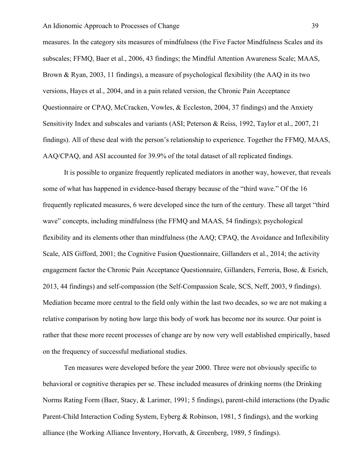measures. In the category sits measures of mindfulness (the Five Factor Mindfulness Scales and its subscales; FFMQ, Baer et al., 2006, 43 findings; the Mindful Attention Awareness Scale; MAAS, Brown & Ryan, 2003, 11 findings), a measure of psychological flexibility (the AAQ in its two versions, Hayes et al., 2004, and in a pain related version, the Chronic Pain Acceptance Questionnaire or CPAQ, McCracken, Vowles, & Eccleston, 2004, 37 findings) and the Anxiety Sensitivity Index and subscales and variants (ASI; Peterson & Reiss, 1992, Taylor et al., 2007, 21 findings). All of these deal with the person's relationship to experience. Together the FFMQ, MAAS, AAQ/CPAQ, and ASI accounted for 39.9% of the total dataset of all replicated findings.

It is possible to organize frequently replicated mediators in another way, however, that reveals some of what has happened in evidence-based therapy because of the "third wave." Of the 16 frequently replicated measures, 6 were developed since the turn of the century. These all target "third wave" concepts, including mindfulness (the FFMQ and MAAS, 54 findings); psychological flexibility and its elements other than mindfulness (the AAQ; CPAQ, the Avoidance and Inflexibility Scale, AIS Gifford, 2001; the Cognitive Fusion Questionnaire, Gillanders et al., 2014; the activity engagement factor the Chronic Pain Acceptance Questionnaire, Gillanders, Ferreria, Bose, & Esrich, 2013, 44 findings) and self-compassion (the Self-Compassion Scale, SCS, Neff, 2003, 9 findings). Mediation became more central to the field only within the last two decades, so we are not making a relative comparison by noting how large this body of work has become nor its source. Our point is rather that these more recent processes of change are by now very well established empirically, based on the frequency of successful mediational studies.

Ten measures were developed before the year 2000. Three were not obviously specific to behavioral or cognitive therapies per se. These included measures of drinking norms (the Drinking Norms Rating Form (Baer, Stacy, & Larimer, 1991; 5 findings), parent-child interactions (the Dyadic Parent-Child Interaction Coding System, Eyberg & Robinson, 1981, 5 findings), and the working alliance (the Working Alliance Inventory, Horvath, & Greenberg, 1989, 5 findings).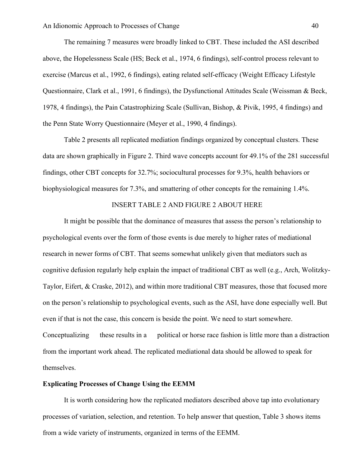The remaining 7 measures were broadly linked to CBT. These included the ASI described above, the Hopelessness Scale (HS; Beck et al., 1974, 6 findings), self-control process relevant to exercise (Marcus et al., 1992, 6 findings), eating related self-efficacy (Weight Efficacy Lifestyle Questionnaire, Clark et al., 1991, 6 findings), the Dysfunctional Attitudes Scale (Weissman & Beck, 1978, 4 findings), the Pain Catastrophizing Scale (Sullivan, Bishop, & Pivik, 1995, 4 findings) and the Penn State Worry Questionnaire (Meyer et al., 1990, 4 findings).

Table 2 presents all replicated mediation findings organized by conceptual clusters. These data are shown graphically in Figure 2. Third wave concepts account for 49.1% of the 281 successful findings, other CBT concepts for 32.7%; sociocultural processes for 9.3%, health behaviors or biophysiological measures for 7.3%, and smattering of other concepts for the remaining 1.4%.

## INSERT TABLE 2 AND FIGURE 2 ABOUT HERE

It might be possible that the dominance of measures that assess the person's relationship to psychological events over the form of those events is due merely to higher rates of mediational research in newer forms of CBT. That seems somewhat unlikely given that mediators such as cognitive defusion regularly help explain the impact of traditional CBT as well (e.g., Arch, Wolitzky-Taylor, Eifert, & Craske, 2012), and within more traditional CBT measures, those that focused more on the person's relationship to psychological events, such as the ASI, have done especially well. But even if that is not the case, this concern is beside the point. We need to start somewhere. Conceptualizing these results in a political or horse race fashion is little more than a distraction from the important work ahead. The replicated mediational data should be allowed to speak for themselves.

## **Explicating Processes of Change Using the EEMM**

It is worth considering how the replicated mediators described above tap into evolutionary processes of variation, selection, and retention. To help answer that question, Table 3 shows items from a wide variety of instruments, organized in terms of the EEMM.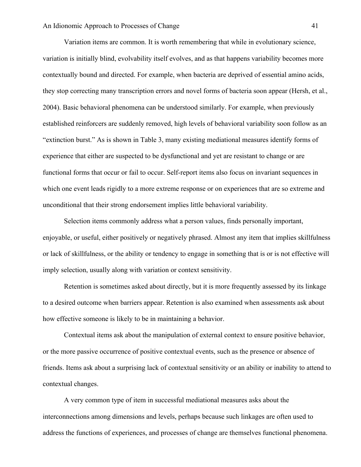Variation items are common. It is worth remembering that while in evolutionary science, variation is initially blind, evolvability itself evolves, and as that happens variability becomes more contextually bound and directed. For example, when bacteria are deprived of essential amino acids, they stop correcting many transcription errors and novel forms of bacteria soon appear (Hersh, et al., 2004). Basic behavioral phenomena can be understood similarly. For example, when previously established reinforcers are suddenly removed, high levels of behavioral variability soon follow as an "extinction burst." As is shown in Table 3, many existing mediational measures identify forms of experience that either are suspected to be dysfunctional and yet are resistant to change or are functional forms that occur or fail to occur. Self-report items also focus on invariant sequences in which one event leads rigidly to a more extreme response or on experiences that are so extreme and unconditional that their strong endorsement implies little behavioral variability.

Selection items commonly address what a person values, finds personally important, enjoyable, or useful, either positively or negatively phrased. Almost any item that implies skillfulness or lack of skillfulness, or the ability or tendency to engage in something that is or is not effective will imply selection, usually along with variation or context sensitivity.

Retention is sometimes asked about directly, but it is more frequently assessed by its linkage to a desired outcome when barriers appear. Retention is also examined when assessments ask about how effective someone is likely to be in maintaining a behavior.

Contextual items ask about the manipulation of external context to ensure positive behavior, or the more passive occurrence of positive contextual events, such as the presence or absence of friends. Items ask about a surprising lack of contextual sensitivity or an ability or inability to attend to contextual changes.

A very common type of item in successful mediational measures asks about the interconnections among dimensions and levels, perhaps because such linkages are often used to address the functions of experiences, and processes of change are themselves functional phenomena.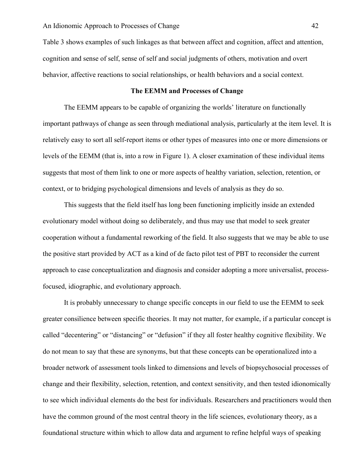Table 3 shows examples of such linkages as that between affect and cognition, affect and attention, cognition and sense of self, sense of self and social judgments of others, motivation and overt behavior, affective reactions to social relationships, or health behaviors and a social context.

## **The EEMM and Processes of Change**

The EEMM appears to be capable of organizing the worlds' literature on functionally important pathways of change as seen through mediational analysis, particularly at the item level. It is relatively easy to sort all self-report items or other types of measures into one or more dimensions or levels of the EEMM (that is, into a row in Figure 1). A closer examination of these individual items suggests that most of them link to one or more aspects of healthy variation, selection, retention, or context, or to bridging psychological dimensions and levels of analysis as they do so.

This suggests that the field itself has long been functioning implicitly inside an extended evolutionary model without doing so deliberately, and thus may use that model to seek greater cooperation without a fundamental reworking of the field. It also suggests that we may be able to use the positive start provided by ACT as a kind of de facto pilot test of PBT to reconsider the current approach to case conceptualization and diagnosis and consider adopting a more universalist, processfocused, idiographic, and evolutionary approach.

It is probably unnecessary to change specific concepts in our field to use the EEMM to seek greater consilience between specific theories. It may not matter, for example, if a particular concept is called "decentering" or "distancing" or "defusion" if they all foster healthy cognitive flexibility. We do not mean to say that these are synonyms, but that these concepts can be operationalized into a broader network of assessment tools linked to dimensions and levels of biopsychosocial processes of change and their flexibility, selection, retention, and context sensitivity, and then tested idionomically to see which individual elements do the best for individuals. Researchers and practitioners would then have the common ground of the most central theory in the life sciences, evolutionary theory, as a foundational structure within which to allow data and argument to refine helpful ways of speaking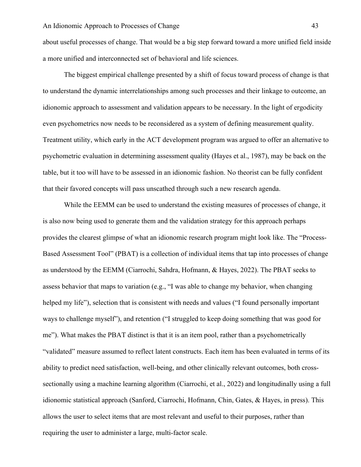about useful processes of change. That would be a big step forward toward a more unified field inside a more unified and interconnected set of behavioral and life sciences.

The biggest empirical challenge presented by a shift of focus toward process of change is that to understand the dynamic interrelationships among such processes and their linkage to outcome, an idionomic approach to assessment and validation appears to be necessary. In the light of ergodicity even psychometrics now needs to be reconsidered as a system of defining measurement quality. Treatment utility, which early in the ACT development program was argued to offer an alternative to psychometric evaluation in determining assessment quality (Hayes et al., 1987), may be back on the table, but it too will have to be assessed in an idionomic fashion. No theorist can be fully confident that their favored concepts will pass unscathed through such a new research agenda.

While the EEMM can be used to understand the existing measures of processes of change, it is also now being used to generate them and the validation strategy for this approach perhaps provides the clearest glimpse of what an idionomic research program might look like. The "Process-Based Assessment Tool" (PBAT) is a collection of individual items that tap into processes of change as understood by the EEMM (Ciarrochi, Sahdra, Hofmann, & Hayes, 2022). The PBAT seeks to assess behavior that maps to variation (e.g., "I was able to change my behavior, when changing helped my life"), selection that is consistent with needs and values ("I found personally important ways to challenge myself"), and retention ("I struggled to keep doing something that was good for me"). What makes the PBAT distinct is that it is an item pool, rather than a psychometrically "validated" measure assumed to reflect latent constructs. Each item has been evaluated in terms of its ability to predict need satisfaction, well-being, and other clinically relevant outcomes, both crosssectionally using a machine learning algorithm (Ciarrochi, et al., 2022) and longitudinally using a full idionomic statistical approach (Sanford, Ciarrochi, Hofmann, Chin, Gates, & Hayes, in press). This allows the user to select items that are most relevant and useful to their purposes, rather than requiring the user to administer a large, multi-factor scale.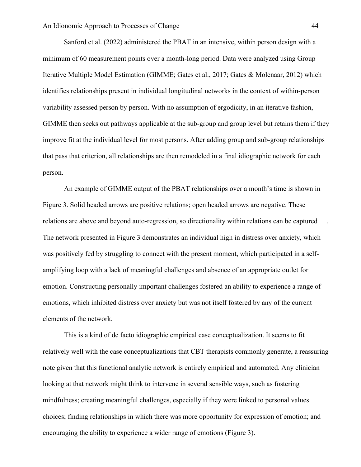Sanford et al. (2022) administered the PBAT in an intensive, within person design with a minimum of 60 measurement points over a month-long period. Data were analyzed using Group Iterative Multiple Model Estimation (GIMME; Gates et al., 2017; Gates & Molenaar, 2012) which identifies relationships present in individual longitudinal networks in the context of within-person variability assessed person by person. With no assumption of ergodicity, in an iterative fashion, GIMME then seeks out pathways applicable at the sub-group and group level but retains them if they improve fit at the individual level for most persons. After adding group and sub-group relationships that pass that criterion, all relationships are then remodeled in a final idiographic network for each person.

An example of GIMME output of the PBAT relationships over a month's time is shown in Figure 3. Solid headed arrows are positive relations; open headed arrows are negative. These relations are above and beyond auto-regression, so directionality within relations can be captured . The network presented in Figure 3 demonstrates an individual high in distress over anxiety, which was positively fed by struggling to connect with the present moment, which participated in a selfamplifying loop with a lack of meaningful challenges and absence of an appropriate outlet for emotion. Constructing personally important challenges fostered an ability to experience a range of emotions, which inhibited distress over anxiety but was not itself fostered by any of the current elements of the network.

This is a kind of de facto idiographic empirical case conceptualization. It seems to fit relatively well with the case conceptualizations that CBT therapists commonly generate, a reassuring note given that this functional analytic network is entirely empirical and automated. Any clinician looking at that network might think to intervene in several sensible ways, such as fostering mindfulness; creating meaningful challenges, especially if they were linked to personal values choices; finding relationships in which there was more opportunity for expression of emotion; and encouraging the ability to experience a wider range of emotions (Figure 3).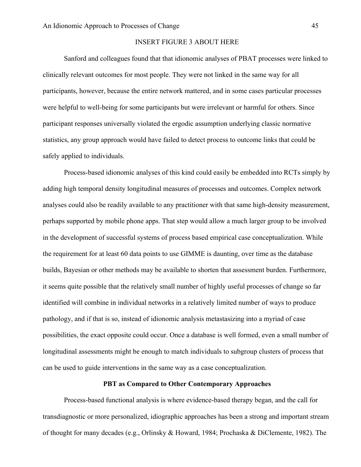## INSERT FIGURE 3 ABOUT HERE

Sanford and colleagues found that that idionomic analyses of PBAT processes were linked to clinically relevant outcomes for most people. They were not linked in the same way for all participants, however, because the entire network mattered, and in some cases particular processes were helpful to well-being for some participants but were irrelevant or harmful for others. Since participant responses universally violated the ergodic assumption underlying classic normative statistics, any group approach would have failed to detect process to outcome links that could be safely applied to individuals.

Process-based idionomic analyses of this kind could easily be embedded into RCTs simply by adding high temporal density longitudinal measures of processes and outcomes. Complex network analyses could also be readily available to any practitioner with that same high-density measurement, perhaps supported by mobile phone apps. That step would allow a much larger group to be involved in the development of successful systems of process based empirical case conceptualization. While the requirement for at least 60 data points to use GIMME is daunting, over time as the database builds, Bayesian or other methods may be available to shorten that assessment burden. Furthermore, it seems quite possible that the relatively small number of highly useful processes of change so far identified will combine in individual networks in a relatively limited number of ways to produce pathology, and if that is so, instead of idionomic analysis metastasizing into a myriad of case possibilities, the exact opposite could occur. Once a database is well formed, even a small number of longitudinal assessments might be enough to match individuals to subgroup clusters of process that can be used to guide interventions in the same way as a case conceptualization.

## **PBT as Compared to Other Contemporary Approaches**

Process-based functional analysis is where evidence-based therapy began, and the call for transdiagnostic or more personalized, idiographic approaches has been a strong and important stream of thought for many decades (e.g., Orlinsky & Howard, 1984; Prochaska & DiClemente, 1982). The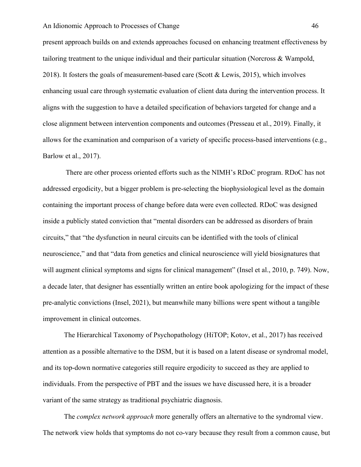#### An Idionomic Approach to Processes of Change 46

present approach builds on and extends approaches focused on enhancing treatment effectiveness by tailoring treatment to the unique individual and their particular situation (Norcross & Wampold, 2018). It fosters the goals of measurement-based care (Scott & Lewis, 2015), which involves enhancing usual care through systematic evaluation of client data during the intervention process. It aligns with the suggestion to have a detailed specification of behaviors targeted for change and a close alignment between intervention components and outcomes (Presseau et al., 2019). Finally, it allows for the examination and comparison of a variety of specific process-based interventions (e.g., Barlow et al., 2017).

There are other process oriented efforts such as the NIMH's RDoC program. RDoC has not addressed ergodicity, but a bigger problem is pre-selecting the biophysiological level as the domain containing the important process of change before data were even collected. RDoC was designed inside a publicly stated conviction that "mental disorders can be addressed as disorders of brain circuits," that "the dysfunction in neural circuits can be identified with the tools of clinical neuroscience," and that "data from genetics and clinical neuroscience will yield biosignatures that will augment clinical symptoms and signs for clinical management" (Insel et al., 2010, p. 749). Now, a decade later, that designer has essentially written an entire book apologizing for the impact of these pre-analytic convictions (Insel, 2021), but meanwhile many billions were spent without a tangible improvement in clinical outcomes.

The Hierarchical Taxonomy of Psychopathology (HiTOP; Kotov, et al., 2017) has received attention as a possible alternative to the DSM, but it is based on a latent disease or syndromal model, and its top-down normative categories still require ergodicity to succeed as they are applied to individuals. From the perspective of PBT and the issues we have discussed here, it is a broader variant of the same strategy as traditional psychiatric diagnosis.

The *complex network approach* more generally offers an alternative to the syndromal view. The network view holds that symptoms do not co-vary because they result from a common cause, but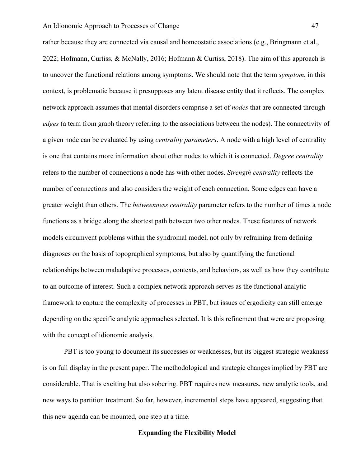#### An Idionomic Approach to Processes of Change 47

rather because they are connected via causal and homeostatic associations (e.g., Bringmann et al., 2022; Hofmann, Curtiss, & McNally, 2016; Hofmann & Curtiss, 2018). The aim of this approach is to uncover the functional relations among symptoms. We should note that the term *symptom*, in this context, is problematic because it presupposes any latent disease entity that it reflects. The complex network approach assumes that mental disorders comprise a set of *nodes* that are connected through *edges* (a term from graph theory referring to the associations between the nodes). The connectivity of a given node can be evaluated by using *centrality parameters*. A node with a high level of centrality is one that contains more information about other nodes to which it is connected. *Degree centrality* refers to the number of connections a node has with other nodes. *Strength centrality* reflects the number of connections and also considers the weight of each connection. Some edges can have a greater weight than others. The *betweenness centrality* parameter refers to the number of times a node functions as a bridge along the shortest path between two other nodes. These features of network models circumvent problems within the syndromal model, not only by refraining from defining diagnoses on the basis of topographical symptoms, but also by quantifying the functional relationships between maladaptive processes, contexts, and behaviors, as well as how they contribute to an outcome of interest. Such a complex network approach serves as the functional analytic framework to capture the complexity of processes in PBT, but issues of ergodicity can still emerge depending on the specific analytic approaches selected. It is this refinement that were are proposing with the concept of idionomic analysis.

PBT is too young to document its successes or weaknesses, but its biggest strategic weakness is on full display in the present paper. The methodological and strategic changes implied by PBT are considerable. That is exciting but also sobering. PBT requires new measures, new analytic tools, and new ways to partition treatment. So far, however, incremental steps have appeared, suggesting that this new agenda can be mounted, one step at a time.

#### **Expanding the Flexibility Model**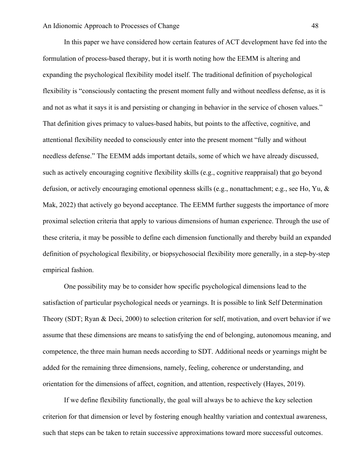In this paper we have considered how certain features of ACT development have fed into the formulation of process-based therapy, but it is worth noting how the EEMM is altering and expanding the psychological flexibility model itself. The traditional definition of psychological flexibility is "consciously contacting the present moment fully and without needless defense, as it is and not as what it says it is and persisting or changing in behavior in the service of chosen values." That definition gives primacy to values-based habits, but points to the affective, cognitive, and attentional flexibility needed to consciously enter into the present moment "fully and without needless defense." The EEMM adds important details, some of which we have already discussed, such as actively encouraging cognitive flexibility skills (e.g., cognitive reappraisal) that go beyond defusion, or actively encouraging emotional openness skills (e.g., nonattachment; e.g., see Ho, Yu, & Mak, 2022) that actively go beyond acceptance. The EEMM further suggests the importance of more proximal selection criteria that apply to various dimensions of human experience. Through the use of these criteria, it may be possible to define each dimension functionally and thereby build an expanded definition of psychological flexibility, or biopsychosocial flexibility more generally, in a step-by-step empirical fashion.

One possibility may be to consider how specific psychological dimensions lead to the satisfaction of particular psychological needs or yearnings. It is possible to link Self Determination Theory (SDT; Ryan & Deci, 2000) to selection criterion for self, motivation, and overt behavior if we assume that these dimensions are means to satisfying the end of belonging, autonomous meaning, and competence, the three main human needs according to SDT. Additional needs or yearnings might be added for the remaining three dimensions, namely, feeling, coherence or understanding, and orientation for the dimensions of affect, cognition, and attention, respectively (Hayes, 2019).

If we define flexibility functionally, the goal will always be to achieve the key selection criterion for that dimension or level by fostering enough healthy variation and contextual awareness, such that steps can be taken to retain successive approximations toward more successful outcomes.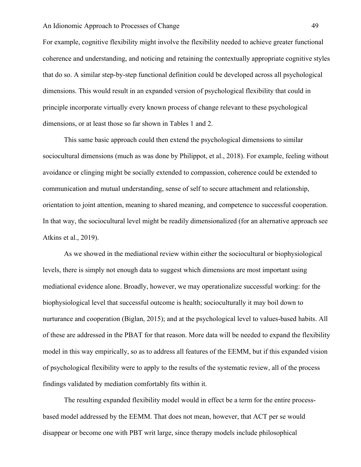#### An Idionomic Approach to Processes of Change 49

For example, cognitive flexibility might involve the flexibility needed to achieve greater functional coherence and understanding, and noticing and retaining the contextually appropriate cognitive styles that do so. A similar step-by-step functional definition could be developed across all psychological dimensions. This would result in an expanded version of psychological flexibility that could in principle incorporate virtually every known process of change relevant to these psychological dimensions, or at least those so far shown in Tables 1 and 2.

This same basic approach could then extend the psychological dimensions to similar sociocultural dimensions (much as was done by Philippot, et al., 2018). For example, feeling without avoidance or clinging might be socially extended to compassion, coherence could be extended to communication and mutual understanding, sense of self to secure attachment and relationship, orientation to joint attention, meaning to shared meaning, and competence to successful cooperation. In that way, the sociocultural level might be readily dimensionalized (for an alternative approach see Atkins et al., 2019).

As we showed in the mediational review within either the sociocultural or biophysiological levels, there is simply not enough data to suggest which dimensions are most important using mediational evidence alone. Broadly, however, we may operationalize successful working: for the biophysiological level that successful outcome is health; socioculturally it may boil down to nurturance and cooperation (Biglan, 2015); and at the psychological level to values-based habits. All of these are addressed in the PBAT for that reason. More data will be needed to expand the flexibility model in this way empirically, so as to address all features of the EEMM, but if this expanded vision of psychological flexibility were to apply to the results of the systematic review, all of the process findings validated by mediation comfortably fits within it.

The resulting expanded flexibility model would in effect be a term for the entire processbased model addressed by the EEMM. That does not mean, however, that ACT per se would disappear or become one with PBT writ large, since therapy models include philosophical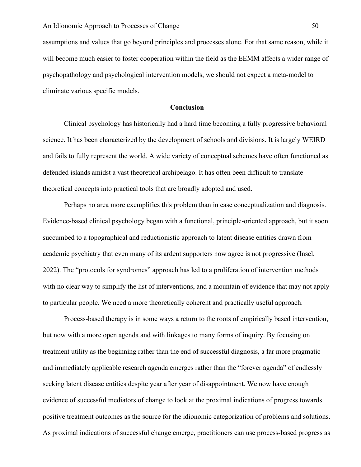assumptions and values that go beyond principles and processes alone. For that same reason, while it will become much easier to foster cooperation within the field as the EEMM affects a wider range of psychopathology and psychological intervention models, we should not expect a meta-model to eliminate various specific models.

### **Conclusion**

Clinical psychology has historically had a hard time becoming a fully progressive behavioral science. It has been characterized by the development of schools and divisions. It is largely WEIRD and fails to fully represent the world. A wide variety of conceptual schemes have often functioned as defended islands amidst a vast theoretical archipelago. It has often been difficult to translate theoretical concepts into practical tools that are broadly adopted and used.

Perhaps no area more exemplifies this problem than in case conceptualization and diagnosis. Evidence-based clinical psychology began with a functional, principle-oriented approach, but it soon succumbed to a topographical and reductionistic approach to latent disease entities drawn from academic psychiatry that even many of its ardent supporters now agree is not progressive (Insel, 2022). The "protocols for syndromes" approach has led to a proliferation of intervention methods with no clear way to simplify the list of interventions, and a mountain of evidence that may not apply to particular people. We need a more theoretically coherent and practically useful approach.

Process-based therapy is in some ways a return to the roots of empirically based intervention, but now with a more open agenda and with linkages to many forms of inquiry. By focusing on treatment utility as the beginning rather than the end of successful diagnosis, a far more pragmatic and immediately applicable research agenda emerges rather than the "forever agenda" of endlessly seeking latent disease entities despite year after year of disappointment. We now have enough evidence of successful mediators of change to look at the proximal indications of progress towards positive treatment outcomes as the source for the idionomic categorization of problems and solutions. As proximal indications of successful change emerge, practitioners can use process-based progress as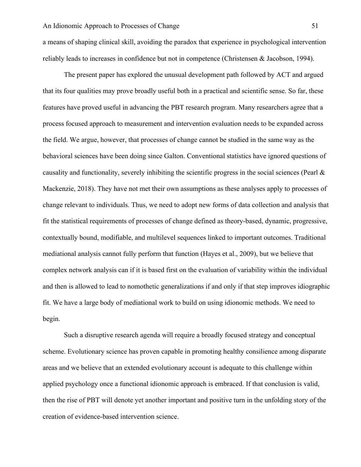a means of shaping clinical skill, avoiding the paradox that experience in psychological intervention reliably leads to increases in confidence but not in competence (Christensen & Jacobson, 1994).

The present paper has explored the unusual development path followed by ACT and argued that its four qualities may prove broadly useful both in a practical and scientific sense. So far, these features have proved useful in advancing the PBT research program. Many researchers agree that a process focused approach to measurement and intervention evaluation needs to be expanded across the field. We argue, however, that processes of change cannot be studied in the same way as the behavioral sciences have been doing since Galton. Conventional statistics have ignored questions of causality and functionality, severely inhibiting the scientific progress in the social sciences (Pearl & Mackenzie, 2018). They have not met their own assumptions as these analyses apply to processes of change relevant to individuals. Thus, we need to adopt new forms of data collection and analysis that fit the statistical requirements of processes of change defined as theory-based, dynamic, progressive, contextually bound, modifiable, and multilevel sequences linked to important outcomes. Traditional mediational analysis cannot fully perform that function (Hayes et al., 2009), but we believe that complex network analysis can if it is based first on the evaluation of variability within the individual and then is allowed to lead to nomothetic generalizations if and only if that step improves idiographic fit. We have a large body of mediational work to build on using idionomic methods. We need to begin.

Such a disruptive research agenda will require a broadly focused strategy and conceptual scheme. Evolutionary science has proven capable in promoting healthy consilience among disparate areas and we believe that an extended evolutionary account is adequate to this challenge within applied psychology once a functional idionomic approach is embraced. If that conclusion is valid, then the rise of PBT will denote yet another important and positive turn in the unfolding story of the creation of evidence-based intervention science.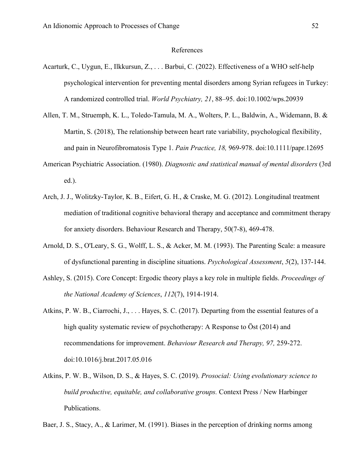### References

- Acarturk, C., Uygun, E., Ilkkursun, Z., . . . Barbui, C. (2022). Effectiveness of a WHO self-help psychological intervention for preventing mental disorders among Syrian refugees in Turkey: A randomized controlled trial. *World Psychiatry, 21*, 88–95. doi:10.1002/wps.20939
- Allen, T. M., Struemph, K. L., Toledo-Tamula, M. A., Wolters, P. L., Baldwin, A., Widemann, B. & Martin, S. (2018), The relationship between heart rate variability, psychological flexibility, and pain in Neurofibromatosis Type 1. *Pain Practice, 18,* 969-978. doi:10.1111/papr.12695
- American Psychiatric Association. (1980). *Diagnostic and statistical manual of mental disorders* (3rd ed.).
- Arch, J. J., Wolitzky-Taylor, K. B., Eifert, G. H., & Craske, M. G. (2012). Longitudinal treatment mediation of traditional cognitive behavioral therapy and acceptance and commitment therapy for anxiety disorders. Behaviour Research and Therapy, 50(7-8), 469-478.
- Arnold, D. S., O'Leary, S. G., Wolff, L. S., & Acker, M. M. (1993). The Parenting Scale: a measure of dysfunctional parenting in discipline situations. *Psychological Assessment*, *5*(2), 137-144.
- Ashley, S. (2015). Core Concept: Ergodic theory plays a key role in multiple fields. *Proceedings of the National Academy of Sciences*, *112*(7), 1914-1914.
- Atkins, P. W. B., Ciarrochi, J., . . . Hayes, S. C. (2017). Departing from the essential features of a high quality systematic review of psychotherapy: A Response to Öst (2014) and recommendations for improvement. *Behaviour Research and Therapy, 97,* 259-272. doi:10.1016/j.brat.2017.05.016
- Atkins, P. W. B., Wilson, D. S., & Hayes, S. C. (2019). *Prosocial: Using evolutionary science to build productive, equitable, and collaborative groups.* Context Press / New Harbinger Publications.

Baer, J. S., Stacy, A., & Larimer, M. (1991). Biases in the perception of drinking norms among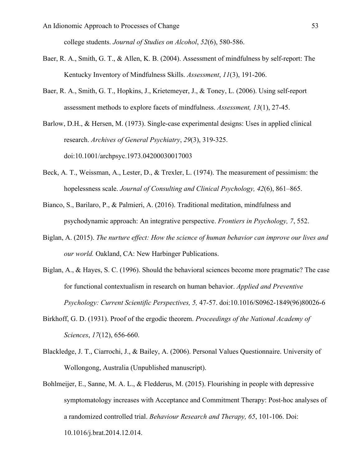college students. *Journal of Studies on Alcohol*, *52*(6), 580-586.

- Baer, R. A., Smith, G. T., & Allen, K. B. (2004). Assessment of mindfulness by self-report: The Kentucky Inventory of Mindfulness Skills. *Assessment*, *11*(3), 191-206.
- Baer, R. A., Smith, G. T., Hopkins, J., Krietemeyer, J., & Toney, L. (2006). Using self-report assessment methods to explore facets of mindfulness. *Assessment, 13*(1), 27-45.

Barlow, D.H., & Hersen, M. (1973). Single-case experimental designs: Uses in applied clinical research. *Archives of General Psychiatry*, *29*(3), 319-325. doi:10.1001/archpsyc.1973.04200030017003

- Beck, A. T., Weissman, A., Lester, D., & Trexler, L. (1974). The measurement of pessimism: the hopelessness scale. *Journal of Consulting and Clinical Psychology, 42*(6), 861–865.
- Bianco, S., Barilaro, P., & Palmieri, A. (2016). Traditional meditation, mindfulness and psychodynamic approach: An integrative perspective. *Frontiers in Psychology, 7*, 552.
- Biglan, A. (2015). *The nurture effect: How the science of human behavior can improve our lives and our world.* Oakland, CA: New Harbinger Publications.
- Biglan, A., & Hayes, S. C. (1996). Should the behavioral sciences become more pragmatic? The case for functional contextualism in research on human behavior. *Applied and Preventive Psychology: Current Scientific Perspectives, 5,* 47-57. doi:10.1016/S0962-1849(96)80026-6
- Birkhoff, G. D. (1931). Proof of the ergodic theorem. *Proceedings of the National Academy of Sciences*, *17*(12), 656-660.
- Blackledge, J. T., Ciarrochi, J., & Bailey, A. (2006). Personal Values Questionnaire. University of Wollongong, Australia (Unpublished manuscript).
- Bohlmeijer, E., Sanne, M. A. L., & Fledderus, M. (2015). Flourishing in people with depressive symptomatology increases with Acceptance and Commitment Therapy: Post-hoc analyses of a randomized controlled trial. *Behaviour Research and Therapy, 65*, 101-106. Doi: 10.1016/j.brat.2014.12.014.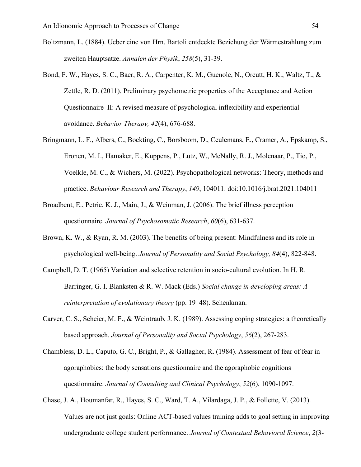- Boltzmann, L. (1884). Ueber eine von Hrn. Bartoli entdeckte Beziehung der Wärmestrahlung zum zweiten Hauptsatze. *Annalen der Physik*, *258*(5), 31-39.
- Bond, F. W., Hayes, S. C., Baer, R. A., Carpenter, K. M., Guenole, N., Orcutt, H. K., Waltz, T., & Zettle, R. D. (2011). Preliminary psychometric properties of the Acceptance and Action Questionnaire–II: A revised measure of psychological inflexibility and experiential avoidance. *Behavior Therapy, 42*(4), 676-688.
- Bringmann, L. F., Albers, C., Bockting, C., Borsboom, D., Ceulemans, E., Cramer, A., Epskamp, S., Eronen, M. I., Hamaker, E., Kuppens, P., Lutz, W., McNally, R. J., Molenaar, P., Tio, P., Voelkle, M. C., & Wichers, M. (2022). Psychopathological networks: Theory, methods and practice. *Behaviour Research and Therapy*, *149*, 104011. doi:10.1016/j.brat.2021.104011
- Broadbent, E., Petrie, K. J., Main, J., & Weinman, J. (2006). The brief illness perception questionnaire. *Journal of Psychosomatic Research*, *60*(6), 631-637.
- Brown, K. W., & Ryan, R. M. (2003). The benefits of being present: Mindfulness and its role in psychological well-being. *Journal of Personality and Social Psychology, 84*(4), 822-848.
- Campbell, D. T. (1965) Variation and selective retention in socio-cultural evolution. In H. R. Barringer, G. I. Blanksten & R. W. Mack (Eds.) *Social change in developing areas: A reinterpretation of evolutionary theory* (pp. 19–48). Schenkman.
- Carver, C. S., Scheier, M. F., & Weintraub, J. K. (1989). Assessing coping strategies: a theoretically based approach. *Journal of Personality and Social Psychology*, *56*(2), 267-283.
- Chambless, D. L., Caputo, G. C., Bright, P., & Gallagher, R. (1984). Assessment of fear of fear in agoraphobics: the body sensations questionnaire and the agoraphobic cognitions questionnaire. *Journal of Consulting and Clinical Psychology*, *52*(6), 1090-1097.
- Chase, J. A., Houmanfar, R., Hayes, S. C., Ward, T. A., Vilardaga, J. P., & Follette, V. (2013). Values are not just goals: Online ACT-based values training adds to goal setting in improving undergraduate college student performance. *Journal of Contextual Behavioral Science*, *2*(3-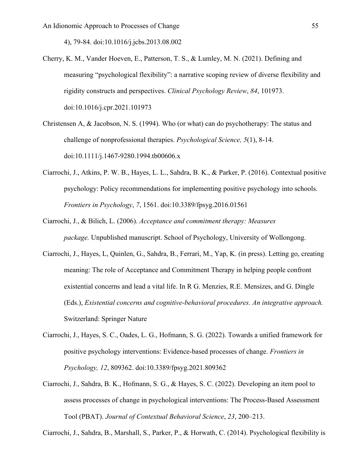4), 79-84. doi:10.1016/j.jcbs.2013.08.002

- Cherry, K. M., Vander Hoeven, E., Patterson, T. S., & Lumley, M. N. (2021). Defining and measuring "psychological flexibility": a narrative scoping review of diverse flexibility and rigidity constructs and perspectives. *Clinical Psychology Review*, *84*, 101973. doi:10.1016/j.cpr.2021.101973
- Christensen A, & Jacobson, N. S. (1994). Who (or what) can do psychotherapy: The status and challenge of nonprofessional therapies. *Psychological Science, 5*(1), 8-14. doi:10.1111/j.1467-9280.1994.tb00606.x
- Ciarrochi, J., Atkins, P. W. B., Hayes, L. L., Sahdra, B. K., & Parker, P. (2016). Contextual positive psychology: Policy recommendations for implementing positive psychology into schools. *Frontiers in Psychology*, *7*, 1561. doi:10.3389/fpsyg.2016.01561
- Ciarrochi, J., & Bilich, L. (2006). *Acceptance and commitment therapy: Measures package.* Unpublished manuscript. School of Psychology, University of Wollongong.
- Ciarrochi, J., Hayes, L, Quinlen, G., Sahdra, B., Ferrari, M., Yap, K. (in press). Letting go, creating meaning: The role of Acceptance and Commitment Therapy in helping people confront existential concerns and lead a vital life. In R G. Menzies, R.E. Mensizes, and G. Dingle (Eds.), *Existential concerns and cognitive-behavioral procedures. An integrative approach.* Switzerland: Springer Nature
- Ciarrochi, J., Hayes, S. C., Oades, L. G., Hofmann, S. G. (2022). Towards a unified framework for positive psychology interventions: Evidence-based processes of change. *Frontiers in Psychology, 12*, 809362. doi:10.3389/fpsyg.2021.809362
- Ciarrochi, J., Sahdra, B. K., Hofmann, S. G., & Hayes, S. C. (2022). Developing an item pool to assess processes of change in psychological interventions: The Process-Based Assessment Tool (PBAT). *Journal of Contextual Behavioral Science*, *23*, 200–213.

Ciarrochi, J., Sahdra, B., Marshall, S., Parker, P., & Horwath, C. (2014). Psychological flexibility is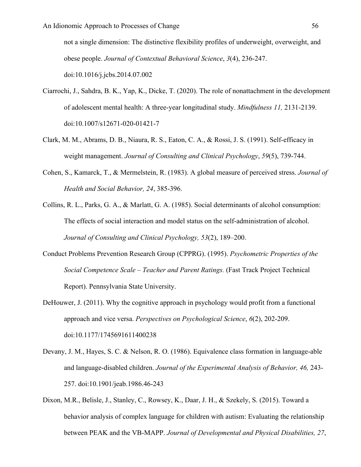not a single dimension: The distinctive flexibility profiles of underweight, overweight, and obese people. *Journal of Contextual Behavioral Science*, *3*(4), 236-247. doi:10.1016/j.jcbs.2014.07.002

- Ciarrochi, J., Sahdra, B. K., Yap, K., Dicke, T. (2020). The role of nonattachment in the development of adolescent mental health: A three-year longitudinal study. *Mindfulness 11,* 2131-2139. doi:10.1007/s12671-020-01421-7
- Clark, M. M., Abrams, D. B., Niaura, R. S., Eaton, C. A., & Rossi, J. S. (1991). Self-efficacy in weight management. *Journal of Consulting and Clinical Psychology*, *59*(5), 739-744.
- Cohen, S., Kamarck, T., & Mermelstein, R. (1983). A global measure of perceived stress. *Journal of Health and Social Behavior, 24*, 385-396.
- Collins, R. L., Parks, G. A., & Marlatt, G. A. (1985). Social determinants of alcohol consumption: The effects of social interaction and model status on the self-administration of alcohol. *Journal of Consulting and Clinical Psychology, 53*(2), 189–200.
- Conduct Problems Prevention Research Group (CPPRG). (1995). *Psychometric Properties of the Social Competence Scale – Teacher and Parent Ratings.* (Fast Track Project Technical Report). Pennsylvania State University.
- DeHouwer, J. (2011). Why the cognitive approach in psychology would profit from a functional approach and vice versa. *Perspectives on Psychological Science*, *6*(2), 202-209. doi:10.1177/1745691611400238
- Devany, J. M., Hayes, S. C. & Nelson, R. O. (1986). Equivalence class formation in language-able and language-disabled children. *Journal of the Experimental Analysis of Behavior, 46,* 243- 257. doi:10.1901/jeab.1986.46-243
- Dixon, M.R., Belisle, J., Stanley, C., Rowsey, K., Daar, J. H., & Szekely, S. (2015). Toward a behavior analysis of complex language for children with autism: Evaluating the relationship between PEAK and the VB-MAPP. *Journal of Developmental and Physical Disabilities, 27*,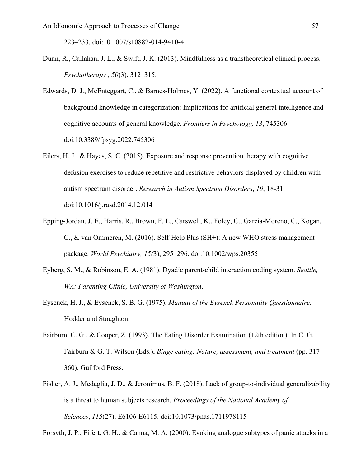223–233. doi:10.1007/s10882-014-9410-4

- Dunn, R., Callahan, J. L., & Swift, J. K. (2013). Mindfulness as a transtheoretical clinical process. *Psychotherapy , 50*(3), 312–315.
- Edwards, D. J., McEnteggart, C., & Barnes-Holmes, Y. (2022). A functional contextual account of background knowledge in categorization: Implications for artificial general intelligence and cognitive accounts of general knowledge. *Frontiers in Psychology, 13*, 745306. doi:10.3389/fpsyg.2022.745306
- Eilers, H. J., & Hayes, S. C. (2015). Exposure and response prevention therapy with cognitive defusion exercises to reduce repetitive and restrictive behaviors displayed by children with autism spectrum disorder. *Research in Autism Spectrum Disorders*, *19*, 18-31. doi:10.1016/j.rasd.2014.12.014
- Epping-Jordan, J. E., Harris, R., Brown, F. L., Carswell, K., Foley, C., García-Moreno, C., Kogan, C., & van Ommeren, M. (2016). Self-Help Plus (SH+): A new WHO stress management package. *World Psychiatry, 15(*3), 295–296. doi:10.1002/wps.20355
- Eyberg, S. M., & Robinson, E. A. (1981). Dyadic parent-child interaction coding system. *Seattle, WA: Parenting Clinic, University of Washington*.
- Eysenck, H. J., & Eysenck, S. B. G. (1975). *Manual of the Eysenck Personality Questionnaire*. Hodder and Stoughton.
- Fairburn, C. G., & Cooper, Z. (1993). The Eating Disorder Examination (12th edition). In C. G. Fairburn & G. T. Wilson (Eds.), *Binge eating: Nature, assessment, and treatment* (pp. 317– 360). Guilford Press.
- Fisher, A. J., Medaglia, J. D., & Jeronimus, B. F. (2018). Lack of group-to-individual generalizability is a threat to human subjects research. *Proceedings of the National Academy of Sciences*, *115*(27), E6106-E6115. doi:10.1073/pnas.1711978115

Forsyth, J. P., Eifert, G. H., & Canna, M. A. (2000). Evoking analogue subtypes of panic attacks in a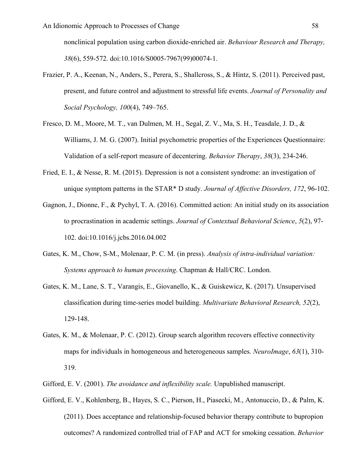nonclinical population using carbon dioxide-enriched air. *Behaviour Research and Therapy, 38*(6), 559-572. doi:10.1016/S0005-7967(99)00074-1.

- Frazier, P. A., Keenan, N., Anders, S., Perera, S., Shallcross, S., & Hintz, S. (2011). Perceived past, present, and future control and adjustment to stressful life events. *Journal of Personality and Social Psychology, 100*(4), 749–765.
- Fresco, D. M., Moore, M. T., van Dulmen, M. H., Segal, Z. V., Ma, S. H., Teasdale, J. D., & Williams, J. M. G. (2007). Initial psychometric properties of the Experiences Questionnaire: Validation of a self-report measure of decentering. *Behavior Therapy*, *38*(3), 234-246.
- Fried, E. I., & Nesse, R. M. (2015). Depression is not a consistent syndrome: an investigation of unique symptom patterns in the STAR\* D study. *Journal of Affective Disorders, 172*, 96-102.
- Gagnon, J., Dionne, F., & Pychyl, T. A. (2016). Committed action: An initial study on its association to procrastination in academic settings. *Journal of Contextual Behavioral Science*, *5*(2), 97- 102. doi:10.1016/j.jcbs.2016.04.002
- Gates, K. M., Chow, S-M., Molenaar, P. C. M. (in press). *Analysis of intra-individual variation: Systems approach to human processing*. Chapman & Hall/CRC. London.
- Gates, K. M., Lane, S. T., Varangis, E., Giovanello, K., & Guiskewicz, K. (2017). Unsupervised classification during time-series model building. *Multivariate Behavioral Research, 52*(2), 129-148.
- Gates, K. M., & Molenaar, P. C. (2012). Group search algorithm recovers effective connectivity maps for individuals in homogeneous and heterogeneous samples. *NeuroImage*, *63*(1), 310- 319.
- Gifford, E. V. (2001). *The avoidance and inflexibility scale.* Unpublished manuscript.
- Gifford, E. V., Kohlenberg, B., Hayes, S. C., Pierson, H., Piasecki, M., Antonuccio, D., & Palm, K. (2011). Does acceptance and relationship-focused behavior therapy contribute to bupropion outcomes? A randomized controlled trial of FAP and ACT for smoking cessation. *Behavior*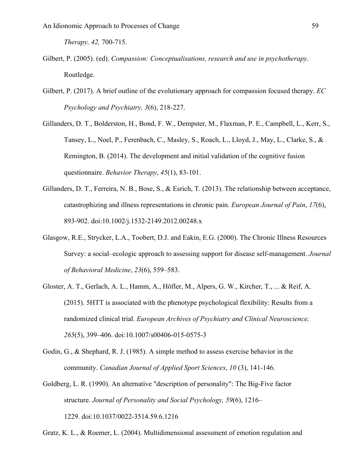*Therapy, 42,* 700-715.

- Gilbert, P. (2005). (ed). *Compassion: Conceptualisations, research and use in psychotherapy*. Routledge.
- Gilbert, P. (2017). A brief outline of the evolutionary approach for compassion focused therapy. *EC Psychology and Psychiatry, 3*(6), 218-227.
- Gillanders, D. T., Bolderston, H., Bond, F. W., Dempster, M., Flaxman, P. E., Campbell, L., Kerr, S., Tansey, L., Noel, P., Ferenbach, C., Masley, S., Roach, L., Lloyd, J., May, L., Clarke, S., & Remington, B. (2014). The development and initial validation of the cognitive fusion questionnaire. *Behavior Therapy*, *45*(1), 83-101.
- Gillanders, D. T., Ferreira, N. B., Bose, S., & Esrich, T. (2013). The relationship between acceptance, catastrophizing and illness representations in chronic pain. *European Journal of Pain*, *17*(6), 893-902. doi:10.1002/j.1532-2149.2012.00248.x
- Glasgow, R.E., Strycker, L.A., Toobert, D.J. and Eakin, E.G. (2000). The Chronic Illness Resources Survey: a social–ecologic approach to assessing support for disease self-management. *Journal of Behavioral Medicine*, *23*(6), 559–583.
- Gloster, A. T., Gerlach, A. L., Hamm, A., Höfler, M., Alpers, G. W., Kircher, T., ... & Reif, A. (2015). 5HTT is associated with the phenotype psychological flexibility: Results from a randomized clinical trial. *European Archives of Psychiatry and Clinical Neuroscience, 265*(5), 399–406. doi:10.1007/s00406-015-0575-3
- Godin, G., & Shephard, R. J. (1985). A simple method to assess exercise behavior in the community. *Canadian Journal of Applied Sport Sciences*, *10* (3), 141-146.
- Goldberg, L. R. (1990). An alternative "description of personality": The Big-Five factor structure. *Journal of Personality and Social Psychology, 59*(6), 1216– 1229. doi:10.1037/0022-3514.59.6.1216
- Gratz, K. L., & Roemer, L. (2004). Multidimensional assessment of emotion regulation and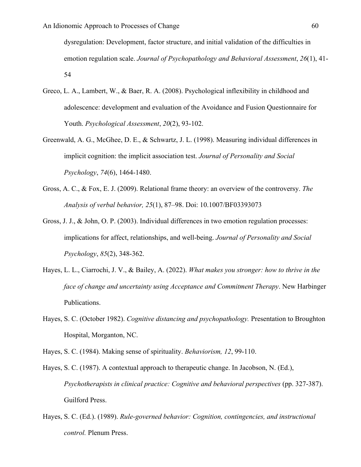dysregulation: Development, factor structure, and initial validation of the difficulties in emotion regulation scale. *Journal of Psychopathology and Behavioral Assessment*, *26*(1), 41- 54

- Greco, L. A., Lambert, W., & Baer, R. A. (2008). Psychological inflexibility in childhood and adolescence: development and evaluation of the Avoidance and Fusion Questionnaire for Youth. *Psychological Assessment*, *20*(2), 93-102.
- Greenwald, A. G., McGhee, D. E., & Schwartz, J. L. (1998). Measuring individual differences in implicit cognition: the implicit association test. *Journal of Personality and Social Psychology*, *74*(6), 1464-1480.
- Gross, A. C., & Fox, E. J. (2009). Relational frame theory: an overview of the controversy. *The Analysis of verbal behavior, 25*(1), 87–98. Doi: 10.1007/BF03393073
- Gross, J. J., & John, O. P. (2003). Individual differences in two emotion regulation processes: implications for affect, relationships, and well-being. *Journal of Personality and Social Psychology*, *85*(2), 348-362.
- Hayes, L. L., Ciarrochi, J. V., & Bailey, A. (2022). *What makes you stronger: how to thrive in the face of change and uncertainty using Acceptance and Commitment Therapy*. New Harbinger Publications.
- Hayes, S. C. (October 1982). *Cognitive distancing and psychopathology.* Presentation to Broughton Hospital, Morganton, NC.
- Hayes, S. C. (1984). Making sense of spirituality. *Behaviorism, 12*, 99-110.
- Hayes, S. C. (1987). A contextual approach to therapeutic change. In Jacobson, N. (Ed.), *Psychotherapists in clinical practice: Cognitive and behavioral perspectives (pp. 327-387).* Guilford Press.
- Hayes, S. C. (Ed.). (1989). *Rule-governed behavior: Cognition, contingencies, and instructional control.* Plenum Press.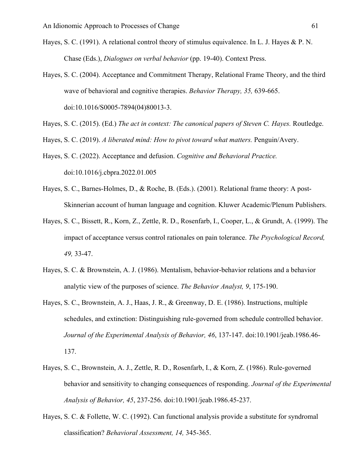- Hayes, S. C. (1991). A relational control theory of stimulus equivalence. In L. J. Hayes & P. N. Chase (Eds.), *Dialogues on verbal behavior* (pp. 19-40). Context Press.
- Hayes, S. C. (2004). Acceptance and Commitment Therapy, Relational Frame Theory, and the third wave of behavioral and cognitive therapies. *Behavior Therapy, 35,* 639-665. doi:10.1016/S0005-7894(04)80013-3.
- Hayes, S. C. (2015). (Ed.) *The act in context: The canonical papers of Steven C. Hayes.* Routledge.
- Hayes, S. C. (2019). *A liberated mind: How to pivot toward what matters.* Penguin/Avery.
- Hayes, S. C. (2022). Acceptance and defusion. *Cognitive and Behavioral Practice.*  doi:10.1016/j.cbpra.2022.01.005
- Hayes, S. C., Barnes-Holmes, D., & Roche, B. (Eds.). (2001). Relational frame theory: A post-Skinnerian account of human language and cognition. Kluwer Academic/Plenum Publishers.
- Hayes, S. C., Bissett, R., Korn, Z., Zettle, R. D., Rosenfarb, I., Cooper, L., & Grundt, A. (1999). The impact of acceptance versus control rationales on pain tolerance. *The Psychological Record, 49,* 33-47.
- Hayes, S. C. & Brownstein, A. J. (1986). Mentalism, behavior-behavior relations and a behavior analytic view of the purposes of science. *The Behavior Analyst, 9*, 175-190.
- Hayes, S. C., Brownstein, A. J., Haas, J. R., & Greenway, D. E. (1986). Instructions, multiple schedules, and extinction: Distinguishing rule-governed from schedule controlled behavior. *Journal of the Experimental Analysis of Behavior, 46*, 137-147. doi:10.1901/jeab.1986.46- 137.
- Hayes, S. C., Brownstein, A. J., Zettle, R. D., Rosenfarb, I., & Korn, Z. (1986). Rule-governed behavior and sensitivity to changing consequences of responding. *Journal of the Experimental Analysis of Behavior, 45*, 237-256. doi:10.1901/jeab.1986.45-237.
- Hayes, S. C. & Follette, W. C. (1992). Can functional analysis provide a substitute for syndromal classification? *Behavioral Assessment, 14,* 345-365.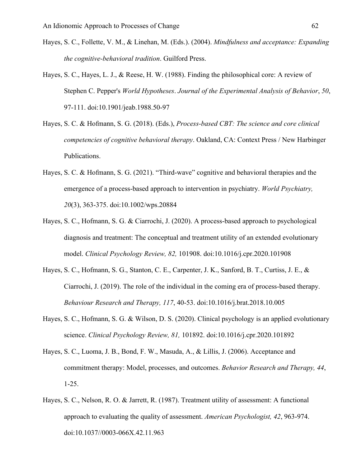- Hayes, S. C., Follette, V. M., & Linehan, M. (Eds.). (2004). *Mindfulness and acceptance: Expanding the cognitive-behavioral tradition*. Guilford Press.
- Hayes, S. C., Hayes, L. J., & Reese, H. W. (1988). Finding the philosophical core: A review of Stephen C. Pepper's *World Hypotheses*. *Journal of the Experimental Analysis of Behavior*, *50*, 97-111. doi:10.1901/jeab.1988.50-97
- Hayes, S. C. & Hofmann, S. G. (2018). (Eds.), *Process-based CBT: The science and core clinical competencies of cognitive behavioral therapy*. Oakland, CA: Context Press / New Harbinger Publications.
- Hayes, S. C. & Hofmann, S. G. (2021). "Third-wave" cognitive and behavioral therapies and the emergence of a process-based approach to intervention in psychiatry. *World Psychiatry, 20*(3), 363-375. doi:10.1002/wps.20884
- Hayes, S. C., Hofmann, S. G. & Ciarrochi, J. (2020). A process-based approach to psychological diagnosis and treatment: The conceptual and treatment utility of an extended evolutionary model. *Clinical Psychology Review, 82,* 101908. doi:10.1016/j.cpr.2020.101908
- Hayes, S. C., Hofmann, S. G., Stanton, C. E., Carpenter, J. K., Sanford, B. T., Curtiss, J. E., & Ciarrochi, J. (2019). The role of the individual in the coming era of process-based therapy. *Behaviour Research and Therapy, 117*, 40-53. doi:10.1016/j.brat.2018.10.005
- Hayes, S. C., Hofmann, S. G. & Wilson, D. S. (2020). Clinical psychology is an applied evolutionary science. *Clinical Psychology Review, 81,* 101892. doi:10.1016/j.cpr.2020.101892
- Hayes, S. C., Luoma, J. B., Bond, F. W., Masuda, A., & Lillis, J. (2006). Acceptance and commitment therapy: Model, processes, and outcomes. *Behavior Research and Therapy, 44*, 1-25.
- Hayes, S. C., Nelson, R. O. & Jarrett, R. (1987). Treatment utility of assessment: A functional approach to evaluating the quality of assessment. *American Psychologist, 42*, 963-974. doi:10.1037//0003-066X.42.11.963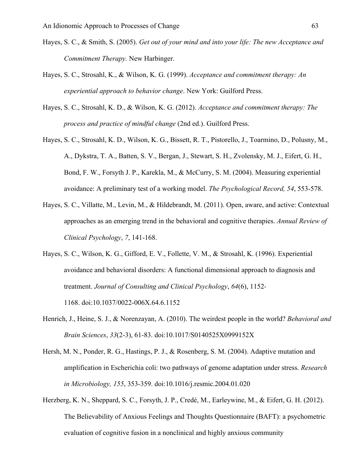- Hayes, S. C., & Smith, S. (2005). *Get out of your mind and into your life: The new Acceptance and Commitment Therapy.* New Harbinger.
- Hayes, S. C., Strosahl, K., & Wilson, K. G. (1999). *Acceptance and commitment therapy: An experiential approach to behavior change*. New York: Guilford Press.
- Hayes, S. C., Strosahl, K. D., & Wilson, K. G. (2012). *Acceptance and commitment therapy: The process and practice of mindful change* (2nd ed.). Guilford Press.
- Hayes, S. C., Strosahl, K. D., Wilson, K. G., Bissett, R. T., Pistorello, J., Toarmino, D., Polusny, M., A., Dykstra, T. A., Batten, S. V., Bergan, J., Stewart, S. H., Zvolensky, M. J., Eifert, G. H., Bond, F. W., Forsyth J. P., Karekla, M., & McCurry, S. M. (2004). Measuring experiential avoidance: A preliminary test of a working model. *The Psychological Record, 54*, 553-578.
- Hayes, S. C., Villatte, M., Levin, M., & Hildebrandt, M. (2011). Open, aware, and active: Contextual approaches as an emerging trend in the behavioral and cognitive therapies. *Annual Review of Clinical Psychology*, *7*, 141-168.
- Hayes, S. C., Wilson, K. G., Gifford, E. V., Follette, V. M., & Strosahl, K. (1996). Experiential avoidance and behavioral disorders: A functional dimensional approach to diagnosis and treatment. *Journal of Consulting and Clinical Psychology*, *64*(6), 1152- 1168. doi:10.1037/0022-006X.64.6.1152
- Henrich, J., Heine, S. J., & Norenzayan, A. (2010). The weirdest people in the world? *Behavioral and Brain Sciences*, *33*(2-3), 61-83. doi:10.1017/S0140525X0999152X
- Hersh, M. N., Ponder, R. G., Hastings, P. J., & Rosenberg, S. M. (2004). Adaptive mutation and amplification in Escherichia coli: two pathways of genome adaptation under stress. *Research in Microbiology, 155*, 353-359. doi:10.1016/j.resmic.2004.01.020
- Herzberg, K. N., Sheppard, S. C., Forsyth, J. P., Credé, M., Earleywine, M., & Eifert, G. H. (2012). The Believability of Anxious Feelings and Thoughts Questionnaire (BAFT): a psychometric evaluation of cognitive fusion in a nonclinical and highly anxious community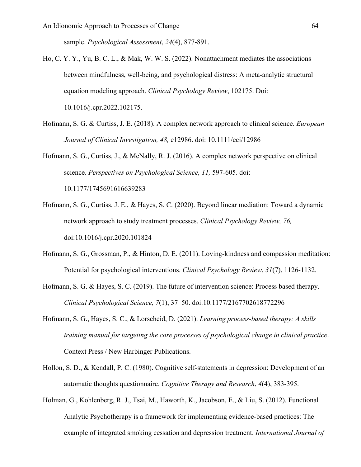sample. *Psychological Assessment*, *24*(4), 877-891.

- Ho, C. Y. Y., Yu, B. C. L., & Mak, W. W. S. (2022). Nonattachment mediates the associations between mindfulness, well-being, and psychological distress: A meta-analytic structural equation modeling approach. *Clinical Psychology Review*, 102175. Doi: 10.1016/j.cpr.2022.102175.
- Hofmann, S. G. & Curtiss, J. E. (2018). A complex network approach to clinical science. *European Journal of Clinical Investigation, 48,* e12986. doi: 10.1111/eci/12986
- Hofmann, S. G., Curtiss, J., & McNally, R. J. (2016). A complex network perspective on clinical science. *Perspectives on Psychological Science, 11,* 597-605. doi: 10.1177/1745691616639283
- Hofmann, S. G., Curtiss, J. E., & Hayes, S. C. (2020). Beyond linear mediation: Toward a dynamic network approach to study treatment processes. *Clinical Psychology Review, 76,* doi:10.1016/j.cpr.2020.101824
- Hofmann, S. G., Grossman, P., & Hinton, D. E. (2011). Loving-kindness and compassion meditation: Potential for psychological interventions. *Clinical Psychology Review*, *31*(7), 1126-1132.
- Hofmann, S. G. & Hayes, S. C. (2019). The future of intervention science: Process based therapy. *Clinical Psychological Science, 7*(1), 37–50. doi:10.1177/2167702618772296
- Hofmann, S. G., Hayes, S. C., & Lorscheid, D. (2021). *Learning process-based therapy: A skills training manual for targeting the core processes of psychological change in clinical practice*. Context Press / New Harbinger Publications.
- Hollon, S. D., & Kendall, P. C. (1980). Cognitive self-statements in depression: Development of an automatic thoughts questionnaire. *Cognitive Therapy and Research*, *4*(4), 383-395.
- Holman, G., Kohlenberg, R. J., Tsai, M., Haworth, K., Jacobson, E., & Liu, S. (2012). Functional Analytic Psychotherapy is a framework for implementing evidence-based practices: The example of integrated smoking cessation and depression treatment. *International Journal of*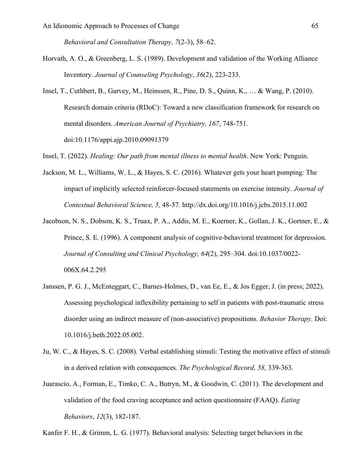*Behavioral and Consultation Therapy, 7*(2-3), 58–62.

- Horvath, A. O., & Greenberg, L. S. (1989). Development and validation of the Working Alliance Inventory. *Journal of Counseling Psychology*, *36*(2), 223-233.
- Insel, T., Cuthbert, B., Garvey, M., Heinssen, R., Pine, D. S., Quinn, K., … & Wang, P. (2010). Research domain criteria (RDoC): Toward a new classification framework for research on mental disorders. *American Journal of Psychiatry, 167*, 748-751. doi:10.1176/appi.ajp.2010.09091379
- Insel, T. (2022). *Healing: Our path from mental illness to mental health*. New York: Penguin.
- Jackson, M. L., Williams, W. L., & Hayes, S. C. (2016). Whatever gets your heart pumping: The impact of implicitly selected reinforcer-focused statements on exercise intensity. *Journal of Contextual Behavioral Science, 5,* 48-57. http://dx.doi.org/10.1016/j.jcbs.2015.11.002
- Jacobson, N. S., Dobson, K. S., Truax, P. A., Addis, M. E., Koerner, K., Gollan, J. K., Gortner, E., & Prince, S. E. (1996). A component analysis of cognitive-behavioral treatment for depression. *Journal of Consulting and Clinical Psychology, 64*(2), 295–304. doi:10.1037/0022- 006X.64.2.295
- Janssen, P. G. J., McEnteggart, C., Barnes-Holmes, D., van Ee, E., & Jos Egger, J. (in press; 2022). Assessing psychological inflexibility pertaining to self in patients with post-traumatic stress disorder using an indirect measure of (non-associative) propositions. *Behavior Therapy.* Doi: 10.1016/j.beth.2022.05.002.
- Ju, W. C., & Hayes, S. C. (2008). Verbal establishing stimuli: Testing the motivative effect of stimuli in a derived relation with consequences. *The Psychological Record, 58,* 339-363.
- Juarascio, A., Forman, E., Timko, C. A., Butryn, M., & Goodwin, C. (2011). The development and validation of the food craving acceptance and action questionnaire (FAAQ). *Eating Behaviors*, *12*(3), 182-187.

Kanfer F. H., & Grimm, L. G. (1977). Behavioral analysis: Selecting target behaviors in the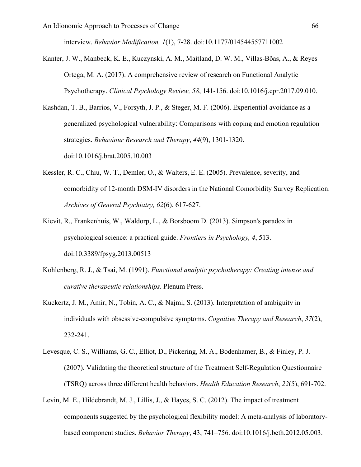interview. *Behavior Modification, 1*(1), 7-28. doi:10.1177/014544557711002

- Kanter, J. W., Manbeck, K. E., Kuczynski, A. M., Maitland, D. W. M., Villas-Bôas, A., & Reyes Ortega, M. A. (2017). A comprehensive review of research on Functional Analytic Psychotherapy. *Clinical Psychology Review, 58*, 141-156. doi:10.1016/j.cpr.2017.09.010.
- Kashdan, T. B., Barrios, V., Forsyth, J. P., & Steger, M. F. (2006). Experiential avoidance as a generalized psychological vulnerability: Comparisons with coping and emotion regulation strategies. *Behaviour Research and Therapy*, *44*(9), 1301-1320. doi:10.1016/j.brat.2005.10.003
- Kessler, R. C., Chiu, W. T., Demler, O., & Walters, E. E. (2005). Prevalence, severity, and comorbidity of 12-month DSM-IV disorders in the National Comorbidity Survey Replication. *Archives of General Psychiatry, 62*(6), 617-627.
- Kievit, R., Frankenhuis, W., Waldorp, L., & Borsboom D. (2013). Simpson's paradox in psychological science: a practical guide. *Frontiers in Psychology, 4*, 513. doi:10.3389/fpsyg.2013.00513
- Kohlenberg, R. J., & Tsai, M. (1991). *Functional analytic psychotherapy: Creating intense and curative therapeutic relationships*. Plenum Press.
- Kuckertz, J. M., Amir, N., Tobin, A. C., & Najmi, S. (2013). Interpretation of ambiguity in individuals with obsessive-compulsive symptoms. *Cognitive Therapy and Research*, *37*(2), 232-241.
- Levesque, C. S., Williams, G. C., Elliot, D., Pickering, M. A., Bodenhamer, B., & Finley, P. J. (2007). Validating the theoretical structure of the Treatment Self-Regulation Questionnaire (TSRQ) across three different health behaviors. *Health Education Research*, *22*(5), 691-702.
- Levin, M. E., Hildebrandt, M. J., Lillis, J., & Hayes, S. C. (2012). The impact of treatment components suggested by the psychological flexibility model: A meta-analysis of laboratorybased component studies. *Behavior Therapy*, 43, 741–756. doi:10.1016/j.beth.2012.05.003.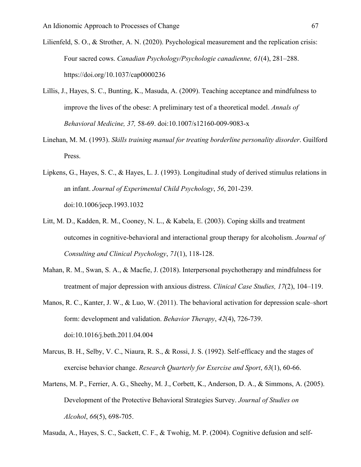- Lilienfeld, S. O., & Strother, A. N. (2020). Psychological measurement and the replication crisis: Four sacred cows. *Canadian Psychology/Psychologie canadienne, 61*(4), 281–288. https://doi.org/10.1037/cap0000236
- Lillis, J., Hayes, S. C., Bunting, K., Masuda, A. (2009). Teaching acceptance and mindfulness to improve the lives of the obese: A preliminary test of a theoretical model. *Annals of Behavioral Medicine, 37,* 58-69. doi:10.1007/s12160-009-9083-x
- Linehan, M. M. (1993). *Skills training manual for treating borderline personality disorder*. Guilford Press.
- Lipkens, G., Hayes, S. C., & Hayes, L. J. (1993). Longitudinal study of derived stimulus relations in an infant. *Journal of Experimental Child Psychology*, *56*, 201-239. doi:10.1006/jecp.1993.1032
- Litt, M. D., Kadden, R. M., Cooney, N. L., & Kabela, E. (2003). Coping skills and treatment outcomes in cognitive-behavioral and interactional group therapy for alcoholism. *Journal of Consulting and Clinical Psychology*, *71*(1), 118-128.
- Mahan, R. M., Swan, S. A., & Macfie, J. (2018). Interpersonal psychotherapy and mindfulness for treatment of major depression with anxious distress. *Clinical Case Studies, 17*(2), 104–119.
- Manos, R. C., Kanter, J. W., & Luo, W. (2011). The behavioral activation for depression scale–short form: development and validation. *Behavior Therapy*, *42*(4), 726-739. doi:10.1016/j.beth.2011.04.004
- Marcus, B. H., Selby, V. C., Niaura, R. S., & Rossi, J. S. (1992). Self-efficacy and the stages of exercise behavior change. *Research Quarterly for Exercise and Sport*, *63*(1), 60-66.
- Martens, M. P., Ferrier, A. G., Sheehy, M. J., Corbett, K., Anderson, D. A., & Simmons, A. (2005). Development of the Protective Behavioral Strategies Survey. *Journal of Studies on Alcohol*, *66*(5), 698-705.

Masuda, A., Hayes, S. C., Sackett, C. F., & Twohig, M. P. (2004). Cognitive defusion and self-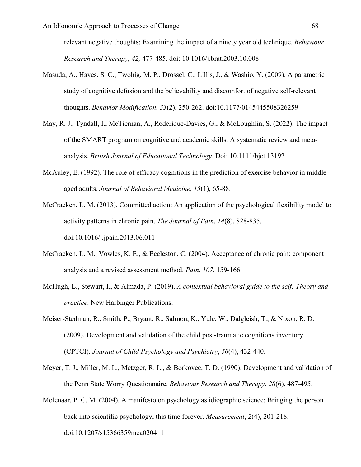relevant negative thoughts: Examining the impact of a ninety year old technique. *Behaviour Research and Therapy, 42,* 477-485. doi: 10.1016/j.brat.2003.10.008

- Masuda, A., Hayes, S. C., Twohig, M. P., Drossel, C., Lillis, J., & Washio, Y. (2009). A parametric study of cognitive defusion and the believability and discomfort of negative self-relevant thoughts. *Behavior Modification*, *33*(2), 250-262. doi:10.1177/0145445508326259
- May, R. J., Tyndall, I., McTiernan, A., Roderique-Davies, G., & McLoughlin, S. (2022). The impact of the SMART program on cognitive and academic skills: A systematic review and metaanalysis. *British Journal of Educational Technology*. Doi: 10.1111/bjet.13192
- McAuley, E. (1992). The role of efficacy cognitions in the prediction of exercise behavior in middleaged adults. *Journal of Behavioral Medicine*, *15*(1), 65-88.
- McCracken, L. M. (2013). Committed action: An application of the psychological flexibility model to activity patterns in chronic pain. *The Journal of Pain*, *14*(8), 828-835. doi:10.1016/j.jpain.2013.06.011
- McCracken, L. M., Vowles, K. E., & Eccleston, C. (2004). Acceptance of chronic pain: component analysis and a revised assessment method. *Pain*, *107*, 159-166.
- McHugh, L., Stewart, I., & Almada, P. (2019). *A contextual behavioral guide to the self: Theory and practice*. New Harbinger Publications.
- Meiser‐Stedman, R., Smith, P., Bryant, R., Salmon, K., Yule, W., Dalgleish, T., & Nixon, R. D. (2009). Development and validation of the child post‐traumatic cognitions inventory (CPTCI). *Journal of Child Psychology and Psychiatry*, *50*(4), 432-440.
- Meyer, T. J., Miller, M. L., Metzger, R. L., & Borkovec, T. D. (1990). Development and validation of the Penn State Worry Questionnaire. *Behaviour Research and Therapy*, *28*(6), 487-495.
- Molenaar, P. C. M. (2004). A manifesto on psychology as idiographic science: Bringing the person back into scientific psychology, this time forever. *Measurement*, *2*(4), 201-218. doi:10.1207/s15366359mea0204\_1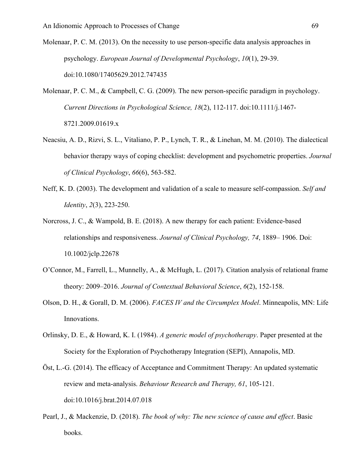Molenaar, P. C. M. (2013). On the necessity to use person-specific data analysis approaches in psychology. *European Journal of Developmental Psychology*, *10*(1), 29-39. doi:10.1080/17405629.2012.747435

- Molenaar, P. C. M., & Campbell, C. G. (2009). The new person-specific paradigm in psychology. *Current Directions in Psychological Science, 18*(2), 112-117. doi:10.1111/j.1467- 8721.2009.01619.x
- Neacsiu, A. D., Rizvi, S. L., Vitaliano, P. P., Lynch, T. R., & Linehan, M. M. (2010). The dialectical behavior therapy ways of coping checklist: development and psychometric properties. *Journal of Clinical Psychology*, *66*(6), 563-582.
- Neff, K. D. (2003). The development and validation of a scale to measure self-compassion. *Self and Identity*, *2*(3), 223-250.
- Norcross, J. C., & Wampold, B. E. (2018). A new therapy for each patient: Evidence-based relationships and responsiveness. *Journal of Clinical Psychology, 74*, 1889– 1906. Doi: 10.1002/jclp.22678
- O'Connor, M., Farrell, L., Munnelly, A., & McHugh, L. (2017). Citation analysis of relational frame theory: 2009–2016. *Journal of Contextual Behavioral Science*, *6*(2), 152-158.
- Olson, D. H., & Gorall, D. M. (2006). *FACES IV and the Circumplex Model*. Minneapolis, MN: Life Innovations.
- Orlinsky, D. E., & Howard, K. I. (1984). *A generic model of psychotherapy*. Paper presented at the Society for the Exploration of Psychotherapy Integration (SEPI), Annapolis, MD.
- Öst, L.-G. (2014). The efficacy of Acceptance and Commitment Therapy: An updated systematic review and meta-analysis. *Behaviour Research and Therapy, 61*, 105-121. doi:10.1016/j.brat.2014.07.018
- Pearl, J., & Mackenzie, D. (2018). *The book of why: The new science of cause and effect*. Basic books.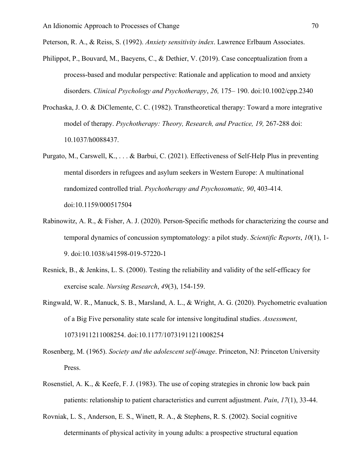Peterson, R. A., & Reiss, S. (1992). *Anxiety sensitivity index*. Lawrence Erlbaum Associates.

- Philippot, P., Bouvard, M., Baeyens, C., & Dethier, V. (2019). Case conceptualization from a process-based and modular perspective: Rationale and application to mood and anxiety disorders. *Clinical Psychology and Psychotherapy*, *26,* 175– 190. doi:10.1002/cpp.2340
- Prochaska, J. O. & DiClemente, C. C. (1982). Transtheoretical therapy: Toward a more integrative model of therapy. *Psychotherapy: Theory, Research, and Practice, 19,* 267-288 doi: 10.1037/h0088437.
- Purgato, M., Carswell, K., . . . & Barbui, C. (2021). Effectiveness of Self-Help Plus in preventing mental disorders in refugees and asylum seekers in Western Europe: A multinational randomized controlled trial. *Psychotherapy and Psychosomatic, 90*, 403-414. doi:10.1159/000517504
- Rabinowitz, A. R., & Fisher, A. J. (2020). Person-Specific methods for characterizing the course and temporal dynamics of concussion symptomatology: a pilot study. *Scientific Reports*, *10*(1), 1- 9. doi:10.1038/s41598-019-57220-1
- Resnick, B., & Jenkins, L. S. (2000). Testing the reliability and validity of the self-efficacy for exercise scale. *Nursing Research*, *49*(3), 154-159.
- Ringwald, W. R., Manuck, S. B., Marsland, A. L., & Wright, A. G. (2020). Psychometric evaluation of a Big Five personality state scale for intensive longitudinal studies. *Assessment*, 10731911211008254. doi:10.1177/10731911211008254
- Rosenberg, M. (1965). *Society and the adolescent self-image*. Princeton, NJ: Princeton University Press.
- Rosenstiel, A. K., & Keefe, F. J. (1983). The use of coping strategies in chronic low back pain patients: relationship to patient characteristics and current adjustment. *Pain*, *17*(1), 33-44.
- Rovniak, L. S., Anderson, E. S., Winett, R. A., & Stephens, R. S. (2002). Social cognitive determinants of physical activity in young adults: a prospective structural equation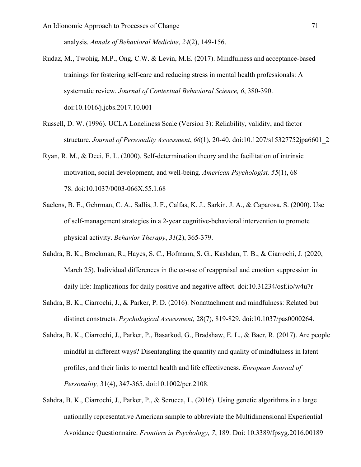analysis. *Annals of Behavioral Medicine*, *24*(2), 149-156.

Rudaz, M., Twohig, M.P., Ong, C.W. & Levin, M.E. (2017). Mindfulness and acceptance-based trainings for fostering self-care and reducing stress in mental health professionals: A systematic review. *Journal of Contextual Behavioral Science, 6*, 380-390. doi:10.1016/j.jcbs.2017.10.001

- Russell, D. W. (1996). UCLA Loneliness Scale (Version 3): Reliability, validity, and factor structure. *Journal of Personality Assessment*, *66*(1), 20-40. doi:10.1207/s15327752jpa6601\_2
- Ryan, R. M., & Deci, E. L. (2000). Self-determination theory and the facilitation of intrinsic motivation, social development, and well-being. *American Psychologist, 55*(1), 68– 78. doi:10.1037/0003-066X.55.1.68
- Saelens, B. E., Gehrman, C. A., Sallis, J. F., Calfas, K. J., Sarkin, J. A., & Caparosa, S. (2000). Use of self-management strategies in a 2-year cognitive-behavioral intervention to promote physical activity. *Behavior Therapy*, *31*(2), 365-379.
- Sahdra, B. K., Brockman, R., Hayes, S. C., Hofmann, S. G., Kashdan, T. B., & Ciarrochi, J. (2020, March 25). Individual differences in the co-use of reappraisal and emotion suppression in daily life: Implications for daily positive and negative affect. doi:10.31234/osf.io/w4u7r
- Sahdra, B. K., Ciarrochi, J., & Parker, P. D. (2016). Nonattachment and mindfulness: Related but distinct constructs. *Psychological Assessment,* 28(7), 819-829. doi:10.1037/pas0000264.
- Sahdra, B. K., Ciarrochi, J., Parker, P., Basarkod, G., Bradshaw, E. L., & Baer, R. (2017). Are people mindful in different ways? Disentangling the quantity and quality of mindfulness in latent profiles, and their links to mental health and life effectiveness. *European Journal of Personality,* 31(4), 347-365. doi:10.1002/per.2108.
- Sahdra, B. K., Ciarrochi, J., Parker, P., & Scrucca, L. (2016). Using genetic algorithms in a large nationally representative American sample to abbreviate the Multidimensional Experiential Avoidance Questionnaire. *Frontiers in Psychology, 7*, 189. Doi: 10.3389/fpsyg.2016.00189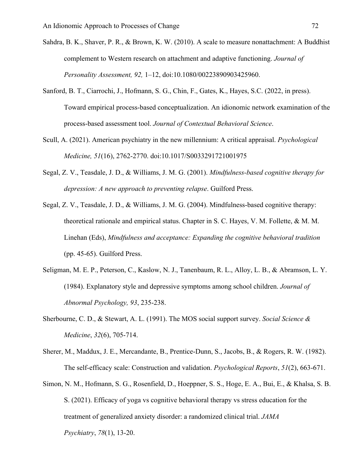- Sahdra, B. K., Shaver, P. R., & Brown, K. W. (2010). A scale to measure nonattachment: A Buddhist complement to Western research on attachment and adaptive functioning. *Journal of Personality Assessment, 92,* 1–12, doi:10.1080/00223890903425960.
- Sanford, B. T., Ciarrochi, J., Hofmann, S. G., Chin, F., Gates, K., Hayes, S.C. (2022, in press). Toward empirical process-based conceptualization. An idionomic network examination of the process-based assessment tool. *Journal of Contextual Behavioral Science*.
- Scull, A. (2021). American psychiatry in the new millennium: A critical appraisal. *Psychological Medicine, 51*(16), 2762-2770. doi:10.1017/S0033291721001975
- Segal, Z. V., Teasdale, J. D., & Williams, J. M. G. (2001). *Mindfulness-based cognitive therapy for depression: A new approach to preventing relapse*. Guilford Press.
- Segal, Z. V., Teasdale, J. D., & Williams, J. M. G. (2004). Mindfulness-based cognitive therapy: theoretical rationale and empirical status. Chapter in S. C. Hayes, V. M. Follette, & M. M. Linehan (Eds), *Mindfulness and acceptance: Expanding the cognitive behavioral tradition*  (pp. 45-65). Guilford Press.
- Seligman, M. E. P., Peterson, C., Kaslow, N. J., Tanenbaum, R. L., Alloy, L. B., & Abramson, L. Y. (1984). Explanatory style and depressive symptoms among school children. *Journal of Abnormal Psychology, 93*, 235-238.
- Sherbourne, C. D., & Stewart, A. L. (1991). The MOS social support survey. *Social Science & Medicine*, *32*(6), 705-714.
- Sherer, M., Maddux, J. E., Mercandante, B., Prentice-Dunn, S., Jacobs, B., & Rogers, R. W. (1982). The self-efficacy scale: Construction and validation. *Psychological Reports*, *51*(2), 663-671.
- Simon, N. M., Hofmann, S. G., Rosenfield, D., Hoeppner, S. S., Hoge, E. A., Bui, E., & Khalsa, S. B. S. (2021). Efficacy of yoga vs cognitive behavioral therapy vs stress education for the treatment of generalized anxiety disorder: a randomized clinical trial. *JAMA Psychiatry*, *78*(1), 13-20.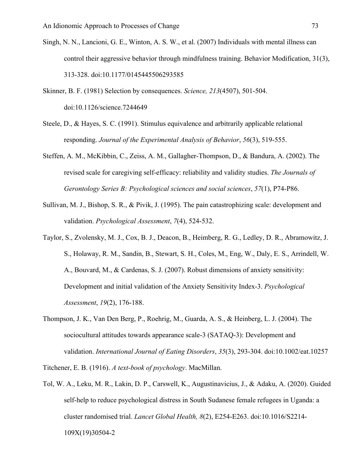- Singh, N. N., Lancioni, G. E., Winton, A. S. W., et al. (2007) Individuals with mental illness can control their aggressive behavior through mindfulness training. Behavior Modification, 31(3), 313-328. doi:10.1177/0145445506293585
- Skinner, B. F. (1981) Selection by consequences. *Science, 213*(4507), 501-504. doi:10.1126/science.7244649
- Steele, D., & Hayes, S. C. (1991). Stimulus equivalence and arbitrarily applicable relational responding. *Journal of the Experimental Analysis of Behavior*, *56*(3), 519-555.
- Steffen, A. M., McKibbin, C., Zeiss, A. M., Gallagher-Thompson, D., & Bandura, A. (2002). The revised scale for caregiving self-efficacy: reliability and validity studies. *The Journals of Gerontology Series B: Psychological sciences and social sciences*, *57*(1), P74-P86.
- Sullivan, M. J., Bishop, S. R., & Pivik, J. (1995). The pain catastrophizing scale: development and validation. *Psychological Assessment*, *7*(4), 524-532.
- Taylor, S., Zvolensky, M. J., Cox, B. J., Deacon, B., Heimberg, R. G., Ledley, D. R., Abramowitz, J. S., Holaway, R. M., Sandin, B., Stewart, S. H., Coles, M., Eng, W., Daly, E. S., Arrindell, W. A., Bouvard, M., & Cardenas, S. J. (2007). Robust dimensions of anxiety sensitivity: Development and initial validation of the Anxiety Sensitivity Index-3. *Psychological Assessment*, *19*(2), 176-188.
- Thompson, J. K., Van Den Berg, P., Roehrig, M., Guarda, A. S., & Heinberg, L. J. (2004). The sociocultural attitudes towards appearance scale‐3 (SATAQ‐3): Development and validation. *International Journal of Eating Disorders*, *35*(3), 293-304. doi:10.1002/eat.10257

Titchener, E. B. (1916). *A text-book of psychology*. MacMillan.

Tol, W. A., Leku, M. R., Lakin, D. P., Carswell, K., Augustinavicius, J., & Adaku, A. (2020). Guided self-help to reduce psychological distress in South Sudanese female refugees in Uganda: a cluster randomised trial. *Lancet Global Health, 8*(2), E254-E263. doi:10.1016/S2214- 109X(19)30504-2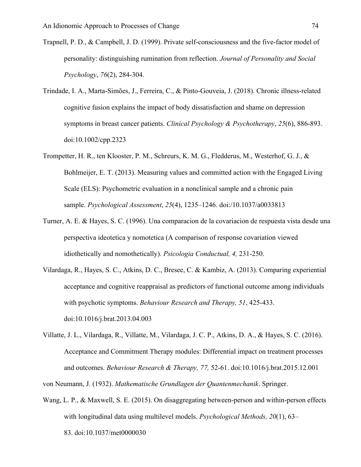- Trapnell, P. D., & Campbell, J. D. (1999). Private self-consciousness and the five-factor model of personality: distinguishing rumination from reflection. *Journal of Personality and Social Psychology*, *76*(2), 284-304.
- Trindade, I. A., Marta‐Simões, J., Ferreira, C., & Pinto‐Gouveia, J. (2018). Chronic illness‐related cognitive fusion explains the impact of body dissatisfaction and shame on depression symptoms in breast cancer patients. *Clinical Psychology & Psychotherapy*, *25*(6), 886-893. doi:10.1002/cpp.2323
- Trompetter, H. R., ten Klooster, P. M., Schreurs, K. M. G., Fledderus, M., Westerhof, G. J., & Bohlmeijer, E. T. (2013). Measuring values and committed action with the Engaged Living Scale (ELS): Psychometric evaluation in a nonclinical sample and a chronic pain sample. *Psychological Assessment*, *25*(4), 1235–1246. doi:/10.1037/a0033813
- Turner, A. E. & Hayes, S. C. (1996). Una comparacion de la covariacion de respuesta vista desde una perspectiva ideotetica y nomotetica (A comparison of response covariation viewed idiothetically and nomothetically). *Psicologia Conductual, 4,* 231-250.
- Vilardaga, R., Hayes, S. C., Atkins, D. C., Bresee, C. & Kambiz, A. (2013). Comparing experiential acceptance and cognitive reappraisal as predictors of functional outcome among individuals with psychotic symptoms. *Behaviour Research and Therapy, 51*, 425-433. doi:10.1016/j.brat.2013.04.003
- Villatte, J. L., Vilardaga, R., Villatte, M., Vilardaga, J. C. P., Atkins, D. A., & Hayes, S. C. (2016). Acceptance and Commitment Therapy modules: Differential impact on treatment processes and outcomes. *Behaviour Research & Therapy, 77,* 52-61. doi:10.1016/j.brat.2015.12.001
- von Neumann, J. (1932). *Mathematische Grundlagen der Quantenmechanik*. Springer.
- Wang, L. P., & Maxwell, S. E. (2015). On disaggregating between-person and within-person effects with longitudinal data using multilevel models. *Psychological Methods, 20*(1), 63– 83. doi:10.1037/met0000030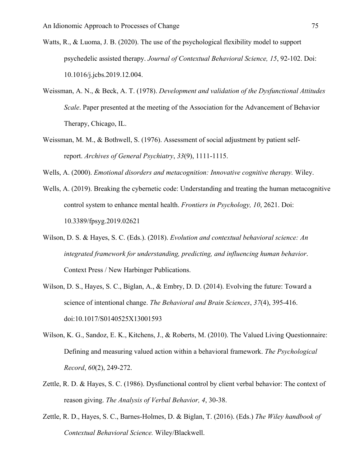- Watts, R., & Luoma, J. B. (2020). The use of the psychological flexibility model to support psychedelic assisted therapy. *Journal of Contextual Behavioral Science, 15*, 92-102. Doi: 10.1016/j.jcbs.2019.12.004.
- Weissman, A. N., & Beck, A. T. (1978). *Development and validation of the Dysfunctional Attitudes Scale*. Paper presented at the meeting of the Association for the Advancement of Behavior Therapy, Chicago, IL.
- Weissman, M. M., & Bothwell, S. (1976). Assessment of social adjustment by patient selfreport. *Archives of General Psychiatry*, *33*(9), 1111-1115.
- Wells, A. (2000). *Emotional disorders and metacognition: Innovative cognitive therapy.* Wiley.
- Wells, A. (2019). Breaking the cybernetic code: Understanding and treating the human metacognitive control system to enhance mental health. *Frontiers in Psychology, 10*, 2621. Doi: 10.3389/fpsyg.2019.02621
- Wilson, D. S. & Hayes, S. C. (Eds.). (2018). *Evolution and contextual behavioral science: An integrated framework for understanding, predicting, and influencing human behavior*. Context Press / New Harbinger Publications.
- Wilson, D. S., Hayes, S. C., Biglan, A., & Embry, D. D. (2014). Evolving the future: Toward a science of intentional change. *The Behavioral and Brain Sciences*, *37*(4), 395-416. doi:10.1017/S0140525X13001593
- Wilson, K. G., Sandoz, E. K., Kitchens, J., & Roberts, M. (2010). The Valued Living Questionnaire: Defining and measuring valued action within a behavioral framework. *The Psychological Record*, *60*(2), 249-272.
- Zettle, R. D. & Hayes, S. C. (1986). Dysfunctional control by client verbal behavior: The context of reason giving. *The Analysis of Verbal Behavior, 4*, 30-38.
- Zettle, R. D., Hayes, S. C., Barnes-Holmes, D. & Biglan, T. (2016). (Eds.) *The Wiley handbook of Contextual Behavioral Science.* Wiley/Blackwell.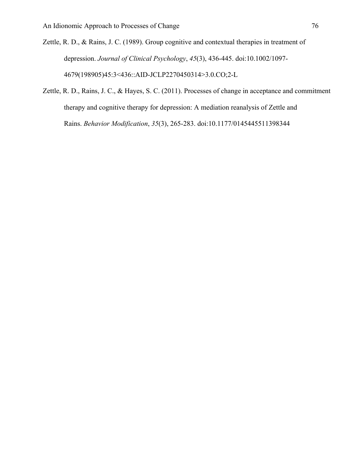Zettle, R. D., & Rains, J. C. (1989). Group cognitive and contextual therapies in treatment of depression. *Journal of Clinical Psychology*, *45*(3), 436-445. doi:10.1002/1097- 4679(198905)45:3<436::AID-JCLP2270450314>3.0.CO;2-L

Zettle, R. D., Rains, J. C., & Hayes, S. C. (2011). Processes of change in acceptance and commitment therapy and cognitive therapy for depression: A mediation reanalysis of Zettle and Rains. *Behavior Modification*, *35*(3), 265-283. doi:10.1177/0145445511398344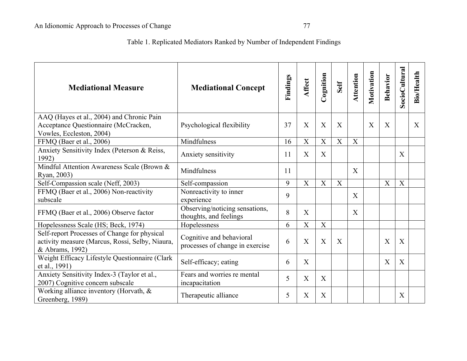## Table 1. Replicated Mediators Ranked by Number of Independent Findings

| <b>Mediational Measure</b>                                                                                         | <b>Mediational Concept</b>                                  | Findings | <b>Affect</b>             | Cognition | Self        | Attention | Motivation | Behavior | <b>SocioCultural</b> | <b>Bio/Health</b> |
|--------------------------------------------------------------------------------------------------------------------|-------------------------------------------------------------|----------|---------------------------|-----------|-------------|-----------|------------|----------|----------------------|-------------------|
| AAQ (Hayes et al., 2004) and Chronic Pain<br>Acceptance Questionnaire (McCracken,<br>Vowles, Eccleston, 2004)      | Psychological flexibility                                   | 37       | X                         | X         | X           |           | X          | X        |                      | $\mathbf{X}$      |
| FFMQ (Baer et al., 2006)                                                                                           | Mindfulness                                                 | 16       | $\boldsymbol{\mathrm{X}}$ | X         | $\mathbf X$ | X         |            |          |                      |                   |
| Anxiety Sensitivity Index (Peterson & Reiss,<br>1992)                                                              | Anxiety sensitivity                                         | 11       | X                         | X         |             |           |            |          | X                    |                   |
| Mindful Attention Awareness Scale (Brown &<br>Ryan, 2003)                                                          | Mindfulness                                                 | 11       |                           |           |             | X         |            |          |                      |                   |
| Self-Compassion scale (Neff, 2003)                                                                                 | Self-compassion                                             | 9        | X                         | X         | X           |           |            | X        | X                    |                   |
| FFMQ (Baer et al., 2006) Non-reactivity<br>subscale                                                                | Nonreactivity to inner<br>experience                        | 9        |                           |           |             | X         |            |          |                      |                   |
| FFMQ (Baer et al., 2006) Observe factor                                                                            | Observing/noticing sensations,<br>thoughts, and feelings    | 8        | X                         |           |             | X         |            |          |                      |                   |
| Hopelessness Scale (HS; Beck, 1974)                                                                                | Hopelessness                                                | 6        | X                         | X         |             |           |            |          |                      |                   |
| Self-report Processes of Change for physical<br>activity measure (Marcus, Rossi, Selby, Niaura,<br>& Abrams, 1992) | Cognitive and behavioral<br>processes of change in exercise | 6        | X                         | X         | X           |           |            | X        | X                    |                   |
| Weight Efficacy Lifestyle Questionnaire (Clark<br>et al., 1991)                                                    | Self-efficacy; eating                                       | 6        | $\boldsymbol{\mathrm{X}}$ |           |             |           |            | X        | X                    |                   |
| Anxiety Sensitivity Index-3 (Taylor et al.,<br>2007) Cognitive concern subscale                                    | Fears and worries re mental<br>incapacitation               | 5        | X                         | X         |             |           |            |          |                      |                   |
| Working alliance inventory (Horvath, &<br>Greenberg, 1989)                                                         | Therapeutic alliance                                        | 5        | $\boldsymbol{\mathrm{X}}$ | X         |             |           |            |          | X                    |                   |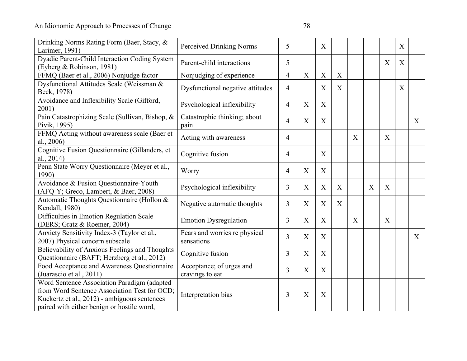| Drinking Norms Rating Form (Baer, Stacy, &<br>Larimer, 1991)                                                                                                                              | Perceived Drinking Norms                    | 5              |                           | X                         |             |   |   |                           | X            |              |
|-------------------------------------------------------------------------------------------------------------------------------------------------------------------------------------------|---------------------------------------------|----------------|---------------------------|---------------------------|-------------|---|---|---------------------------|--------------|--------------|
| Dyadic Parent-Child Interaction Coding System<br>(Eyberg & Robinson, 1981)                                                                                                                | Parent-child interactions                   | 5              |                           |                           |             |   |   | $\boldsymbol{\mathrm{X}}$ | X            |              |
| FFMQ (Baer et al., 2006) Nonjudge factor                                                                                                                                                  | Nonjudging of experience                    | $\overline{4}$ | $\mathbf X$               | $\mathbf X$               | $\mathbf X$ |   |   |                           |              |              |
| Dysfunctional Attitudes Scale (Weissman &<br>Beck, 1978)                                                                                                                                  | Dysfunctional negative attitudes            | $\overline{4}$ |                           | X                         | X           |   |   |                           | $\mathbf{X}$ |              |
| Avoidance and Inflexibility Scale (Gifford,<br>2001)                                                                                                                                      | Psychological inflexibility                 | $\overline{4}$ | X                         | X                         |             |   |   |                           |              |              |
| Pain Catastrophizing Scale (Sullivan, Bishop, &<br>Pivik, 1995)                                                                                                                           | Catastrophic thinking; about<br>pain        | $\overline{4}$ | X                         | X                         |             |   |   |                           |              | $\mathbf{X}$ |
| FFMQ Acting without awareness scale (Baer et<br>al., 2006)                                                                                                                                | Acting with awareness                       | $\overline{4}$ |                           |                           |             | X |   | X                         |              |              |
| Cognitive Fusion Questionnaire (Gillanders, et<br>al., 2014)                                                                                                                              | Cognitive fusion                            | $\overline{4}$ |                           | X                         |             |   |   |                           |              |              |
| Penn State Worry Questionnaire (Meyer et al.,<br>1990)                                                                                                                                    | Worry                                       | $\overline{4}$ | $\boldsymbol{\mathrm{X}}$ | X                         |             |   |   |                           |              |              |
| Avoidance & Fusion Questionnaire-Youth<br>(AFQ-Y; Greco, Lambert, & Baer, 2008)                                                                                                           | Psychological inflexibility                 | 3              | X                         | X                         | X           |   | X | X                         |              |              |
| Automatic Thoughts Questionnaire (Hollon &<br>Kendall, 1980)                                                                                                                              | Negative automatic thoughts                 | 3              | $\boldsymbol{\mathrm{X}}$ | $\boldsymbol{\mathrm{X}}$ | X           |   |   |                           |              |              |
| Difficulties in Emotion Regulation Scale<br>(DERS; Gratz & Roemer, 2004)                                                                                                                  | <b>Emotion Dysregulation</b>                | 3              | $\boldsymbol{\mathrm{X}}$ | X                         |             | X |   | X                         |              |              |
| Anxiety Sensitivity Index-3 (Taylor et al.,<br>2007) Physical concern subscale                                                                                                            | Fears and worries re physical<br>sensations | 3              | X                         | X                         |             |   |   |                           |              | X            |
| Believability of Anxious Feelings and Thoughts<br>Questionnaire (BAFT; Herzberg et al., 2012)                                                                                             | Cognitive fusion                            | 3              | X                         | X                         |             |   |   |                           |              |              |
| Food Acceptance and Awareness Questionnaire<br>(Juarascio et al., 2011)                                                                                                                   | Acceptance; of urges and<br>cravings to eat | 3              | $\boldsymbol{\mathrm{X}}$ | X                         |             |   |   |                           |              |              |
| Word Sentence Association Paradigm (adapted<br>from Word Sentence Association Test for OCD;<br>Kuckertz et al., 2012) - ambiguous sentences<br>paired with either benign or hostile word, | Interpretation bias                         | 3              | X                         | $\boldsymbol{\mathrm{X}}$ |             |   |   |                           |              |              |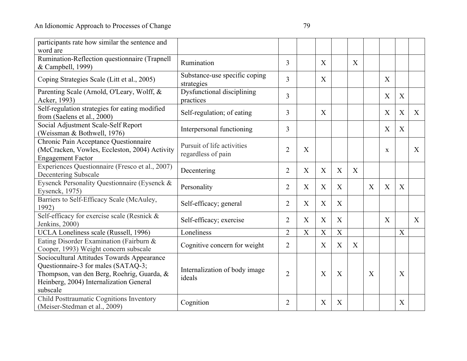| participants rate how similar the sentence and  |                               |                |             |   |                  |   |                           |                           |                  |   |
|-------------------------------------------------|-------------------------------|----------------|-------------|---|------------------|---|---------------------------|---------------------------|------------------|---|
| word are                                        |                               |                |             |   |                  |   |                           |                           |                  |   |
| Rumination-Reflection questionnaire (Trapnell   | Rumination                    | 3              |             | X |                  | X |                           |                           |                  |   |
| & Campbell, 1999)                               |                               |                |             |   |                  |   |                           |                           |                  |   |
| Coping Strategies Scale (Litt et al., 2005)     | Substance-use specific coping | $\overline{3}$ |             | X |                  |   |                           | X                         |                  |   |
|                                                 | strategies                    |                |             |   |                  |   |                           |                           |                  |   |
| Parenting Scale (Arnold, O'Leary, Wolff, &      | Dysfunctional disciplining    | 3              |             |   |                  |   |                           | $\boldsymbol{\mathrm{X}}$ | $\mathbf X$      |   |
| Acker, 1993)                                    | practices                     |                |             |   |                  |   |                           |                           |                  |   |
| Self-regulation strategies for eating modified  | Self-regulation; of eating    | 3              |             | X |                  |   |                           | X                         | X                | X |
| from (Saelens et al., 2000)                     |                               |                |             |   |                  |   |                           |                           |                  |   |
| Social Adjustment Scale-Self Report             | Interpersonal functioning     | 3              |             |   |                  |   |                           | X                         | X                |   |
| (Weissman & Bothwell, 1976)                     |                               |                |             |   |                  |   |                           |                           |                  |   |
| Chronic Pain Acceptance Questionnaire           | Pursuit of life activities    |                |             |   |                  |   |                           |                           |                  |   |
| (McCracken, Vowles, Eccleston, 2004) Activity   | regardless of pain            | $\overline{2}$ | X           |   |                  |   |                           | $\mathbf X$               |                  | X |
| <b>Engagement Factor</b>                        |                               |                |             |   |                  |   |                           |                           |                  |   |
| Experiences Questionnaire (Fresco et al., 2007) |                               | $\overline{2}$ | X           | X | $\boldsymbol{X}$ | X |                           |                           |                  |   |
| Decentering Subscale                            | Decentering                   |                |             |   |                  |   |                           |                           |                  |   |
| Eysenck Personality Questionnaire (Eysenck &    |                               | $\overline{2}$ | X           | X | $\boldsymbol{X}$ |   | $\mathbf{X}$              | X                         | X                |   |
| Eysenck, 1975)                                  | Personality                   |                |             |   |                  |   |                           |                           |                  |   |
| Barriers to Self-Efficacy Scale (McAuley,       |                               |                | X           | X | X                |   |                           |                           |                  |   |
| 1992)                                           | Self-efficacy; general        | $\overline{2}$ |             |   |                  |   |                           |                           |                  |   |
| Self-efficacy for exercise scale (Resnick &     |                               |                |             |   |                  |   |                           | X                         |                  |   |
| Jenkins, 2000)                                  | Self-efficacy; exercise       | $\overline{2}$ | X           | X | X                |   |                           |                           |                  | X |
| UCLA Loneliness scale (Russell, 1996)           | Loneliness                    | $\overline{2}$ | $\mathbf X$ | X | $\mathbf X$      |   |                           |                           | X                |   |
| Eating Disorder Examination (Fairburn &         |                               |                |             |   |                  |   |                           |                           |                  |   |
| Cooper, 1993) Weight concern subscale           | Cognitive concern for weight  | $\overline{2}$ |             | X | X                | X |                           |                           |                  |   |
| Sociocultural Attitudes Towards Appearance      |                               |                |             |   |                  |   |                           |                           |                  |   |
| Questionnaire-3 for males (SATAQ-3;             |                               |                |             |   |                  |   |                           |                           |                  |   |
| Thompson, van den Berg, Roehrig, Guarda, &      | Internalization of body image | $\overline{2}$ |             | X | X                |   | $\boldsymbol{\mathrm{X}}$ |                           | $\boldsymbol{X}$ |   |
| Heinberg, 2004) Internalization General         | ideals                        |                |             |   |                  |   |                           |                           |                  |   |
| subscale                                        |                               |                |             |   |                  |   |                           |                           |                  |   |
| Child Posttraumatic Cognitions Inventory        |                               |                |             |   |                  |   |                           |                           |                  |   |
| (Meiser-Stedman et al., 2009)                   | Cognition                     | 2              |             | X | $\boldsymbol{X}$ |   |                           |                           | X                |   |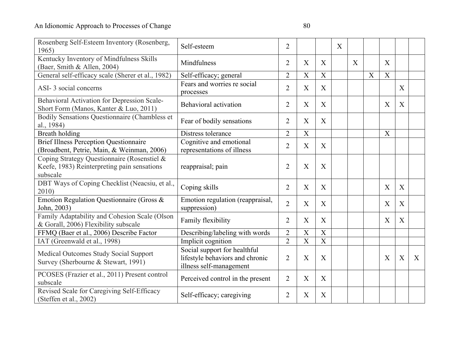| Rosenberg Self-Esteem Inventory (Rosenberg,<br>1965)                                                   | Self-esteem                                                                                | $\overline{2}$ |                           |                | X |   |   |                           |   |              |
|--------------------------------------------------------------------------------------------------------|--------------------------------------------------------------------------------------------|----------------|---------------------------|----------------|---|---|---|---------------------------|---|--------------|
| Kentucky Inventory of Mindfulness Skills<br>(Baer, Smith & Allen, 2004)                                | Mindfulness                                                                                | $\overline{2}$ | X                         | X              |   | X |   | X                         |   |              |
| General self-efficacy scale (Sherer et al., 1982)                                                      | Self-efficacy; general                                                                     | $\overline{2}$ | $\boldsymbol{\mathrm{X}}$ | X              |   |   | X | X                         |   |              |
| ASI-3 social concerns                                                                                  | Fears and worries re social<br>processes                                                   | $\overline{2}$ | X                         | X              |   |   |   |                           | X |              |
| Behavioral Activation for Depression Scale-<br>Short Form (Manos, Kanter & Luo, 2011)                  | Behavioral activation                                                                      | $\overline{2}$ | $\boldsymbol{\mathrm{X}}$ | X              |   |   |   | $\boldsymbol{\mathrm{X}}$ | X |              |
| Bodily Sensations Questionnaire (Chambless et<br>al., 1984)                                            | Fear of bodily sensations                                                                  | $\overline{2}$ | $\boldsymbol{\mathrm{X}}$ | X              |   |   |   |                           |   |              |
| <b>Breath holding</b>                                                                                  | Distress tolerance                                                                         | $\overline{2}$ | $\overline{X}$            |                |   |   |   | $\mathbf X$               |   |              |
| <b>Brief Illness Perception Questionnaire</b><br>(Broadbent, Petrie, Main, & Weinman, 2006)            | Cognitive and emotional<br>representations of illness                                      | $\overline{2}$ | X                         | X              |   |   |   |                           |   |              |
| Coping Strategy Questionnaire (Rosenstiel &<br>Keefe, 1983) Reinterpreting pain sensations<br>subscale | reappraisal; pain                                                                          | $\overline{2}$ | $\boldsymbol{\mathrm{X}}$ | X              |   |   |   |                           |   |              |
| DBT Ways of Coping Checklist (Neacsiu, et al.,<br>2010)                                                | Coping skills                                                                              | $\overline{2}$ | X                         | X              |   |   |   | X                         | X |              |
| Emotion Regulation Questionnaire (Gross &<br>John, 2003)                                               | Emotion regulation (reappraisal,<br>suppression)                                           | $\overline{2}$ | X                         | X              |   |   |   | X                         | X |              |
| Family Adaptability and Cohesion Scale (Olson<br>& Gorall, 2006) Flexibility subscale                  | Family flexibility                                                                         | $\overline{2}$ | $\boldsymbol{X}$          | X              |   |   |   | X                         | X |              |
| FFMQ (Baer et al., 2006) Describe Factor                                                               | Describing/labeling with words                                                             | $\overline{2}$ | $\boldsymbol{\mathrm{X}}$ | $\mathbf X$    |   |   |   |                           |   |              |
| IAT (Greenwald et al., 1998)                                                                           | Implicit cognition                                                                         | $\overline{2}$ | X                         | $\overline{X}$ |   |   |   |                           |   |              |
| <b>Medical Outcomes Study Social Support</b><br>Survey (Sherbourne & Stewart, 1991)                    | Social support for healthful<br>lifestyle behaviors and chronic<br>illness self-management | $\overline{2}$ | X                         | X              |   |   |   | X                         | X | $\mathbf{X}$ |
| PCOSES (Frazier et al., 2011) Present control<br>subscale                                              | Perceived control in the present                                                           | $\overline{2}$ | $\boldsymbol{\mathrm{X}}$ | X              |   |   |   |                           |   |              |
| Revised Scale for Caregiving Self-Efficacy<br>(Steffen et al., 2002)                                   | Self-efficacy; caregiving                                                                  | $\overline{2}$ | X                         | X              |   |   |   |                           |   |              |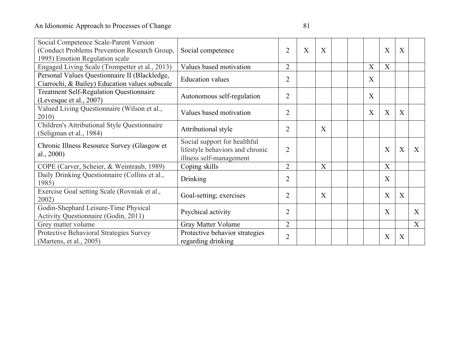| Social Competence Scale-Parent Version<br>(Conduct Problems Prevention Research Group,<br>1995) Emotion Regulation scale | Social competence                                                                          | $\overline{2}$ | X | X |  |   | $\boldsymbol{\mathrm{X}}$ | X |   |
|--------------------------------------------------------------------------------------------------------------------------|--------------------------------------------------------------------------------------------|----------------|---|---|--|---|---------------------------|---|---|
| Engaged Living Scale (Trompetter et al., 2013)                                                                           | Values based motivation                                                                    | $\overline{2}$ |   |   |  | X | X                         |   |   |
| Personal Values Questionnaire II (Blackledge,<br>Ciarrochi, & Bailey) Education values subscale                          | <b>Education</b> values                                                                    | $\overline{2}$ |   |   |  | X |                           |   |   |
| <b>Treatment Self-Regulation Questionnaire</b><br>(Levesque et al., 2007)                                                | Autonomous self-regulation                                                                 | $\overline{2}$ |   |   |  | X |                           |   |   |
| Valued Living Questionnaire (Wilson et al.,<br>2010)                                                                     | Values based motivation                                                                    | $\overline{2}$ |   |   |  | X | X                         | X |   |
| Children's Attributional Style Questionnaire<br>(Seligman et al., 1984)                                                  | Attributional style                                                                        | $\overline{2}$ |   | X |  |   |                           |   |   |
| Chronic Illness Resource Survey (Glasgow et<br>al., 2000)                                                                | Social support for healthful<br>lifestyle behaviors and chronic<br>illness self-management | $\overline{2}$ |   |   |  |   | X                         | X | X |
| COPE (Carver, Scheier, & Weintraub, 1989)                                                                                | Coping skills                                                                              | $\overline{2}$ |   | X |  |   | X                         |   |   |
| Daily Drinking Questionnaire (Collins et al.,<br>1985)                                                                   | Drinking                                                                                   | $\overline{2}$ |   |   |  |   | X                         |   |   |
| Exercise Goal setting Scale (Rovniak et al.,<br>2002)                                                                    | Goal-setting; exercises                                                                    | $\overline{2}$ |   | X |  |   | $\overline{X}$            | X |   |
| Godin-Shephard Leisure-Time Physical<br>Activity Questionnaire (Godin, 2011)                                             | Psychical activity                                                                         | $\overline{2}$ |   |   |  |   | X                         |   | X |
| Grey matter volume                                                                                                       | Gray Matter Volume                                                                         | $\overline{2}$ |   |   |  |   |                           |   | X |
| Protective Behavioral Strategies Survey<br>(Martens, et al., 2005)                                                       | Protective behavior strategies<br>regarding drinking                                       | $\overline{2}$ |   |   |  |   | X                         | X |   |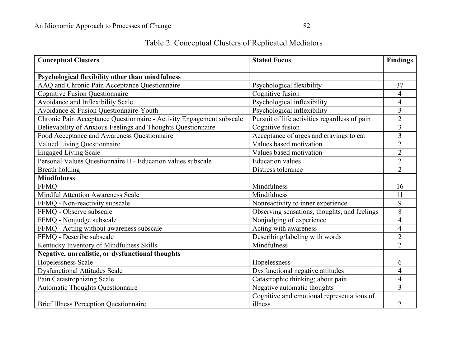| Table 2. Conceptual Clusters of Replicated Mediators |
|------------------------------------------------------|
|------------------------------------------------------|

| <b>Conceptual Clusters</b>                                           | <b>Stated Focus</b>                           | <b>Findings</b>         |
|----------------------------------------------------------------------|-----------------------------------------------|-------------------------|
|                                                                      |                                               |                         |
| Psychological flexibility other than mindfulness                     |                                               |                         |
| AAQ and Chronic Pain Acceptance Questionnaire                        | Psychological flexibility                     | 37                      |
| <b>Cognitive Fusion Questionnaire</b>                                | Cognitive fusion                              | 4                       |
| Avoidance and Inflexibility Scale                                    | Psychological inflexibility                   | $\overline{4}$          |
| Avoidance & Fusion Questionnaire-Youth                               | Psychological inflexibility                   | $\overline{3}$          |
| Chronic Pain Acceptance Questionnaire - Activity Engagement subscale | Pursuit of life activities regardless of pain | $\overline{2}$          |
| Believability of Anxious Feelings and Thoughts Questionnaire         | Cognitive fusion                              | $\overline{3}$          |
| Food Acceptance and Awareness Questionnaire                          | Acceptance of urges and cravings to eat       | $\overline{3}$          |
| Valued Living Questionnaire                                          | Values based motivation                       | $\overline{2}$          |
| <b>Engaged Living Scale</b>                                          | Values based motivation                       | $\overline{2}$          |
| Personal Values Questionnaire II - Education values subscale         | <b>Education</b> values                       | $\overline{2}$          |
| <b>Breath holding</b>                                                | Distress tolerance                            | $\overline{2}$          |
| <b>Mindfulness</b>                                                   |                                               |                         |
| <b>FFMQ</b>                                                          | Mindfulness                                   | 16                      |
| <b>Mindful Attention Awareness Scale</b>                             | Mindfulness                                   | 11                      |
| FFMQ - Non-reactivity subscale                                       | Nonreactivity to inner experience             | 9                       |
| FFMO - Observe subscale                                              | Observing sensations, thoughts, and feelings  | $\overline{8}$          |
| FFMQ - Nonjudge subscale                                             | Nonjudging of experience                      | $\overline{\mathbf{4}}$ |
| FFMQ - Acting without awareness subscale                             | Acting with awareness                         | $\overline{4}$          |
| FFMQ - Describe subscale                                             | Describing/labeling with words                | $\overline{2}$          |
| Kentucky Inventory of Mindfulness Skills                             | Mindfulness                                   | $\overline{2}$          |
| Negative, unrealistic, or dysfunctional thoughts                     |                                               |                         |
| Hopelessness Scale                                                   | Hopelessness                                  | 6                       |
| <b>Dysfunctional Attitudes Scale</b>                                 | Dysfunctional negative attitudes              | $\overline{\mathbf{4}}$ |
| Pain Catastrophizing Scale                                           | Catastrophic thinking; about pain             | $\overline{4}$          |
| Automatic Thoughts Questionnaire                                     | Negative automatic thoughts                   | 3                       |
|                                                                      | Cognitive and emotional representations of    |                         |
| <b>Brief Illness Perception Questionnaire</b>                        | illness                                       | $\overline{2}$          |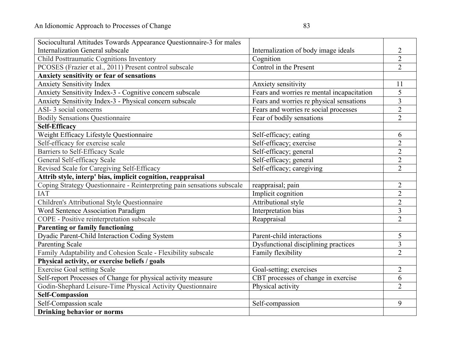| Sociocultural Attitudes Towards Appearance Questionnaire-3 for males    |                                            |                         |
|-------------------------------------------------------------------------|--------------------------------------------|-------------------------|
| <b>Internalization General subscale</b>                                 | Internalization of body image ideals       | 2                       |
| Child Posttraumatic Cognitions Inventory                                | Cognition                                  | $\overline{2}$          |
| PCOSES (Frazier et al., 2011) Present control subscale                  | Control in the Present                     | $\overline{2}$          |
| <b>Anxiety sensitivity or fear of sensations</b>                        |                                            |                         |
| <b>Anxiety Sensitivity Index</b>                                        | Anxiety sensitivity                        | 11                      |
| Anxiety Sensitivity Index-3 - Cognitive concern subscale                | Fears and worries re mental incapacitation | $\overline{5}$          |
| Anxiety Sensitivity Index-3 - Physical concern subscale                 | Fears and worries re physical sensations   | $\overline{3}$          |
| ASI-3 social concerns                                                   | Fears and worries re social processes      | $\overline{2}$          |
| <b>Bodily Sensations Questionnaire</b>                                  | Fear of bodily sensations                  | $\overline{2}$          |
| <b>Self-Efficacy</b>                                                    |                                            |                         |
| Weight Efficacy Lifestyle Questionnaire                                 | Self-efficacy; eating                      | 6                       |
| Self-efficacy for exercise scale                                        | Self-efficacy; exercise                    | $\overline{2}$          |
| Barriers to Self-Efficacy Scale                                         | Self-efficacy; general                     | $\overline{2}$          |
| General Self-efficacy Scale                                             | Self-efficacy; general                     | $\overline{2}$          |
| Revised Scale for Caregiving Self-Efficacy                              | Self-efficacy; caregiving                  | $\overline{2}$          |
| Attrib style, interp' bias, implicit cognition, reappraisal             |                                            |                         |
| Coping Strategy Questionnaire - Reinterpreting pain sensations subscale | reappraisal; pain                          | $\overline{2}$          |
| <b>IAT</b>                                                              | Implicit cognition                         | $\sqrt{2}$              |
| Children's Attributional Style Questionnaire                            | Attributional style                        | $\overline{2}$          |
| Word Sentence Association Paradigm                                      | Interpretation bias                        | $\overline{3}$          |
| COPE - Positive reinterpretation subscale                               | Reappraisal                                | $\overline{2}$          |
| <b>Parenting or family functioning</b>                                  |                                            |                         |
| Dyadic Parent-Child Interaction Coding System                           | Parent-child interactions                  | 5                       |
| <b>Parenting Scale</b>                                                  | Dysfunctional disciplining practices       | $\overline{\mathbf{3}}$ |
| Family Adaptability and Cohesion Scale - Flexibility subscale           | Family flexibility                         | $\overline{2}$          |
| Physical activity, or exercise beliefs / goals                          |                                            |                         |
| <b>Exercise Goal setting Scale</b>                                      | Goal-setting; exercises                    | $\overline{2}$          |
| Self-report Processes of Change for physical activity measure           | CBT processes of change in exercise        | 6                       |
| Godin-Shephard Leisure-Time Physical Activity Questionnaire             | Physical activity                          | $\overline{2}$          |
| <b>Self-Compassion</b>                                                  |                                            |                         |
| Self-Compassion scale                                                   | Self-compassion                            | 9                       |
| <b>Drinking behavior or norms</b>                                       |                                            |                         |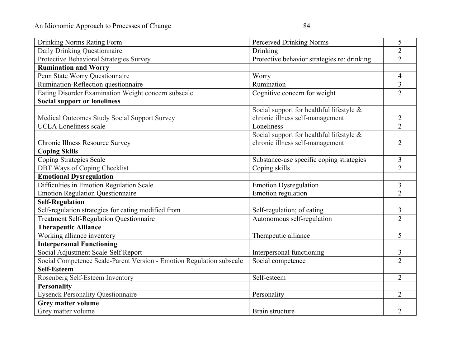| <b>Drinking Norms Rating Form</b>                                    | Perceived Drinking Norms                    | 5              |
|----------------------------------------------------------------------|---------------------------------------------|----------------|
| Daily Drinking Questionnaire                                         | Drinking                                    | $\overline{2}$ |
| Protective Behavioral Strategies Survey                              | Protective behavior strategies re: drinking | $\overline{2}$ |
| <b>Rumination and Worry</b>                                          |                                             |                |
| Penn State Worry Questionnaire                                       | Worry                                       | $\overline{4}$ |
| Rumination-Reflection questionnaire                                  | Rumination                                  | $\overline{3}$ |
| Eating Disorder Examination Weight concern subscale                  | Cognitive concern for weight                | $\overline{2}$ |
| <b>Social support or loneliness</b>                                  |                                             |                |
|                                                                      | Social support for healthful lifestyle &    |                |
| Medical Outcomes Study Social Support Survey                         | chronic illness self-management             | $\overline{2}$ |
| <b>UCLA</b> Loneliness scale                                         | Loneliness                                  | $\overline{2}$ |
|                                                                      | Social support for healthful lifestyle &    |                |
| Chronic Illness Resource Survey                                      | chronic illness self-management             | $\overline{2}$ |
| <b>Coping Skills</b>                                                 |                                             |                |
| Coping Strategies Scale                                              | Substance-use specific coping strategies    | 3              |
| DBT Ways of Coping Checklist                                         | Coping skills                               | $\overline{2}$ |
| <b>Emotional Dysregulation</b>                                       |                                             |                |
| Difficulties in Emotion Regulation Scale                             | <b>Emotion Dysregulation</b>                | $\mathfrak{Z}$ |
| <b>Emotion Regulation Questionnaire</b>                              | Emotion regulation                          | $\overline{2}$ |
| <b>Self-Regulation</b>                                               |                                             |                |
| Self-regulation strategies for eating modified from                  | Self-regulation; of eating                  | 3              |
| <b>Treatment Self-Regulation Questionnaire</b>                       | Autonomous self-regulation                  | $\overline{2}$ |
| <b>Therapeutic Alliance</b>                                          |                                             |                |
| Working alliance inventory                                           | Therapeutic alliance                        | 5              |
| <b>Interpersonal Functioning</b>                                     |                                             |                |
| Social Adjustment Scale-Self Report                                  | Interpersonal functioning                   | 3              |
| Social Competence Scale-Parent Version - Emotion Regulation subscale | Social competence                           | $\overline{2}$ |
| <b>Self-Esteem</b>                                                   |                                             |                |
| Rosenberg Self-Esteem Inventory                                      | Self-esteem                                 | $\overline{2}$ |
| <b>Personality</b>                                                   |                                             |                |
| <b>Eysenck Personality Questionnaire</b>                             | Personality                                 | $\overline{2}$ |
| Grey matter volume                                                   |                                             |                |
| Grey matter volume                                                   | Brain structure                             | $\overline{2}$ |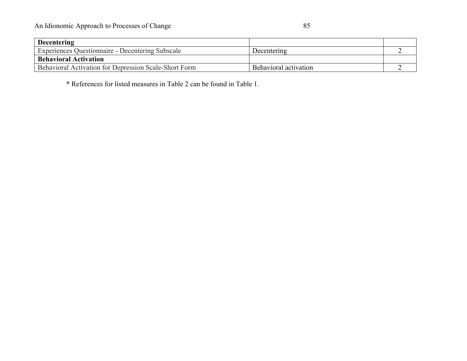\* References for listed measures in Table 2 can be found in Table 1.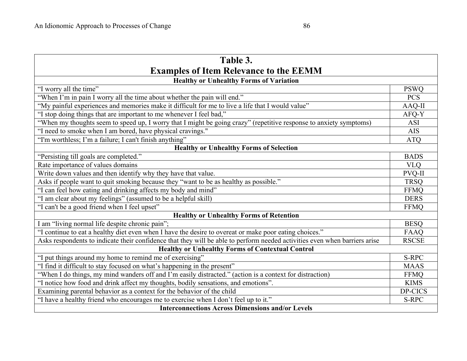| Table 3.                                                                                                                   |              |  |  |  |  |
|----------------------------------------------------------------------------------------------------------------------------|--------------|--|--|--|--|
| <b>Examples of Item Relevance to the EEMM</b>                                                                              |              |  |  |  |  |
| <b>Healthy or Unhealthy Forms of Variation</b>                                                                             |              |  |  |  |  |
| "I worry all the time"                                                                                                     | <b>PSWQ</b>  |  |  |  |  |
| "When I'm in pain I worry all the time about whether the pain will end."                                                   | <b>PCS</b>   |  |  |  |  |
| "My painful experiences and memories make it difficult for me to live a life that I would value"                           | AAQ-II       |  |  |  |  |
| "I stop doing things that are important to me whenever I feel bad,"                                                        | AFQ-Y        |  |  |  |  |
| "When my thoughts seem to speed up, I worry that I might be going crazy" (repetitive response to anxiety symptoms)         | <b>ASI</b>   |  |  |  |  |
| "I need to smoke when I am bored, have physical cravings."                                                                 | <b>AIS</b>   |  |  |  |  |
| "I'm worthless; I'm a failure; I can't finish anything"                                                                    | <b>ATQ</b>   |  |  |  |  |
| <b>Healthy or Unhealthy Forms of Selection</b>                                                                             |              |  |  |  |  |
| "Persisting till goals are completed."                                                                                     | <b>BADS</b>  |  |  |  |  |
| Rate importance of values domains                                                                                          | <b>VLO</b>   |  |  |  |  |
| Write down values and then identify why they have that value.                                                              | PVQ-II       |  |  |  |  |
| Asks if people want to quit smoking because they "want to be as healthy as possible."                                      | <b>TRSQ</b>  |  |  |  |  |
| "I can feel how eating and drinking affects my body and mind"                                                              | <b>FFMQ</b>  |  |  |  |  |
| "I am clear about my feelings" (assumed to be a helpful skill)                                                             | <b>DERS</b>  |  |  |  |  |
| "I can't be a good friend when I feel upset"                                                                               | <b>FFMQ</b>  |  |  |  |  |
| <b>Healthy or Unhealthy Forms of Retention</b>                                                                             |              |  |  |  |  |
| I am "living normal life despite chronic pain";                                                                            | <b>BESQ</b>  |  |  |  |  |
| "I continue to eat a healthy diet even when I have the desire to overeat or make poor eating choices."                     | FAAQ         |  |  |  |  |
| Asks respondents to indicate their confidence that they will be able to perform needed activities even when barriers arise | <b>RSCSE</b> |  |  |  |  |
| <b>Healthy or Unhealthy Forms of Contextual Control</b>                                                                    |              |  |  |  |  |
| "I put things around my home to remind me of exercising"                                                                   | S-RPC        |  |  |  |  |
| "I find it difficult to stay focused on what's happening in the present"                                                   | <b>MAAS</b>  |  |  |  |  |
| "When I do things, my mind wanders off and I'm easily distracted." (action is a context for distraction)                   | <b>FFMQ</b>  |  |  |  |  |
| "I notice how food and drink affect my thoughts, bodily sensations, and emotions".                                         | <b>KIMS</b>  |  |  |  |  |
| Examining parental behavior as a context for the behavior of the child                                                     | DP-CICS      |  |  |  |  |
| "I have a healthy friend who encourages me to exercise when I don't feel up to it."                                        | S-RPC        |  |  |  |  |
| <b>Interconnections Across Dimensions and/or Levels</b>                                                                    |              |  |  |  |  |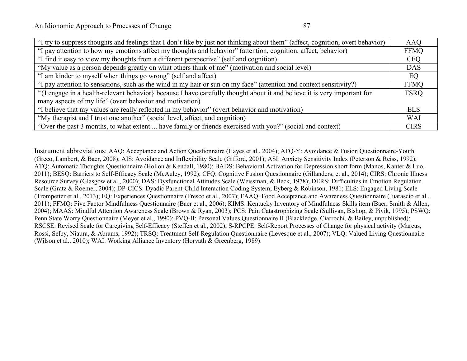| "I try to suppress thoughts and feelings that I don't like by just not thinking about them" (affect, cognition, overt behavior) | <b>AAQ</b>  |
|---------------------------------------------------------------------------------------------------------------------------------|-------------|
| "I pay attention to how my emotions affect my thoughts and behavior" (attention, cognition, affect, behavior)                   | <b>FFMQ</b> |
| "I find it easy to view my thoughts from a different perspective" (self and cognition)                                          | <b>CFO</b>  |
| "My value as a person depends greatly on what others think of me" (motivation and social level)                                 | <b>DAS</b>  |
| "I am kinder to myself when things go wrong" (self and affect)                                                                  | EQ          |
| "I pay attention to sensations, such as the wind in my hair or sun on my face" (attention and context sensitivity?)             | <b>FFMO</b> |
| "{I engage in a health-relevant behavior} because I have carefully thought about it and believe it is very important for        | <b>TSRQ</b> |
| many aspects of my life" (overt behavior and motivation)                                                                        |             |
| "I believe that my values are really reflected in my behavior" (overt behavior and motivation)                                  | <b>ELS</b>  |
| "My therapist and I trust one another" (social level, affect, and cognition)                                                    | <b>WAI</b>  |
| "Over the past 3 months, to what extent  have family or friends exercised with you?" (social and context)                       | <b>CIRS</b> |

Instrument abbreviations: AAQ: Acceptance and Action Questionnaire (Hayes et al., 2004); AFQ-Y: Avoidance & Fusion Questionnaire-Youth (Greco, Lambert, & Baer, 2008); AIS: Avoidance and Inflexibility Scale (Gifford, 2001); ASI: Anxiety Sensitivity Index (Peterson & Reiss, 1992); ATQ: Automatic Thoughts Questionnaire (Hollon & Kendall, 1980); BADS: Behavioral Activation for Depression short form (Manos, Kanter & Luo, 2011); BESQ: Barriers to Self-Efficacy Scale (McAuley, 1992); CFQ: Cognitive Fusion Questionnaire (Gillanders, et al., 2014); CIRS: Chronic Illness Resource Survey (Glasgow et al., 2000); DAS: Dysfunctional Attitudes Scale (Weissman, & Beck, 1978); DERS: Difficulties in Emotion Regulation Scale (Gratz & Roemer, 2004); DP-CICS: Dyadic Parent-Child Interaction Coding System; Eyberg & Robinson, 1981; ELS: Engaged Living Scale (Trompetter et al., 2013); EQ: Experiences Questionnaire (Fresco et al., 2007); FAAQ: Food Acceptance and Awareness Questionnaire (Juarascio et al., 2011); FFMQ: Five Factor Mindfulness Questionnaire (Baer et al., 2006); KIMS: Kentucky Inventory of Mindfulness Skills item (Baer, Smith & Allen, 2004); MAAS: Mindful Attention Awareness Scale (Brown & Ryan, 2003); PCS: Pain Catastrophizing Scale (Sullivan, Bishop, & Pivik, 1995); PSWQ: Penn State Worry Questionnaire (Meyer et al., 1990); PVQ-II: Personal Values Questionnaire II (Blackledge, Ciarrochi, & Bailey, unpublished); RSCSE: Revised Scale for Caregiving Self-Efficacy (Steffen et al., 2002); S-RPCPE: Self-Report Processes of Change for physical activity (Marcus, Rossi, Selby, Niaura, & Abrams, 1992); TRSQ: Treatment Self-Regulation Questionnaire (Levesque et al., 2007); VLQ: Valued Living Questionnaire (Wilson et al., 2010); WAI: Working Alliance Inventory (Horvath & Greenberg, 1989).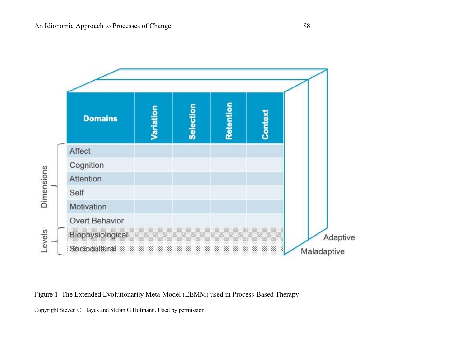

Figure 1. The Extended Evolutionarily Meta-Model (EEMM) used in Process-Based Therapy.

Copyright Steven C. Hayes and Stefan G Hofmann. Used by permission.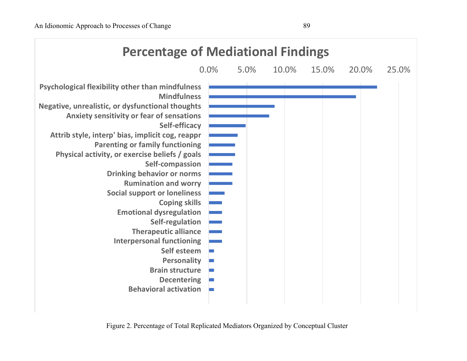

Figure 2. Percentage of Total Replicated Mediators Organized by Conceptual Cluster